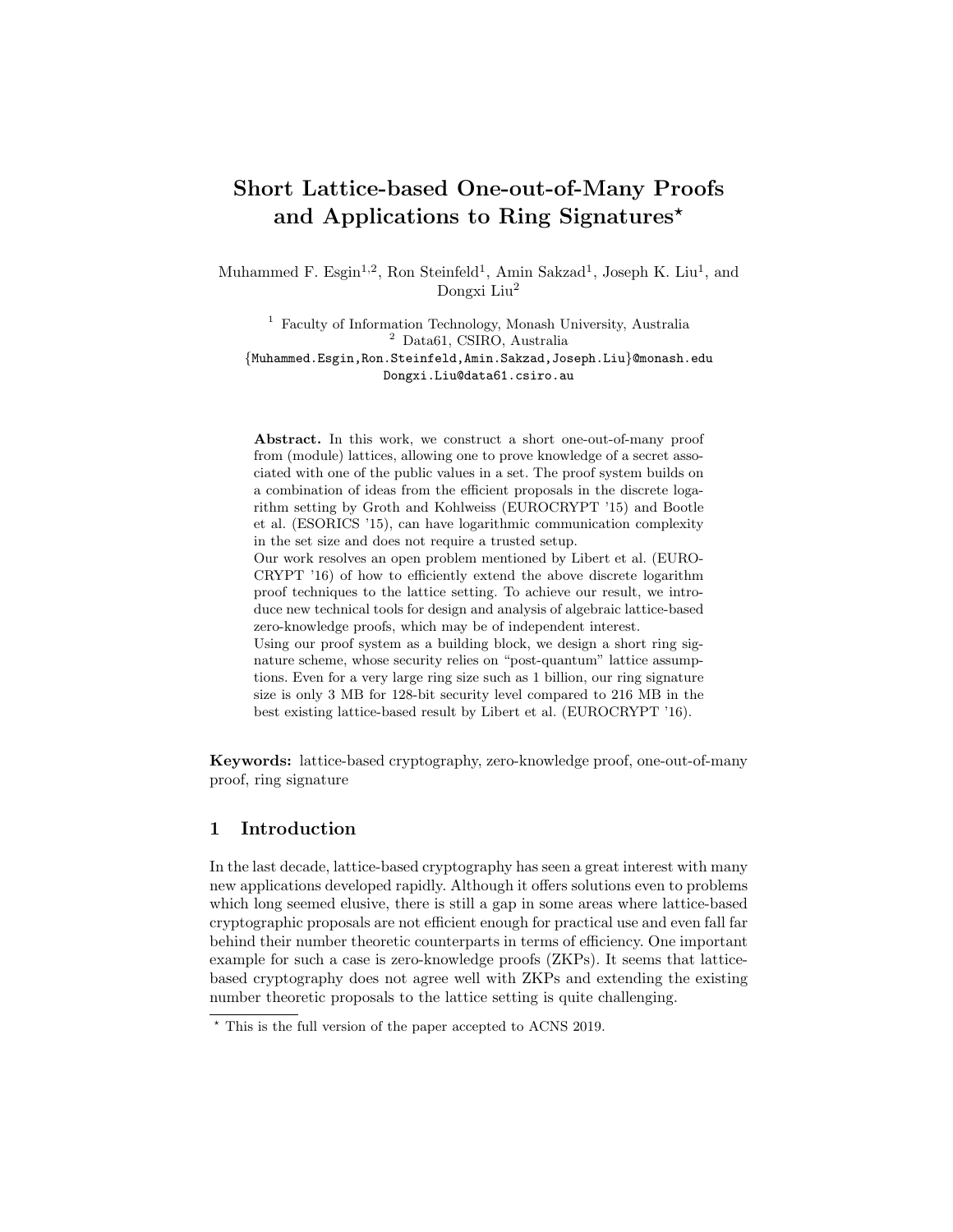# Short Lattice-based One-out-of-Many Proofs and Applications to Ring Signatures\*

Muhammed F. Esgin<sup>1,2</sup>, Ron Steinfeld<sup>1</sup>, Amin Sakzad<sup>1</sup>, Joseph K. Liu<sup>1</sup>, and Dongxi Liu<sup>2</sup>

<sup>1</sup> Faculty of Information Technology, Monash University, Australia <sup>2</sup> Data61, CSIRO, Australia {Muhammed.Esgin,Ron.Steinfeld,Amin.Sakzad,Joseph.Liu}@monash.edu Dongxi.Liu@data61.csiro.au

Abstract. In this work, we construct a short one-out-of-many proof from (module) lattices, allowing one to prove knowledge of a secret associated with one of the public values in a set. The proof system builds on a combination of ideas from the efficient proposals in the discrete logarithm setting by Groth and Kohlweiss (EUROCRYPT '15) and Bootle et al. (ESORICS '15), can have logarithmic communication complexity in the set size and does not require a trusted setup. Our work resolves an open problem mentioned by Libert et al. (EURO-CRYPT '16) of how to efficiently extend the above discrete logarithm proof techniques to the lattice setting. To achieve our result, we introduce new technical tools for design and analysis of algebraic lattice-based zero-knowledge proofs, which may be of independent interest. Using our proof system as a building block, we design a short ring signature scheme, whose security relies on "post-quantum" lattice assumptions. Even for a very large ring size such as 1 billion, our ring signature

Keywords: lattice-based cryptography, zero-knowledge proof, one-out-of-many proof, ring signature

size is only 3 MB for 128-bit security level compared to 216 MB in the best existing lattice-based result by Libert et al. (EUROCRYPT '16).

## 1 Introduction

In the last decade, lattice-based cryptography has seen a great interest with many new applications developed rapidly. Although it offers solutions even to problems which long seemed elusive, there is still a gap in some areas where lattice-based cryptographic proposals are not efficient enough for practical use and even fall far behind their number theoretic counterparts in terms of efficiency. One important example for such a case is zero-knowledge proofs (ZKPs). It seems that latticebased cryptography does not agree well with ZKPs and extending the existing number theoretic proposals to the lattice setting is quite challenging.

 $\star$  This is the full version of the paper accepted to ACNS 2019.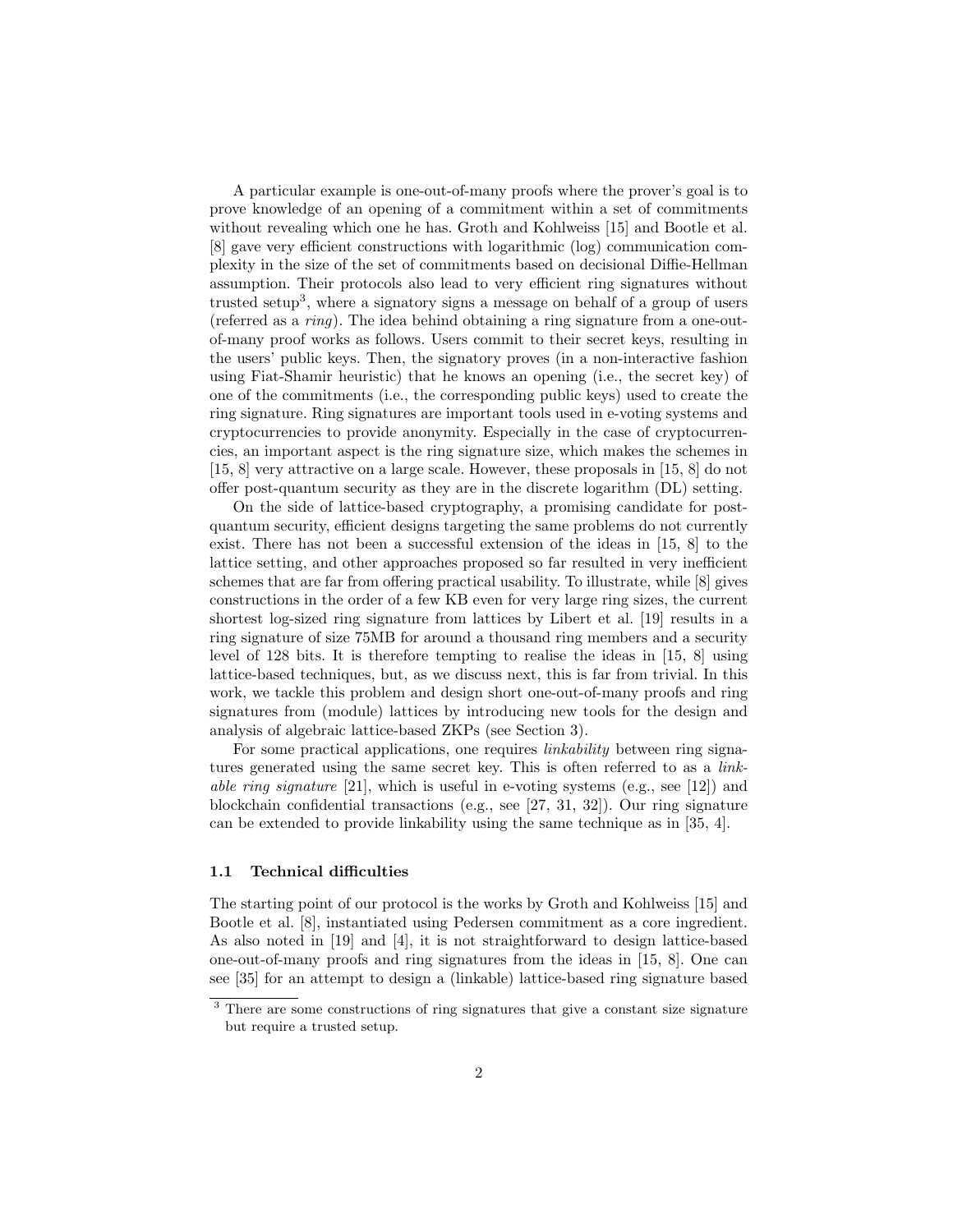A particular example is one-out-of-many proofs where the prover's goal is to prove knowledge of an opening of a commitment within a set of commitments without revealing which one he has. Groth and Kohlweiss [15] and Bootle et al. [8] gave very efficient constructions with logarithmic (log) communication complexity in the size of the set of commitments based on decisional Diffie-Hellman assumption. Their protocols also lead to very efficient ring signatures without trusted setup<sup>3</sup>, where a signatory signs a message on behalf of a group of users (referred as a ring). The idea behind obtaining a ring signature from a one-outof-many proof works as follows. Users commit to their secret keys, resulting in the users' public keys. Then, the signatory proves (in a non-interactive fashion using Fiat-Shamir heuristic) that he knows an opening (i.e., the secret key) of one of the commitments (i.e., the corresponding public keys) used to create the ring signature. Ring signatures are important tools used in e-voting systems and cryptocurrencies to provide anonymity. Especially in the case of cryptocurrencies, an important aspect is the ring signature size, which makes the schemes in [15, 8] very attractive on a large scale. However, these proposals in [15, 8] do not offer post-quantum security as they are in the discrete logarithm (DL) setting.

On the side of lattice-based cryptography, a promising candidate for postquantum security, efficient designs targeting the same problems do not currently exist. There has not been a successful extension of the ideas in [15, 8] to the lattice setting, and other approaches proposed so far resulted in very inefficient schemes that are far from offering practical usability. To illustrate, while [8] gives constructions in the order of a few KB even for very large ring sizes, the current shortest log-sized ring signature from lattices by Libert et al. [19] results in a ring signature of size 75MB for around a thousand ring members and a security level of 128 bits. It is therefore tempting to realise the ideas in [15, 8] using lattice-based techniques, but, as we discuss next, this is far from trivial. In this work, we tackle this problem and design short one-out-of-many proofs and ring signatures from (module) lattices by introducing new tools for the design and analysis of algebraic lattice-based ZKPs (see Section 3).

For some practical applications, one requires *linkability* between ring signatures generated using the same secret key. This is often referred to as a linkable ring signature [21], which is useful in e-voting systems (e.g., see [12]) and blockchain confidential transactions (e.g., see [27, 31, 32]). Our ring signature can be extended to provide linkability using the same technique as in [35, 4].

#### 1.1 Technical difficulties

The starting point of our protocol is the works by Groth and Kohlweiss [15] and Bootle et al. [8], instantiated using Pedersen commitment as a core ingredient. As also noted in [19] and [4], it is not straightforward to design lattice-based one-out-of-many proofs and ring signatures from the ideas in [15, 8]. One can see [35] for an attempt to design a (linkable) lattice-based ring signature based

<sup>&</sup>lt;sup>3</sup> There are some constructions of ring signatures that give a constant size signature but require a trusted setup.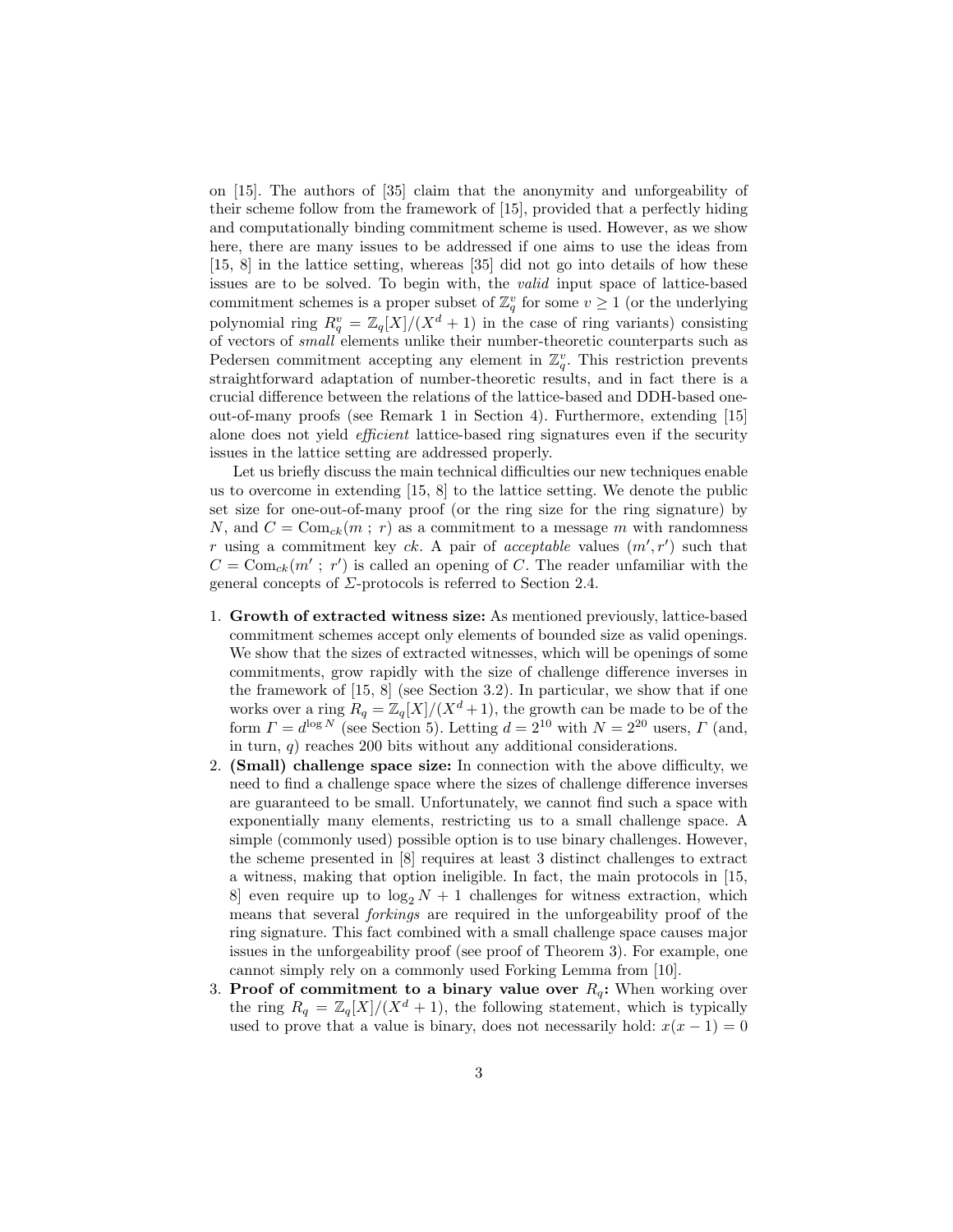on [15]. The authors of [35] claim that the anonymity and unforgeability of their scheme follow from the framework of [15], provided that a perfectly hiding and computationally binding commitment scheme is used. However, as we show here, there are many issues to be addressed if one aims to use the ideas from [15, 8] in the lattice setting, whereas [35] did not go into details of how these issues are to be solved. To begin with, the valid input space of lattice-based commitment schemes is a proper subset of  $\mathbb{Z}_q^v$  for some  $v \geq 1$  (or the underlying polynomial ring  $R_q^v = \mathbb{Z}_q[X]/(X^d + 1)$  in the case of ring variants) consisting of vectors of small elements unlike their number-theoretic counterparts such as Pedersen commitment accepting any element in  $\mathbb{Z}_q^v$ . This restriction prevents straightforward adaptation of number-theoretic results, and in fact there is a crucial difference between the relations of the lattice-based and DDH-based oneout-of-many proofs (see Remark 1 in Section 4). Furthermore, extending [15] alone does not yield *efficient* lattice-based ring signatures even if the security issues in the lattice setting are addressed properly.

Let us briefly discuss the main technical difficulties our new techniques enable us to overcome in extending [15, 8] to the lattice setting. We denote the public set size for one-out-of-many proof (or the ring size for the ring signature) by N, and  $C = \text{Com}_{ck}(m; r)$  as a commitment to a message m with randomness r using a commitment key ck. A pair of acceptable values  $(m', r')$  such that  $C = \text{Com}_{ck}(m'; r')$  is called an opening of C. The reader unfamiliar with the general concepts of  $\Sigma$ -protocols is referred to Section 2.4.

- 1. Growth of extracted witness size: As mentioned previously, lattice-based commitment schemes accept only elements of bounded size as valid openings. We show that the sizes of extracted witnesses, which will be openings of some commitments, grow rapidly with the size of challenge difference inverses in the framework of [15, 8] (see Section 3.2). In particular, we show that if one works over a ring  $R_q = \mathbb{Z}_q[X]/(X^d+1)$ , the growth can be made to be of the form  $\Gamma = d^{\log N}$  (see Section 5). Letting  $d = 2^{10}$  with  $N = 2^{20}$  users,  $\Gamma$  (and, in turn,  $q$ ) reaches 200 bits without any additional considerations.
- 2. (Small) challenge space size: In connection with the above difficulty, we need to find a challenge space where the sizes of challenge difference inverses are guaranteed to be small. Unfortunately, we cannot find such a space with exponentially many elements, restricting us to a small challenge space. A simple (commonly used) possible option is to use binary challenges. However, the scheme presented in [8] requires at least 3 distinct challenges to extract a witness, making that option ineligible. In fact, the main protocols in [15, 8] even require up to  $\log_2 N + 1$  challenges for witness extraction, which means that several forkings are required in the unforgeability proof of the ring signature. This fact combined with a small challenge space causes major issues in the unforgeability proof (see proof of Theorem 3). For example, one cannot simply rely on a commonly used Forking Lemma from [10].
- 3. Proof of commitment to a binary value over  $R_q$ : When working over the ring  $R_q = \mathbb{Z}_q[X]/(X^d + 1)$ , the following statement, which is typically used to prove that a value is binary, does not necessarily hold:  $x(x - 1) = 0$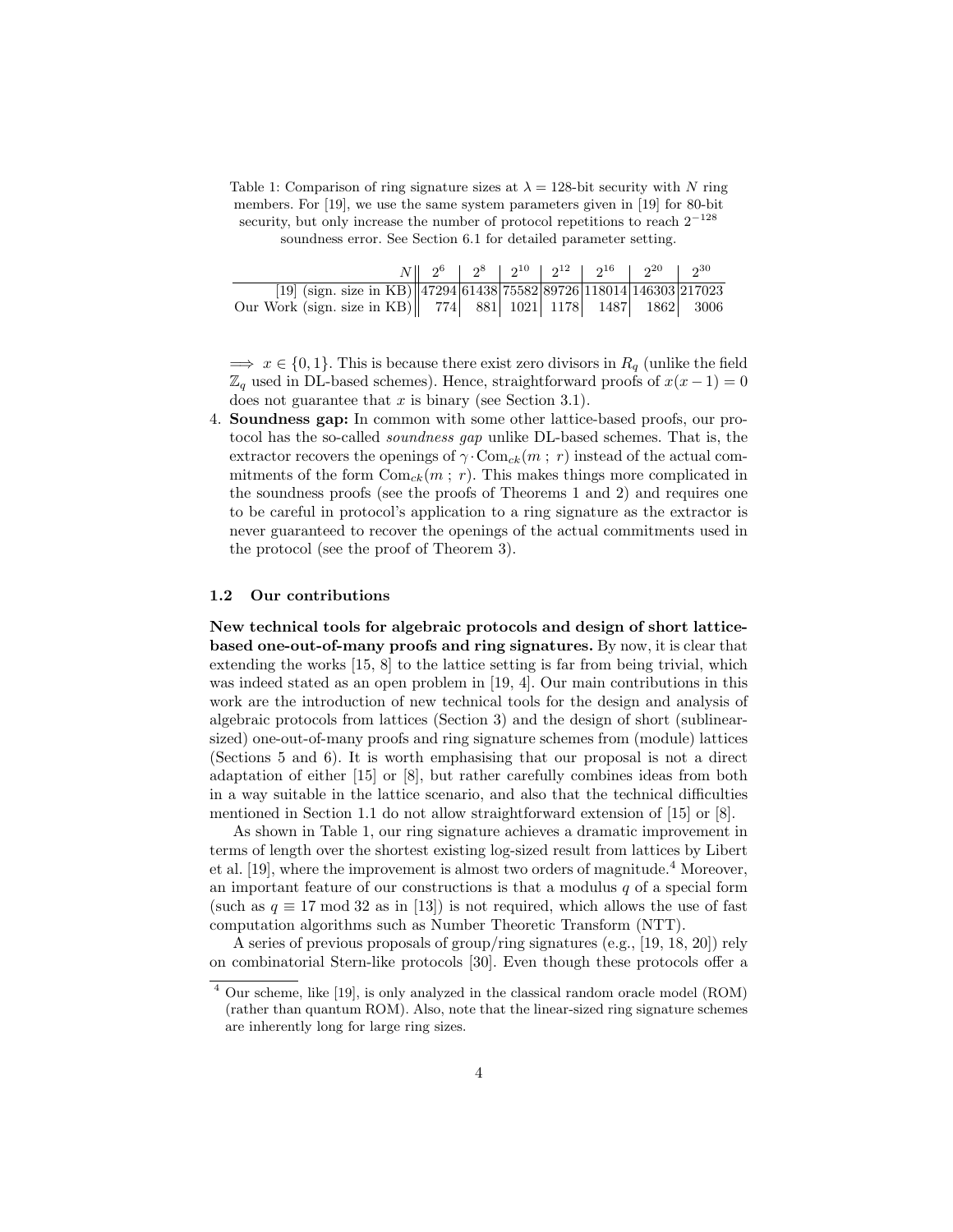Table 1: Comparison of ring signature sizes at  $\lambda = 128$ -bit security with N ring members. For [19], we use the same system parameters given in [19] for 80-bit security, but only increase the number of protocol repetitions to reach  $2^{-128}$ soundness error. See Section 6.1 for detailed parameter setting.

|                                                                       |  |  |  | $N  $ $2^6$   $2^8$   $2^{10}$   $2^{12}$   $2^{16}$   $2^{20}$   $2^{30}$ |  |
|-----------------------------------------------------------------------|--|--|--|----------------------------------------------------------------------------|--|
| [19] (sign. size in KB)  47294 61438 75582 89726 118014 146303 217023 |  |  |  |                                                                            |  |
| Our Work (sign. size in KB) 774 881 1021 1178 1487 1862 3006          |  |  |  |                                                                            |  |

 $\implies x \in \{0,1\}.$  This is because there exist zero divisors in  $R_q$  (unlike the field  $\mathbb{Z}_q$  used in DL-based schemes). Hence, straightforward proofs of  $x(x-1) = 0$ does not guarantee that  $x$  is binary (see Section 3.1).

4. Soundness gap: In common with some other lattice-based proofs, our protocol has the so-called soundness gap unlike DL-based schemes. That is, the extractor recovers the openings of  $\gamma$  Com<sub>ck</sub> $(m, r)$  instead of the actual commitments of the form  $Com_{ck}(m ; r)$ . This makes things more complicated in the soundness proofs (see the proofs of Theorems 1 and 2) and requires one to be careful in protocol's application to a ring signature as the extractor is never guaranteed to recover the openings of the actual commitments used in the protocol (see the proof of Theorem 3).

#### 1.2 Our contributions

New technical tools for algebraic protocols and design of short latticebased one-out-of-many proofs and ring signatures. By now, it is clear that extending the works [15, 8] to the lattice setting is far from being trivial, which was indeed stated as an open problem in [19, 4]. Our main contributions in this work are the introduction of new technical tools for the design and analysis of algebraic protocols from lattices (Section 3) and the design of short (sublinearsized) one-out-of-many proofs and ring signature schemes from (module) lattices (Sections 5 and 6). It is worth emphasising that our proposal is not a direct adaptation of either [15] or [8], but rather carefully combines ideas from both in a way suitable in the lattice scenario, and also that the technical difficulties mentioned in Section 1.1 do not allow straightforward extension of [15] or [8].

As shown in Table 1, our ring signature achieves a dramatic improvement in terms of length over the shortest existing log-sized result from lattices by Libert et al. [19], where the improvement is almost two orders of magnitude.<sup>4</sup> Moreover, an important feature of our constructions is that a modulus  $q$  of a special form (such as  $q \equiv 17 \mod 32$  as in [13]) is not required, which allows the use of fast computation algorithms such as Number Theoretic Transform (NTT).

A series of previous proposals of group/ring signatures (e.g., [19, 18, 20]) rely on combinatorial Stern-like protocols [30]. Even though these protocols offer a

<sup>4</sup> Our scheme, like [19], is only analyzed in the classical random oracle model (ROM) (rather than quantum ROM). Also, note that the linear-sized ring signature schemes are inherently long for large ring sizes.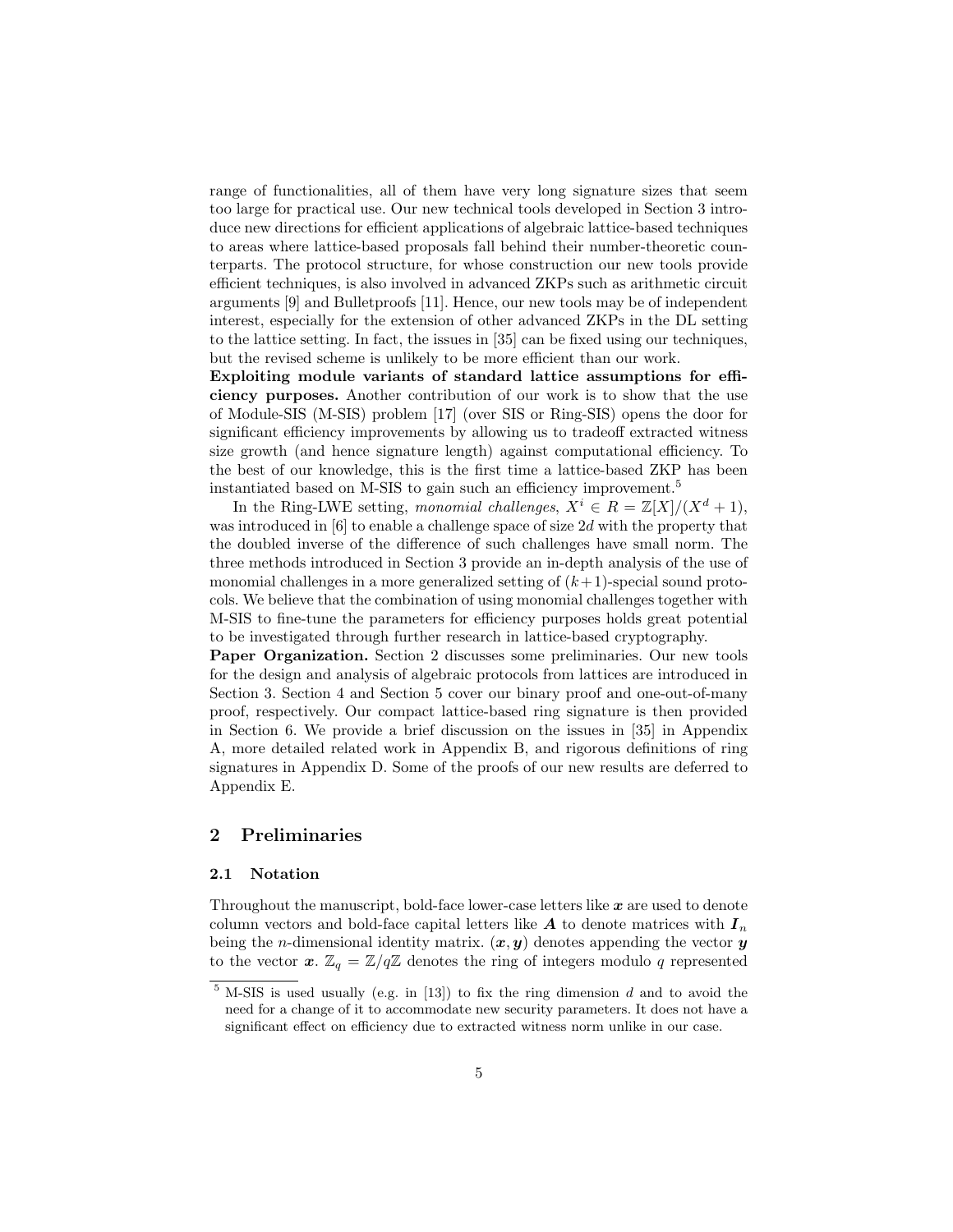range of functionalities, all of them have very long signature sizes that seem too large for practical use. Our new technical tools developed in Section 3 introduce new directions for efficient applications of algebraic lattice-based techniques to areas where lattice-based proposals fall behind their number-theoretic counterparts. The protocol structure, for whose construction our new tools provide efficient techniques, is also involved in advanced ZKPs such as arithmetic circuit arguments [9] and Bulletproofs [11]. Hence, our new tools may be of independent interest, especially for the extension of other advanced ZKPs in the DL setting to the lattice setting. In fact, the issues in [35] can be fixed using our techniques, but the revised scheme is unlikely to be more efficient than our work.

Exploiting module variants of standard lattice assumptions for efficiency purposes. Another contribution of our work is to show that the use of Module-SIS (M-SIS) problem [17] (over SIS or Ring-SIS) opens the door for significant efficiency improvements by allowing us to tradeoff extracted witness size growth (and hence signature length) against computational efficiency. To the best of our knowledge, this is the first time a lattice-based ZKP has been instantiated based on M-SIS to gain such an efficiency improvement.<sup>5</sup>

In the Ring-LWE setting, monomial challenges,  $X^i \in R = \mathbb{Z}[X]/(X^d + 1)$ , was introduced in [6] to enable a challenge space of size 2d with the property that the doubled inverse of the difference of such challenges have small norm. The three methods introduced in Section 3 provide an in-depth analysis of the use of monomial challenges in a more generalized setting of  $(k+1)$ -special sound protocols. We believe that the combination of using monomial challenges together with M-SIS to fine-tune the parameters for efficiency purposes holds great potential to be investigated through further research in lattice-based cryptography.

Paper Organization. Section 2 discusses some preliminaries. Our new tools for the design and analysis of algebraic protocols from lattices are introduced in Section 3. Section 4 and Section 5 cover our binary proof and one-out-of-many proof, respectively. Our compact lattice-based ring signature is then provided in Section 6. We provide a brief discussion on the issues in [35] in Appendix A, more detailed related work in Appendix B, and rigorous definitions of ring signatures in Appendix D. Some of the proofs of our new results are deferred to Appendix E.

# 2 Preliminaries

#### 2.1 Notation

Throughout the manuscript, bold-face lower-case letters like  $x$  are used to denote column vectors and bold-face capital letters like  $A$  to denote matrices with  $I_n$ being the *n*-dimensional identity matrix.  $(x, y)$  denotes appending the vector y to the vector  $x$ .  $\mathbb{Z}_q = \mathbb{Z}/q\mathbb{Z}$  denotes the ring of integers modulo q represented

 $5$  M-SIS is used usually (e.g. in [13]) to fix the ring dimension  $d$  and to avoid the need for a change of it to accommodate new security parameters. It does not have a significant effect on efficiency due to extracted witness norm unlike in our case.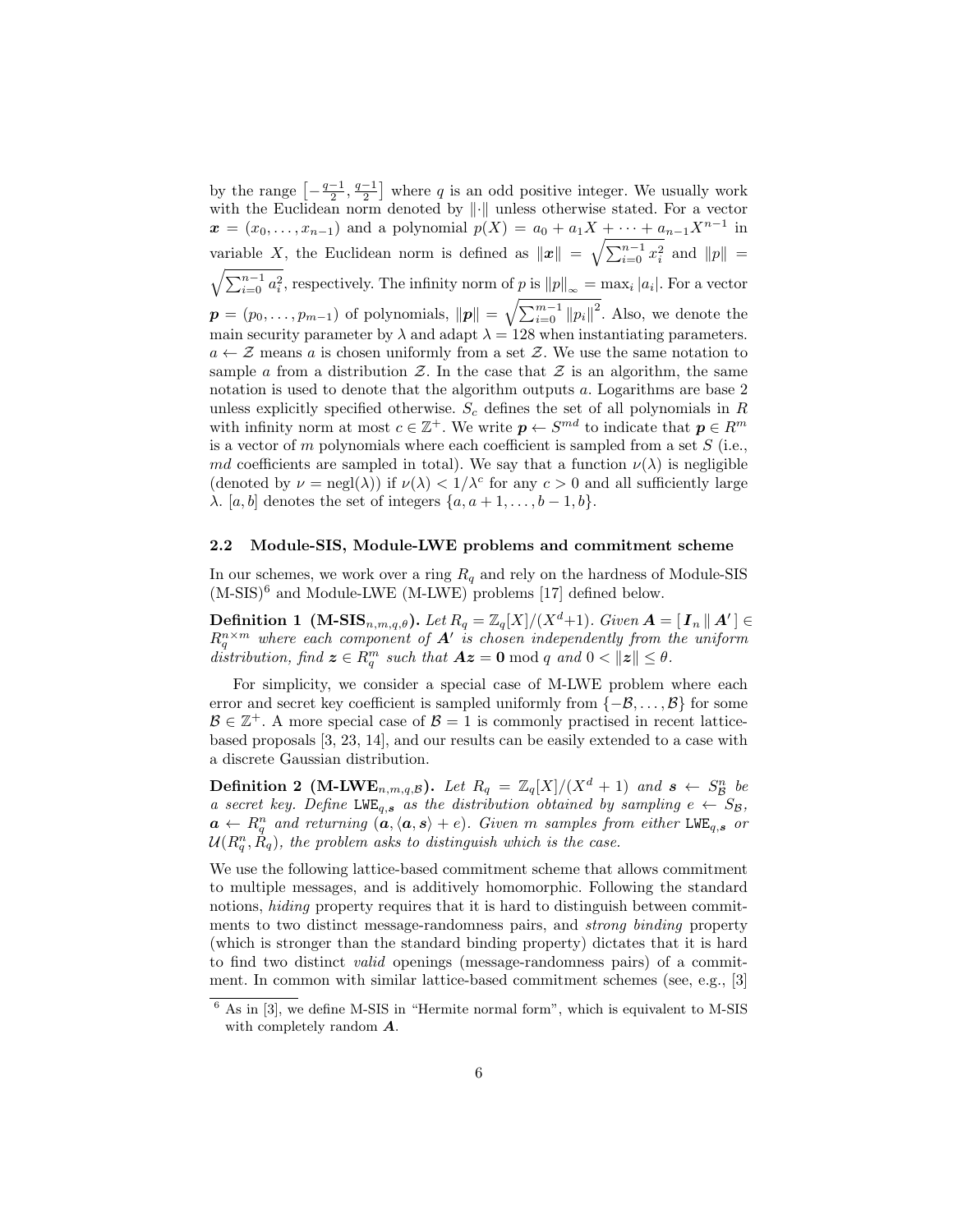by the range  $\left[-\frac{q-1}{2}, \frac{q-1}{2}\right]$  where q is an odd positive integer. We usually work with the Euclidean norm denoted by  $\left\|\cdot\right\|$  unless otherwise stated. For a vector  $x = (x_0, \ldots, x_{n-1})$  and a polynomial  $p(X) = a_0 + a_1X + \cdots + a_{n-1}X^{n-1}$  in variable X, the Euclidean norm is defined as  $||x|| = \sqrt{\sum_{i=0}^{n-1} x_i^2}$  and  $||p|| =$  $\sqrt{\sum_{i=0}^{n-1} a_i^2}$ , respectively. The infinity norm of p is  $||p||_{\infty} = \max_i |a_i|$ . For a vector  $\boldsymbol{p}=(p_0,\ldots,p_{m-1})$  of polynomials,  $\|\boldsymbol{p}\|=\sqrt{\sum_{i=0}^{m-1}\|p_i\|^2}$ . Also, we denote the main security parameter by  $\lambda$  and adapt  $\lambda = 128$  when instantiating parameters.  $a \leftarrow \mathcal{Z}$  means a is chosen uniformly from a set  $\mathcal{Z}$ . We use the same notation to sample a from a distribution  $\mathcal{Z}$ . In the case that  $\mathcal{Z}$  is an algorithm, the same notation is used to denote that the algorithm outputs a. Logarithms are base 2 unless explicitly specified otherwise.  $S_c$  defines the set of all polynomials in  $R$ with infinity norm at most  $c \in \mathbb{Z}^+$ . We write  $p \leftarrow S^{md}$  to indicate that  $p \in R^m$ is a vector of  $m$  polynomials where each coefficient is sampled from a set  $S$  (i.e., md coefficients are sampled in total). We say that a function  $\nu(\lambda)$  is negligible (denoted by  $\nu = \text{negl}(\lambda)$ ) if  $\nu(\lambda) < 1/\lambda^c$  for any  $c > 0$  and all sufficiently large  $\lambda$ . [a, b] denotes the set of integers  $\{a, a+1, \ldots, b-1, b\}.$ 

#### 2.2 Module-SIS, Module-LWE problems and commitment scheme

In our schemes, we work over a ring  $R_q$  and rely on the hardness of Module-SIS  $(M-SIS)^6$  and Module-LWE (M-LWE) problems [17] defined below.

**Definition 1** (M-SIS<sub>n,m,q, $\theta$ ). Let  $R_q = \mathbb{Z}_q[X]/(X^d+1)$ . Given  $A = [I_n || A'] \in$ </sub>  $R_q^{n \times m}$  where each component of  $A'$  is chosen independently from the uniform distribution, find  $\boldsymbol{z} \in R_q^m$  such that  $\boldsymbol{A}\boldsymbol{z} = \boldsymbol{0} \bmod q$  and  $0 < ||\boldsymbol{z}|| \leq \theta$ .

For simplicity, we consider a special case of M-LWE problem where each error and secret key coefficient is sampled uniformly from  $\{-\beta, \ldots, \beta\}$  for some  $\mathcal{B} \in \mathbb{Z}^+$ . A more special case of  $\mathcal{B} = 1$  is commonly practised in recent latticebased proposals [3, 23, 14], and our results can be easily extended to a case with a discrete Gaussian distribution.

**Definition 2 (M-LWE**<sub>n,m,q,B</sub>). Let  $R_q = \mathbb{Z}_q[X]/(X^d + 1)$  and  $s \leftarrow S_{\mathcal{B}}^n$  be a secret key. Define LWE<sub>q,s</sub> as the distribution obtained by sampling  $e \leftarrow S_B$ ,  $a \leftarrow R_q^n$  and returning  $(a, \langle a, s \rangle + e)$ . Given m samples from either LWE<sub>q,s</sub> or  $\mathcal{U}(R^{n}_{q}, \hat{R}_{q}),$  the problem asks to distinguish which is the case.

We use the following lattice-based commitment scheme that allows commitment to multiple messages, and is additively homomorphic. Following the standard notions, hiding property requires that it is hard to distinguish between commitments to two distinct message-randomness pairs, and strong binding property (which is stronger than the standard binding property) dictates that it is hard to find two distinct valid openings (message-randomness pairs) of a commitment. In common with similar lattice-based commitment schemes (see, e.g., [3]

 $6$  As in [3], we define M-SIS in "Hermite normal form", which is equivalent to M-SIS with completely random  $\boldsymbol{A}$ .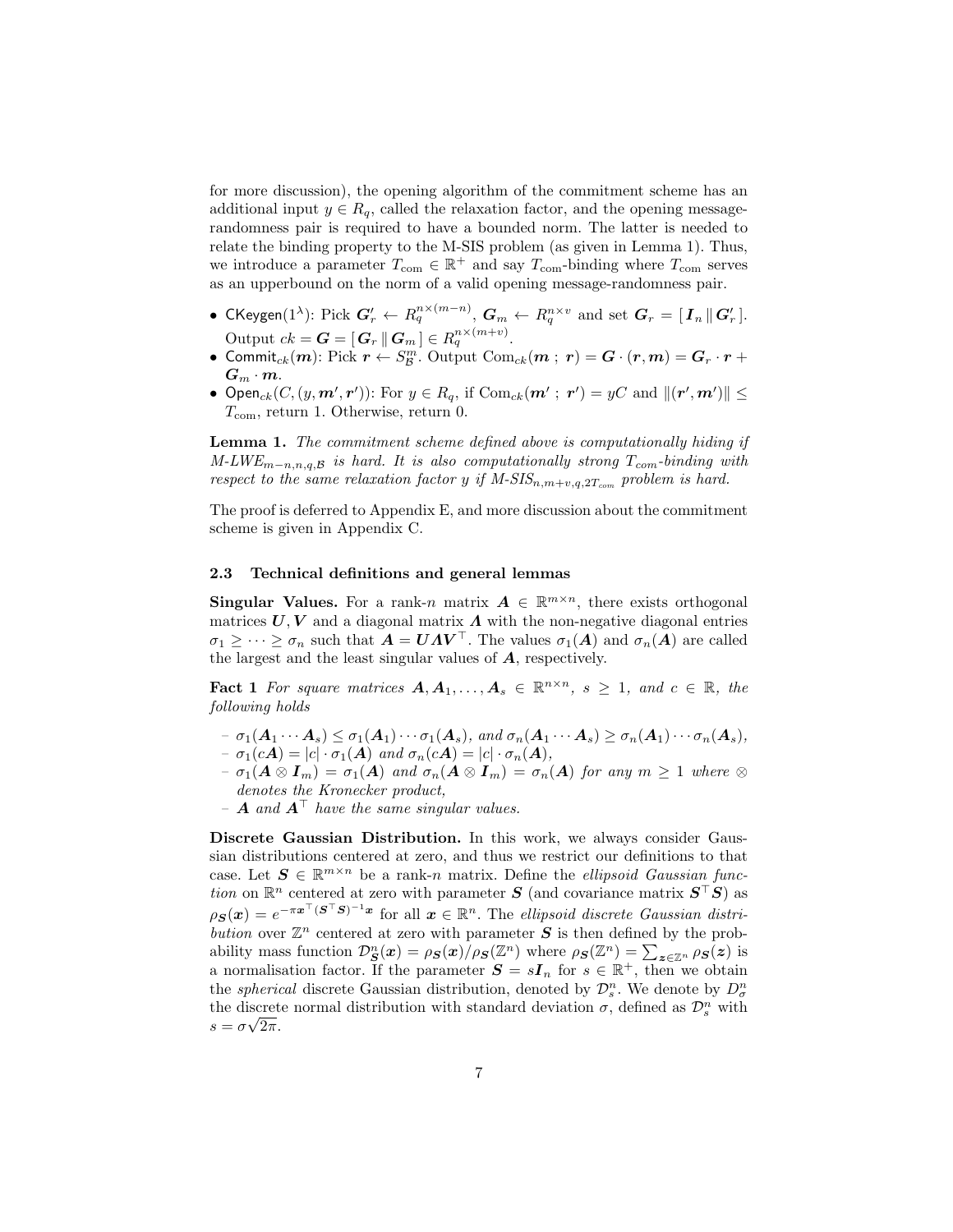for more discussion), the opening algorithm of the commitment scheme has an additional input  $y \in R_q$ , called the relaxation factor, and the opening messagerandomness pair is required to have a bounded norm. The latter is needed to relate the binding property to the M-SIS problem (as given in Lemma 1). Thus, we introduce a parameter  $T_{\text{com}} \in \mathbb{R}^+$  and say  $T_{\text{com}}$ -binding where  $T_{\text{com}}$  serves as an upperbound on the norm of a valid opening message-randomness pair.

- CKeygen(1<sup> $\lambda$ </sup>): Pick  $\boldsymbol{G}'_r \leftarrow R_q^{n \times (m-n)},$   $\boldsymbol{G}_m \leftarrow R_q^{n \times v}$  and set  $\boldsymbol{G}_r = [\boldsymbol{I}_n \, \| \, \boldsymbol{G}'_r\,].$ Output  $ck = \boldsymbol{G} = [\boldsymbol{G}_r \,|\, \boldsymbol{G}_m \,] \in R_q^{n \times (m+v)}$ .
- $\bullet$  Commit $_{ck}(m)$ : Pick  $r \leftarrow S^m_{\mathcal{B}}.$  Output Com $_{ck}(m \; ; \; r) = \bm{G} \cdot (\bm{r}, m) = \bm{G}_r \cdot r + \bm{G}_r$  $G_m \cdot m$ .
- Open<sub>ck</sub> $(C, (y, m', r'))$ : For  $y \in R_q$ , if  $Com_{ck}(m' ; r') = yC$  and  $|| (r', m') || \le$  $T_{\text{com}}$ , return 1. Otherwise, return 0.

Lemma 1. The commitment scheme defined above is computationally hiding if M-LWE<sub>m-n,n,q,B</sub> is hard. It is also computationally strong  $T_{com}$ -binding with respect to the same relaxation factor y if  $M\text{-}SIS_{n,m+v,q,2T_{com}}$  problem is hard.

The proof is deferred to Appendix E, and more discussion about the commitment scheme is given in Appendix C.

#### 2.3 Technical definitions and general lemmas

**Singular Values.** For a rank-n matrix  $A \in \mathbb{R}^{m \times n}$ , there exists orthogonal matrices  $U, V$  and a diagonal matrix  $\Lambda$  with the non-negative diagonal entries  $\sigma_1 \geq \cdots \geq \sigma_n$  such that  $\tilde{A} = UAV^{\top}$ . The values  $\sigma_1(A)$  and  $\sigma_n(A)$  are called the largest and the least singular values of A, respectively.

**Fact 1** For square matrices  $A, A_1, \ldots, A_s \in \mathbb{R}^{n \times n}$ ,  $s \geq 1$ , and  $c \in \mathbb{R}$ , the following holds

- $-\sigma_1(A_1\cdots A_s) \leq \sigma_1(A_1)\cdots\sigma_1(A_s)$ , and  $\sigma_n(A_1\cdots A_s) \geq \sigma_n(A_1)\cdots\sigma_n(A_s)$ ,
- $-\sigma_1(cA) = |c| \cdot \sigma_1(A)$  and  $\sigma_n(cA) = |c| \cdot \sigma_n(A)$ ,
- $\sigma_1(A \otimes I_m) = \sigma_1(A)$  and  $\sigma_n(A \otimes I_m) = \sigma_n(A)$  for any  $m \geq 1$  where  $\otimes$ denotes the Kronecker product,
- **A** and  $A^{\top}$  have the same singular values.

Discrete Gaussian Distribution. In this work, we always consider Gaussian distributions centered at zero, and thus we restrict our definitions to that case. Let  $\mathbf{S} \in \mathbb{R}^{m \times n}$  be a rank-n matrix. Define the *ellipsoid Gaussian func*tion on  $\mathbb{R}^n$  centered at zero with parameter S (and covariance matrix  $S^{\top}S$ ) as  $\rho_{\mathcal{S}}(\bm{x}) = e^{-\pi\bm{x}^\top(\bm{S}^\top\bm{S})^{-1}\bm{x}}$  for all  $\bm{x} \in \mathbb{R}^n$ . The ellipsoid discrete Gaussian distribution over  $\mathbb{Z}^n$  centered at zero with parameter S is then defined by the probability mass function  $\mathcal{D}_{\mathbf{S}}^n(\mathbf{x}) = \rho_{\mathbf{S}}(\mathbf{x})/\rho_{\mathbf{S}}(\mathbb{Z}^n)$  where  $\rho_{\mathbf{S}}(\mathbb{Z}^n) = \sum_{\mathbf{z} \in \mathbb{Z}^n} \rho_{\mathbf{S}}(\mathbf{z})$  is a normalisation factor. If the parameter  $S = sI_n$  for  $s \in \mathbb{R}^+$ , then we obtain the *spherical* discrete Gaussian distribution, denoted by  $\mathcal{D}_s^n$ . We denote by  $D_{\sigma}^n$ the discrete normal distribution with standard deviation  $\sigma$ , defined as  $\mathcal{D}_s^n$  with  $s = \sigma \sqrt{2\pi}.$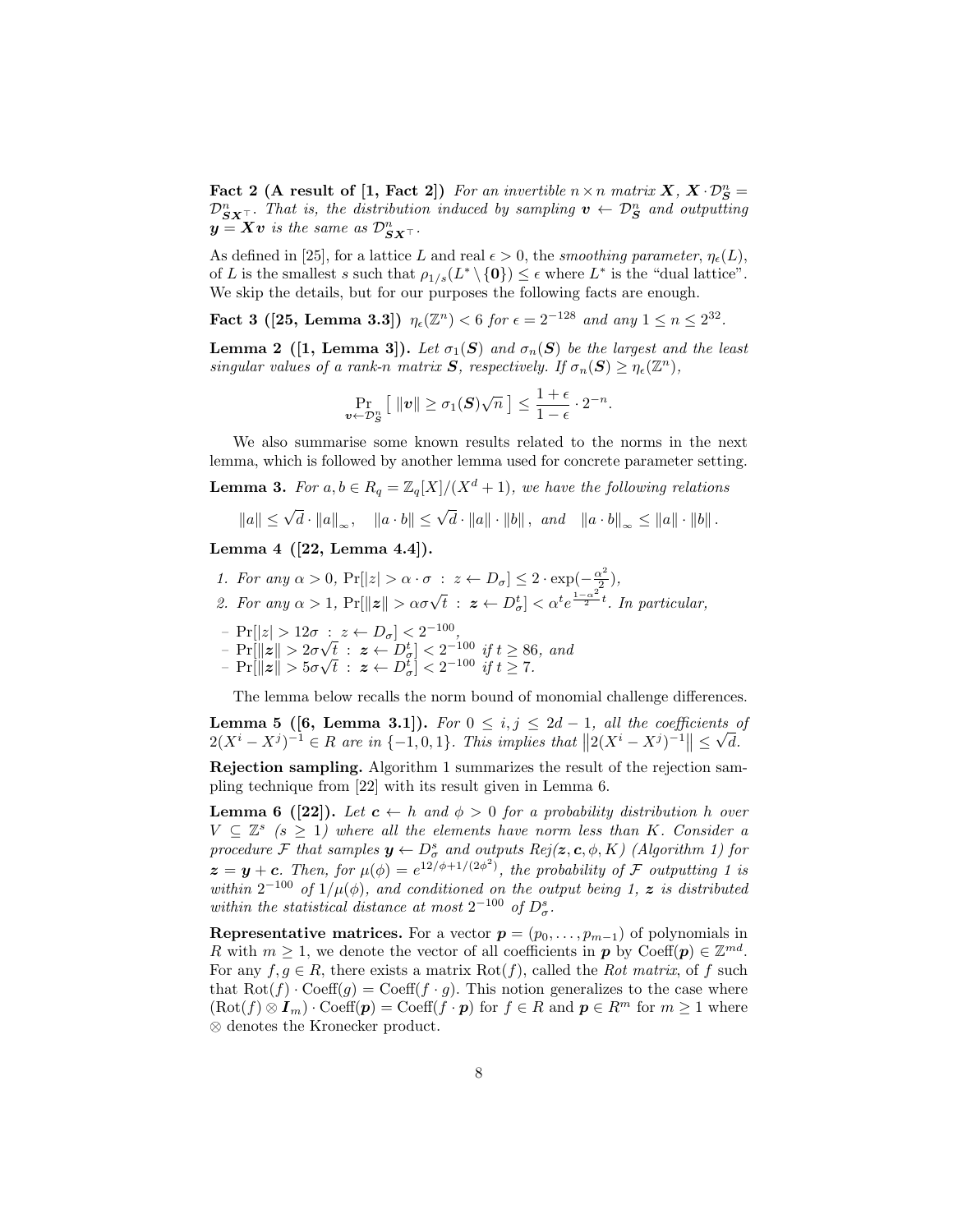Fact 2 (A result of [1, Fact 2]) For an invertible  $n \times n$  matrix  $X, X \cdot \mathcal{D}_S^n =$  $\mathcal{D}_{\mathbf{S} \mathbf{X}^{\top}}^n$ . That is, the distribution induced by sampling  $\mathbf{v} \leftarrow \mathcal{D}_{\mathbf{S}}^n$  and outputting  $y = Xv$  is the same as  $\mathcal{D}_{\boldsymbol{S} \boldsymbol{X}^{\top}}^n$ .

As defined in [25], for a lattice L and real  $\epsilon > 0$ , the smoothing parameter,  $\eta_{\epsilon}(L)$ , of L is the smallest s such that  $\rho_{1/s}(L^* \setminus \{0\}) \leq \epsilon$  where  $L^*$  is the "dual lattice". We skip the details, but for our purposes the following facts are enough.

Fact 3 ([25, Lemma 3.3])  $\eta_{\epsilon}(\mathbb{Z}^n) < 6$  for  $\epsilon = 2^{-128}$  and any  $1 \le n \le 2^{32}$ .

**Lemma 2** ([1, Lemma 3]). Let  $\sigma_1(S)$  and  $\sigma_n(S)$  be the largest and the least singular values of a rank-n matrix  $S$ , respectively. If  $\sigma_n(S) \geq \eta_{\epsilon}(\mathbb{Z}^n)$ ,

$$
\Pr_{\boldsymbol{v}\leftarrow \mathcal{D}_S^n} \left[ \|\boldsymbol{v}\| \geq \sigma_1(\boldsymbol{S})\sqrt{n} \right] \leq \frac{1+\epsilon}{1-\epsilon} \cdot 2^{-n}.
$$

We also summarise some known results related to the norms in the next lemma, which is followed by another lemma used for concrete parameter setting.

**Lemma 3.** For  $a, b \in R_q = \mathbb{Z}_q[X]/(X^d + 1)$ , we have the following relations

$$
||a|| \le \sqrt{d} \cdot ||a||_{\infty}
$$
,  $||a \cdot b|| \le \sqrt{d} \cdot ||a|| \cdot ||b||$ , and  $||a \cdot b||_{\infty} \le ||a|| \cdot ||b||$ .

Lemma 4 ([22, Lemma 4.4]).

- 1. For any  $\alpha > 0$ ,  $Pr[|z| > \alpha \cdot \sigma : z \leftarrow D_{\sigma}] \leq 2 \cdot \exp(-\frac{\alpha^2}{2})$  $\frac{\chi^2}{2}),$
- 2. For any  $\alpha > 1$ ,  $Pr[\Vert z \Vert > \alpha \sigma \sqrt{t} : z \leftarrow D_{\sigma}^t] < \alpha^t e^{\frac{1-\alpha^2}{2}t}$ . In particular,
- $\Pr[|z| > 12\sigma : z \leftarrow D_{\sigma}] < 2^{-100},$
- $-$  Pr[ $||z|| > 2\sigma$  $\begin{array}{l} \begin{array}{l} \hbox{if $t \geq 2$} \end{array} & \begin{array}{l} \hbox{if $t \geq 86$, and} \ \hbox{if $t \geq 86$, and} \end{array} \end{array}$
- $Pr[\|\boldsymbol{z}\| > 5\sigma]$  $\begin{array}{rcl} \nabla t & : & \mathbf{z} \leftarrow D_{\sigma}^t] < 2 \quad \text{for} \quad \mathbf{y} \; t \geq 8t \\ \nabla \bar{t} & : & \mathbf{z} \leftarrow D_{\sigma}^t] < 2^{-100} \quad \text{if} \; t \geq 7. \n\end{array}$

The lemma below recalls the norm bound of monomial challenge differences.

**Lemma 5 ([6, Lemma 3.1]).** For  $0 \leq i, j \leq 2d-1$ , all the coefficients of  $2(X^{i}-X^{j})^{-1} \in R$  are in  $\{-1,0,1\}$ . This implies that  $||2(X^{i}-X^{j})^{-1}|| \leq \sqrt{d}$ .

Rejection sampling. Algorithm 1 summarizes the result of the rejection sampling technique from [22] with its result given in Lemma 6.

**Lemma 6 ([22]).** Let  $c \leftarrow h$  and  $\phi > 0$  for a probability distribution h over  $V \subseteq \mathbb{Z}^s$  (s  $\geq 1$ ) where all the elements have norm less than K. Consider a procedure F that samples  $y \leftarrow D^s_\sigma$  and outputs  $Rej(z, c, \phi, K)$  (Algorithm 1) for  $z = y + c$ . Then, for  $\mu(\phi) = e^{i2/\phi + 1/(2\phi^2)}$ , the probability of F outputting 1 is within  $2^{-100}$  of  $1/\mu(\phi)$ , and conditioned on the output being 1, z is distributed within the statistical distance at most  $2^{-100}$  of  $D^s_{\sigma}$ .

Representative matrices. For a vector  $p = (p_0, \ldots, p_{m-1})$  of polynomials in R with  $m \geq 1$ , we denote the vector of all coefficients in  $p$  by  $\text{Coeff}(p) \in \mathbb{Z}^{md}$ . For any  $f, g \in R$ , there exists a matrix  $Rot(f)$ , called the *Rot matrix*, of f such that  $\text{Rot}(f) \cdot \text{Coeff}(g) = \text{Coeff}(f \cdot g)$ . This notion generalizes to the case where  $(\text{Rot}(f) \otimes I_m) \cdot \text{Coeff}(p) = \text{Coeff}(f \cdot p)$  for  $f \in R$  and  $p \in R^m$  for  $m \ge 1$  where ⊗ denotes the Kronecker product.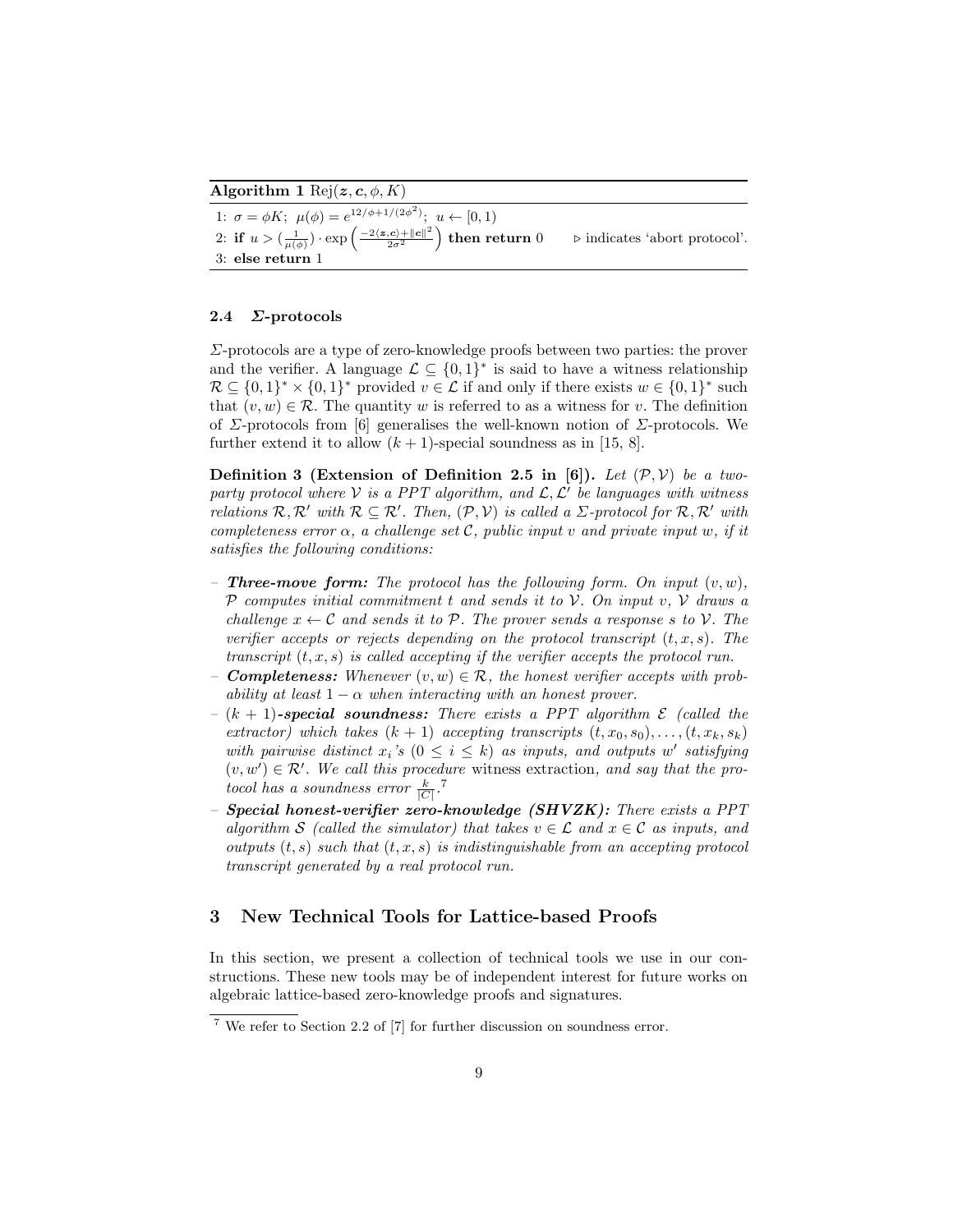Algorithm 1 Rej $(z, c, \phi, K)$ 

1:  $\sigma = \phi K$ ;  $\mu(\phi) = e^{12/\phi + 1/(2\phi^2)}$ ;  $u \leftarrow [0, 1)$ 2: if  $u > (\frac{1}{\mu(\phi)}) \cdot \exp \left( \frac{-2 \langle z, c \rangle + ||c||^2}{2\sigma^2} \right)$  $\frac{\langle \bm{c} \rangle + \|\bm{c}\|^2}{2\sigma^2}$  $\triangleright$  indicates 'abort protocol'. 3: else return 1

## 2.4 Σ-protocols

Σ-protocols are a type of zero-knowledge proofs between two parties: the prover and the verifier. A language  $\mathcal{L} \subseteq \{0,1\}^*$  is said to have a witness relationship  $\mathcal{R} \subseteq \{0,1\}^* \times \{0,1\}^*$  provided  $v \in \mathcal{L}$  if and only if there exists  $w \in \{0,1\}^*$  such that  $(v, w) \in \mathcal{R}$ . The quantity w is referred to as a witness for v. The definition of  $\Sigma$ -protocols from [6] generalises the well-known notion of  $\Sigma$ -protocols. We further extend it to allow  $(k + 1)$ -special soundness as in [15, 8].

Definition 3 (Extension of Definition 2.5 in [6]). Let  $(\mathcal{P}, \mathcal{V})$  be a twoparty protocol where  $V$  is a PPT algorithm, and  $\mathcal{L}, \mathcal{L}'$  be languages with witness relations  $\mathcal{R}, \mathcal{R}'$  with  $\mathcal{R} \subseteq \mathcal{R}'$ . Then,  $(\mathcal{P}, \mathcal{V})$  is called a  $\Sigma$ -protocol for  $\mathcal{R}, \mathcal{R}'$  with completeness error  $\alpha$ , a challenge set C, public input v and private input w, if it satisfies the following conditions:

- **Three-move form:** The protocol has the following form. On input  $(v, w)$ ,  $P$  computes initial commitment t and sends it to  $V$ . On input v,  $V$  draws a challenge  $x \leftarrow C$  and sends it to P. The prover sends a response s to V. The verifier accepts or rejects depending on the protocol transcript  $(t, x, s)$ . The transcript  $(t, x, s)$  is called accepting if the verifier accepts the protocol run.
- **Completeness:** Whenever  $(v, w) \in \mathcal{R}$ , the honest verifier accepts with probability at least  $1 - \alpha$  when interacting with an honest prover.
- $(k + 1)$ -special soundness: There exists a PPT algorithm  $\mathcal E$  (called the extractor) which takes  $(k + 1)$  accepting transcripts  $(t, x_0, s_0), \ldots, (t, x_k, s_k)$ with pairwise distinct  $x_i$ 's  $(0 \leq i \leq k)$  as inputs, and outputs w' satisfying  $(v, w') \in \mathcal{R}'$ . We call this procedure witness extraction, and say that the protocol has a soundness error  $\frac{k}{|C|}$ .<sup>7</sup>
- **Special honest-verifier zero-knowledge (SHVZK):** There exists a  $PPT$ algorithm S (called the simulator) that takes  $v \in \mathcal{L}$  and  $x \in \mathcal{C}$  as inputs, and outputs  $(t, s)$  such that  $(t, x, s)$  is indistinguishable from an accepting protocol transcript generated by a real protocol run.

## 3 New Technical Tools for Lattice-based Proofs

In this section, we present a collection of technical tools we use in our constructions. These new tools may be of independent interest for future works on algebraic lattice-based zero-knowledge proofs and signatures.

<sup>7</sup> We refer to Section 2.2 of [7] for further discussion on soundness error.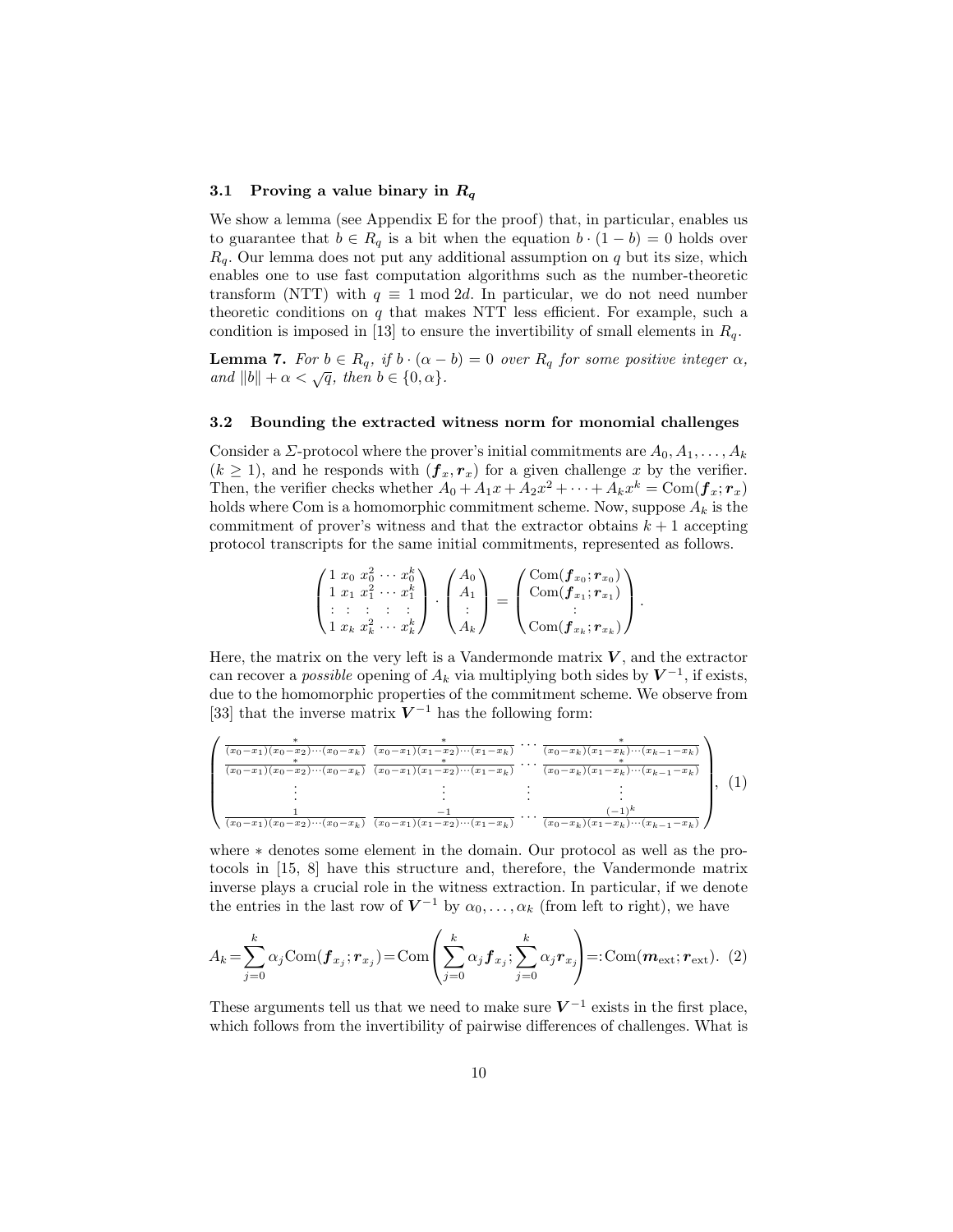#### 3.1 Proving a value binary in  $R_q$

We show a lemma (see Appendix E for the proof) that, in particular, enables us to guarantee that  $b \in R_q$  is a bit when the equation  $b \cdot (1 - b) = 0$  holds over  $R_q$ . Our lemma does not put any additional assumption on q but its size, which enables one to use fast computation algorithms such as the number-theoretic transform (NTT) with  $q \equiv 1 \mod 2d$ . In particular, we do not need number theoretic conditions on  $q$  that makes NTT less efficient. For example, such a condition is imposed in [13] to ensure the invertibility of small elements in  $R_q$ .

**Lemma 7.** For  $b \in R_q$ , if  $b \cdot (\alpha - b) = 0$  over  $R_q$  for some positive integer  $\alpha$ , and  $||b|| + \alpha < \sqrt{q}$ , then  $b \in \{0, \alpha\}.$ 

#### 3.2 Bounding the extracted witness norm for monomial challenges

Consider a  $\Sigma$ -protocol where the prover's initial commitments are  $A_0, A_1, \ldots, A_k$  $(k \geq 1)$ , and he responds with  $(f_x, r_x)$  for a given challenge x by the verifier. Then, the verifier checks whether  $A_0 + A_1x + A_2x^2 + \cdots + A_kx^k = \text{Com}(\boldsymbol{f}_x; \boldsymbol{r}_x)$ holds where Com is a homomorphic commitment scheme. Now, suppose  $A_k$  is the commitment of prover's witness and that the extractor obtains  $k + 1$  accepting protocol transcripts for the same initial commitments, represented as follows.

$$
\begin{pmatrix} 1 & x_0 & x_0^2 & \cdots & x_0^k \\ 1 & x_1 & x_1^2 & \cdots & x_1^k \\ \vdots & \vdots & \vdots & \vdots & \vdots \\ 1 & x_k & x_k^2 & \cdots & x_k^k \end{pmatrix} \cdot \begin{pmatrix} A_0 \\ A_1 \\ \vdots \\ A_k \end{pmatrix} = \begin{pmatrix} \text{Com}(\bm{f}_{x_0}; \bm{r}_{x_0}) \\ \text{Com}(\bm{f}_{x_1}; \bm{r}_{x_1}) \\ \vdots \\ \text{Com}(\bm{f}_{x_k}; \bm{r}_{x_k}) \end{pmatrix}.
$$

Here, the matrix on the very left is a Vandermonde matrix  $V$ , and the extractor can recover a *possible* opening of  $A_k$  via multiplying both sides by  $V^{-1}$ , if exists, due to the homomorphic properties of the commitment scheme. We observe from [33] that the inverse matrix  $V^{-1}$  has the following form:

$$
\begin{pmatrix}\n\frac{\phantom{+}}{(x_0-x_1)(x_0-x_2)\cdots(x_0-x_k)} & \frac{\phantom{+}}{(x_0-x_1)(x_1-x_2)\cdots(x_1-x_k)} & \cdots & \frac{\phantom{+}}{(x_0-x_k)(x_1-x_k)\cdots(x_{k-1}-x_k)} \\
\frac{\phantom{+}}{(x_0-x_1)(x_0-x_2)\cdots(x_0-x_k)} & \frac{\phantom{+}}{(x_0-x_1)(x_1-x_2)\cdots(x_1-x_k)} & \cdots & \frac{\phantom{+}}{(x_0-x_k)(x_1-x_k)\cdots(x_{k-1}-x_k)} \\
\vdots & \vdots & \ddots & \vdots \\
\frac{\phantom{+}}{(x_0-x_1)(x_0-x_2)\cdots(x_0-x_k)} & \frac{-1}{(x_0-x_1)(x_1-x_2)\cdots(x_1-x_k)} & \cdots & \frac{(-1)^k}{(x_0-x_k)(x_1-x_k)\cdots(x_{k-1}-x_k)}\n\end{pmatrix}, (1)
$$

where ∗ denotes some element in the domain. Our protocol as well as the protocols in [15, 8] have this structure and, therefore, the Vandermonde matrix inverse plays a crucial role in the witness extraction. In particular, if we denote the entries in the last row of  $V^{-1}$  by  $\alpha_0, \ldots, \alpha_k$  (from left to right), we have

$$
A_k = \sum_{j=0}^k \alpha_j \text{Com}(\boldsymbol{f}_{x_j}; \boldsymbol{r}_{x_j}) = \text{Com}\left(\sum_{j=0}^k \alpha_j \boldsymbol{f}_{x_j}; \sum_{j=0}^k \alpha_j \boldsymbol{r}_{x_j}\right) =: \text{Com}(\boldsymbol{m}_{\text{ext}}; \boldsymbol{r}_{\text{ext}}). (2)
$$

These arguments tell us that we need to make sure  $V^{-1}$  exists in the first place, which follows from the invertibility of pairwise differences of challenges. What is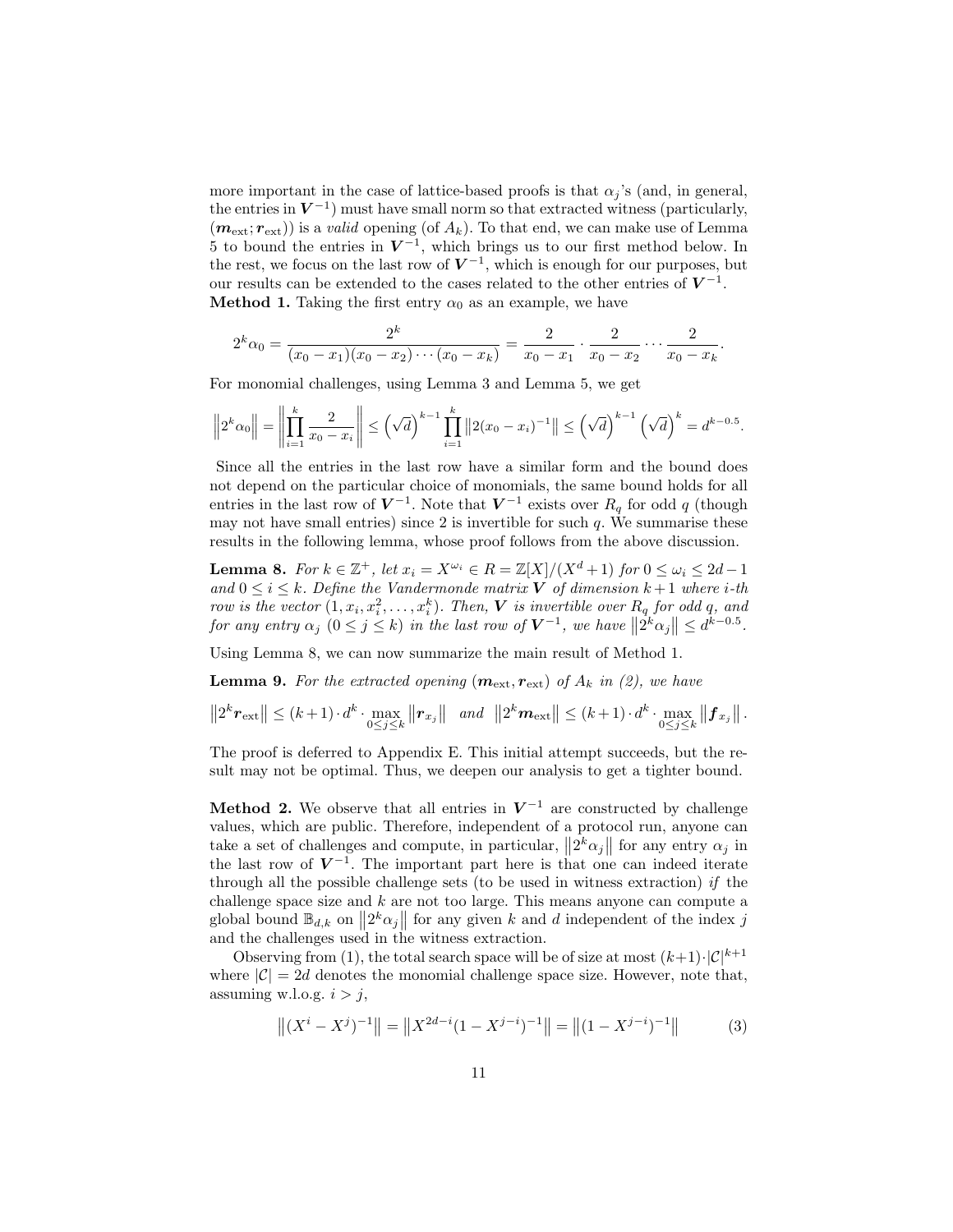more important in the case of lattice-based proofs is that  $\alpha_i$ 's (and, in general, the entries in  $V^{-1}$ ) must have small norm so that extracted witness (particularly,  $(m_{\text{ext}}; r_{\text{ext}})$  is a valid opening (of  $A_k$ ). To that end, we can make use of Lemma 5 to bound the entries in  $V^{-1}$ , which brings us to our first method below. In the rest, we focus on the last row of  $V^{-1}$ , which is enough for our purposes, but our results can be extended to the cases related to the other entries of  $V^{-1}$ . **Method 1.** Taking the first entry  $\alpha_0$  as an example, we have

$$
2^{k}\alpha_0 = \frac{2^{k}}{(x_0 - x_1)(x_0 - x_2)\cdots(x_0 - x_k)} = \frac{2}{x_0 - x_1} \cdot \frac{2}{x_0 - x_2} \cdots \frac{2}{x_0 - x_k}.
$$

For monomial challenges, using Lemma 3 and Lemma 5, we get

$$
\left\|2^{k}\alpha_{0}\right\| = \left\|\prod_{i=1}^{k} \frac{2}{x_{0}-x_{i}}\right\| \leq \left(\sqrt{d}\right)^{k-1} \prod_{i=1}^{k} \left\|2(x_{0}-x_{i})^{-1}\right\| \leq \left(\sqrt{d}\right)^{k-1} \left(\sqrt{d}\right)^{k} = d^{k-0.5}.
$$

Since all the entries in the last row have a similar form and the bound does not depend on the particular choice of monomials, the same bound holds for all entries in the last row of  $V^{-1}$ . Note that  $V^{-1}$  exists over  $R_q$  for odd q (though may not have small entries) since 2 is invertible for such  $q$ . We summarise these results in the following lemma, whose proof follows from the above discussion.

**Lemma 8.** For  $k \in \mathbb{Z}^+$ , let  $x_i = X^{\omega_i} \in R = \mathbb{Z}[X]/(X^d + 1)$  for  $0 \le \omega_i \le 2d - 1$ and  $0 \leq i \leq k$ . Define the Vandermonde matrix **V** of dimension  $k+1$  where *i*-th row is the vector  $(1, x_i, x_i^2, \ldots, x_i^k)$ . Then, V is invertible over  $R_q$  for odd q, and for any entry  $\alpha_j$   $(0 \le j \le k)$  in the last row of  $V^{-1}$ , we have  $||2^k \alpha_j|| \le d^{k-0.5}$ .

Using Lemma 8, we can now summarize the main result of Method 1.

**Lemma 9.** For the extracted opening  $(m_{\text{ext}}, r_{\text{ext}})$  of  $A_k$  in (2), we have

$$
||2^k r_{\text{ext}}|| \leq (k+1) \cdot d^k \cdot \max_{0 \leq j \leq k} ||r_{x_j}|| \quad \text{and} \quad ||2^k m_{\text{ext}}|| \leq (k+1) \cdot d^k \cdot \max_{0 \leq j \leq k} ||f_{x_j}||.
$$

The proof is deferred to Appendix E. This initial attempt succeeds, but the result may not be optimal. Thus, we deepen our analysis to get a tighter bound.

**Method 2.** We observe that all entries in  $V^{-1}$  are constructed by challenge values, which are public. Therefore, independent of a protocol run, anyone can take a set of challenges and compute, in particular,  $||2^k \alpha_j||$  for any entry  $\alpha_j$  in the last row of  $V^{-1}$ . The important part here is that one can indeed iterate through all the possible challenge sets (to be used in witness extraction) if the challenge space size and  $k$  are not too large. This means anyone can compute a global bound  $\mathbb{B}_{d,k}$  on  $||2^k \alpha_j||$  for any given k and d independent of the index j and the challenges used in the witness extraction.

Observing from (1), the total search space will be of size at most  $(k+1)\cdot |\mathcal{C}|^{k+1}$ where  $|\mathcal{C}| = 2d$  denotes the monomial challenge space size. However, note that, assuming w.l.o.g.  $i > j$ ,

$$
\left\| (X^{i} - X^{j})^{-1} \right\| = \left\| X^{2d-i} (1 - X^{j-i})^{-1} \right\| = \left\| (1 - X^{j-i})^{-1} \right\|
$$
 (3)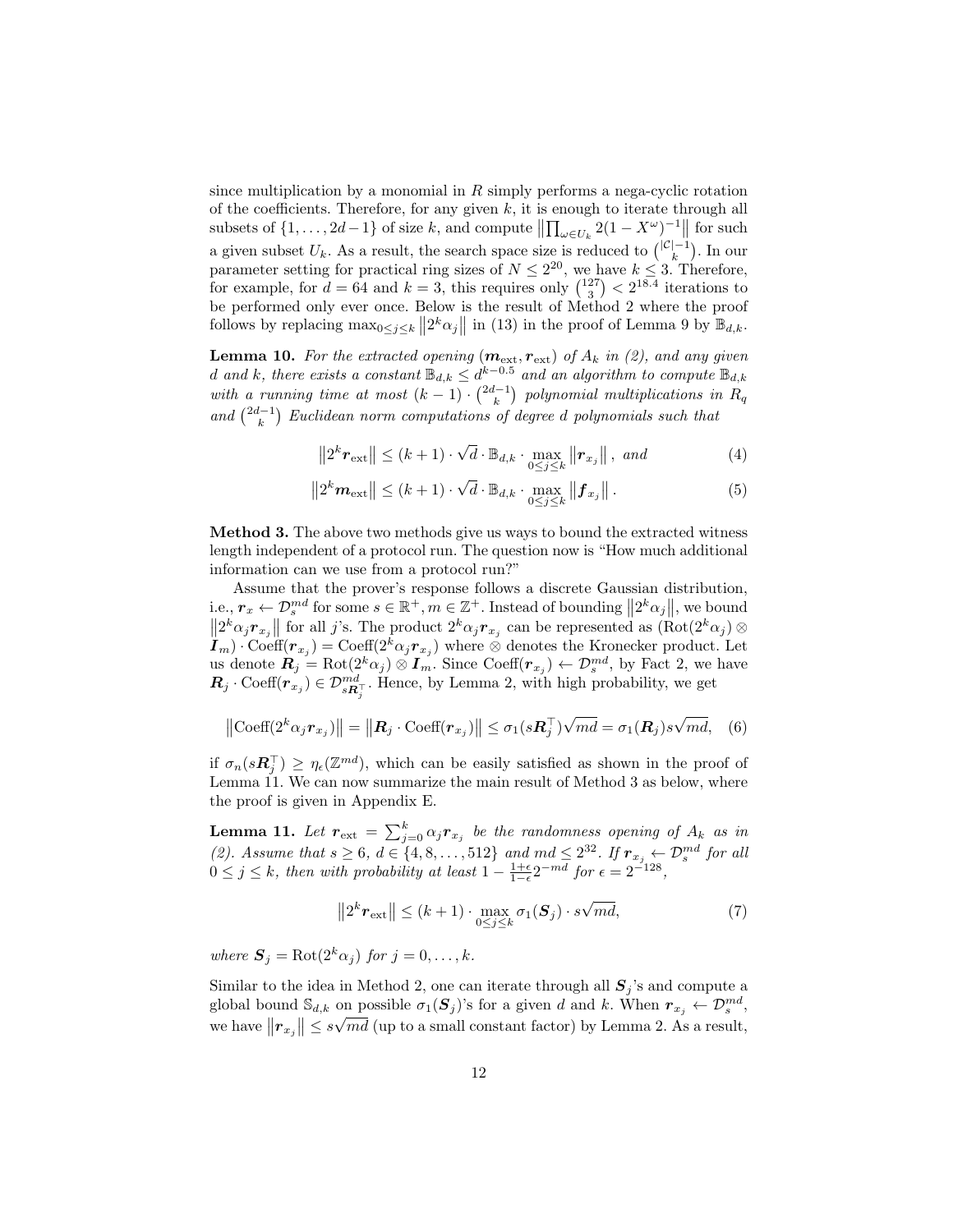since multiplication by a monomial in  $R$  simply performs a nega-cyclic rotation of the coefficients. Therefore, for any given  $k$ , it is enough to iterate through all subsets of  $\{1,\ldots,2d-1\}$  of size k, and compute  $\left\|\prod_{\omega\in U_k}2(1-X^{\omega})^{-1}\right\|$  for such a given subset  $U_k$ . As a result, the search space size is reduced to  $\binom{|C|-1}{k}$ . In our parameter setting for practical ring sizes of  $N \leq 2^{20}$ , we have  $k \leq 3$ . Therefore, for example, for  $d = 64$  and  $k = 3$ , this requires only  $\binom{127}{3} < 2^{18.4}$  iterations to be performed only ever once. Below is the result of Method 2 where the proof follows by replacing  $\max_{0 \le j \le k} ||2^k \alpha_j||$  in (13) in the proof of Lemma 9 by  $\mathbb{B}_{d,k}$ .

**Lemma 10.** For the extracted opening  $(m_{\text{ext}}, r_{\text{ext}})$  of  $A_k$  in (2), and any given d and k, there exists a constant  $\mathbb{B}_{d,k} \leq d^{k-0.5}$  and an algorithm to compute  $\mathbb{B}_{d,k}$ with a running time at most  $(k-1) \cdot {2d-1 \choose k}$  polynomial multiplications in  $R_q$ and  $\binom{2d-1}{k}$  Euclidean norm computations of degree d polynomials such that

$$
||2^{k} \boldsymbol{r}_{\text{ext}}|| \leq (k+1) \cdot \sqrt{d} \cdot \mathbb{B}_{d,k} \cdot \max_{0 \leq j \leq k} ||\boldsymbol{r}_{x_{j}}||, \text{ and } (4)
$$

$$
||2^k \mathbf{m}_{\text{ext}}|| \leq (k+1) \cdot \sqrt{d} \cdot \mathbb{B}_{d,k} \cdot \max_{0 \leq j \leq k} ||\mathbf{f}_{x_j}||. \tag{5}
$$

Method 3. The above two methods give us ways to bound the extracted witness length independent of a protocol run. The question now is "How much additional information can we use from a protocol run?"

Assume that the prover's response follows a discrete Gaussian distribution, i.e.,  $r_x \leftarrow \mathcal{D}_s^{md}$  for some  $s \in \mathbb{R}^+, m \in \mathbb{Z}^+$ . Instead of bounding  $||2^k \alpha_j||$ , we bound  $\left\| 2^k \alpha_j r_{x_j} \right\|$  for all j's. The product  $2^k \alpha_j r_{x_j}$  can be represented as  $(\text{Rot}(2^k \alpha_j) \otimes$  $I_m$ ) · Coeff( $r_{x_j}$ ) = Coeff( $2^k \alpha_j r_{x_j}$ ) where ⊗ denotes the Kronecker product. Let us denote  $\mathbf{R}_j = \text{Rot}(2^k \alpha_j) \otimes \mathbf{I}_{m}$ . Since  $\text{Coeff}(\mathbf{r}_{x_j}) \leftarrow \mathcal{D}_s^{md}$ , by Fact 2, we have  $\mathbf{R}_j \cdot \text{Coeff}(r_{x_j}) \in \mathcal{D}_{s\mathbf{R}_j^+}^{md}$ . Hence, by Lemma 2, with high probability, we get

$$
\left\|\operatorname{Coeff}(2^{k}\alpha_{j}\boldsymbol{r}_{x_{j}})\right\|=\left\|\boldsymbol{R}_{j}\cdot\operatorname{Coeff}(\boldsymbol{r}_{x_{j}})\right\|\leq\sigma_{1}(s\boldsymbol{R}_{j}^{\top})\sqrt{md}=\sigma_{1}(\boldsymbol{R}_{j})s\sqrt{md},\quad(6)
$$

if  $\sigma_n(s\mathbf{R}_j^{\top}) \geq \eta_{\epsilon}(\mathbb{Z}^{md})$ , which can be easily satisfied as shown in the proof of Lemma 11. We can now summarize the main result of Method 3 as below, where the proof is given in Appendix E.

**Lemma 11.** Let  $r_{\text{ext}} = \sum_{j=0}^{k} \alpha_j r_{x_j}$  be the randomness opening of  $A_k$  as in (2). Assume that  $s \geq 6$ ,  $d \in \{4, 8, \ldots, 512\}$  and  $md \leq 2^{32}$ . If  $r_{x_j} \leftarrow \mathcal{D}_s^{md}$  for all  $0 \leq j \leq k$ , then with probability at least  $1 - \frac{1+\epsilon}{1-\epsilon} 2^{-md}$  for  $\epsilon = 2^{-128}$ ,

$$
||2^k r_{\text{ext}}|| \le (k+1) \cdot \max_{0 \le j \le k} \sigma_1(\mathbf{S}_j) \cdot s\sqrt{md}, \tag{7}
$$

where  $S_j = \text{Rot}(2^k \alpha_j)$  for  $j = 0, ..., k$ .

Similar to the idea in Method 2, one can iterate through all  $S_j$ 's and compute a global bound  $\mathbb{S}_{d,k}$  on possible  $\sigma_1(\mathbf{S}_j)$ 's for a given d and k. When  $r_{x_j} \leftarrow \mathcal{D}_s^{md}$ , we have  $||\mathbf{r}_{x_j}|| \leq s\sqrt{md}$  (up to a small constant factor) by Lemma 2. As a result,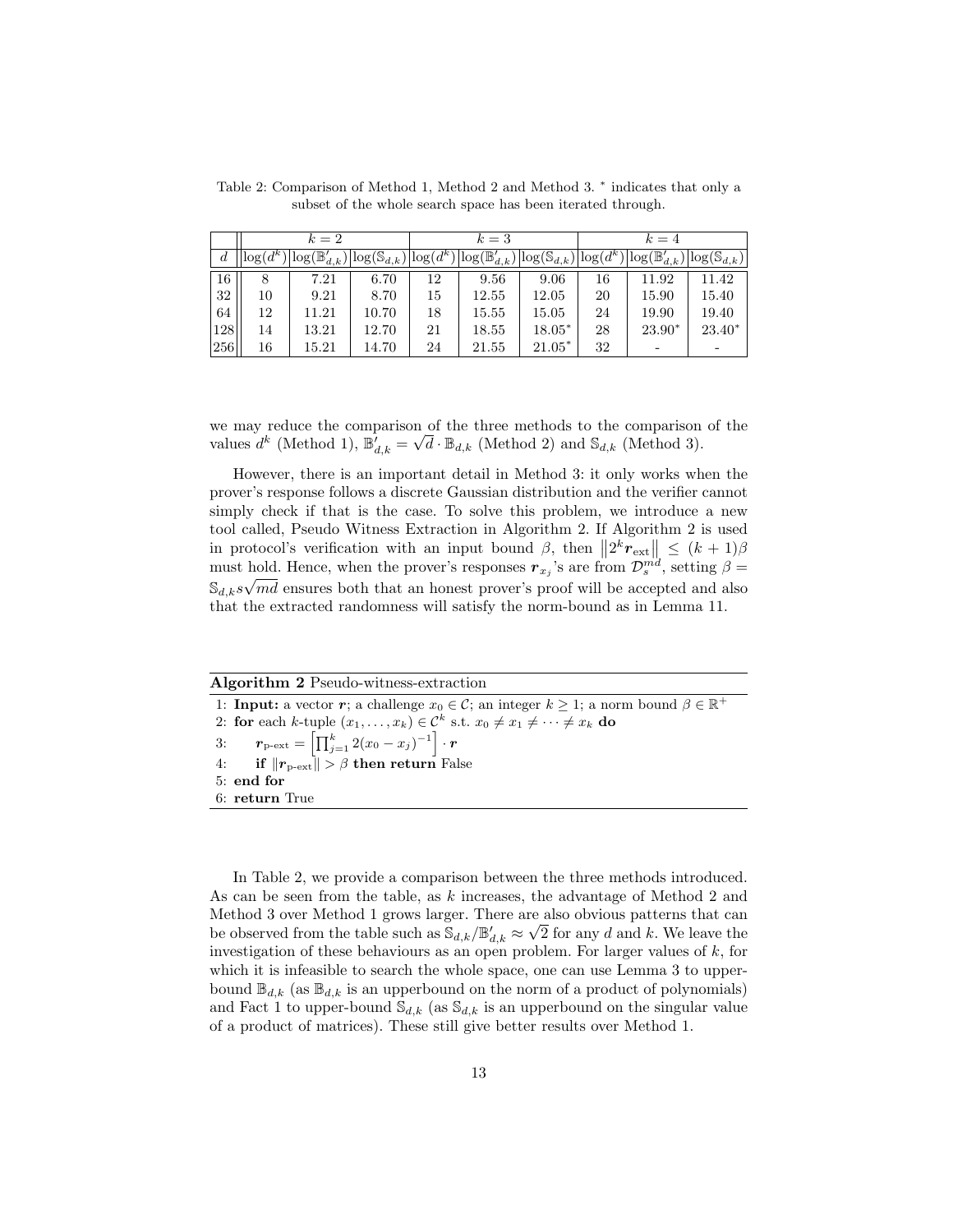|                | $k=2$        |                              |                                      |    | $k=3$                                                                  |          | $k=4$ |                           |                            |
|----------------|--------------|------------------------------|--------------------------------------|----|------------------------------------------------------------------------|----------|-------|---------------------------|----------------------------|
| $\overline{d}$ | $log(d^{k})$ | $\lq \log(\mathbb{B}_{d,k})$ | $ \log(\mathbb{S}_{d,k})  \log(d^k)$ |    | $\log(\mathbb{B}_{d,k}') \big  \log(\mathbb{S}_{d,k}) \big  \log(d^k)$ |          |       | $\log(\mathbb{B}_{d,k}')$ | $ \log(\mathbb{S}_{d,k}) $ |
| 16             |              | 7.21                         | 6.70                                 | 12 | 9.56                                                                   | 9.06     | 16    | 11.92                     | 11.42                      |
| 32             | 10           | 9.21                         | 8.70                                 | 15 | 12.55                                                                  | 12.05    | 20    | 15.90                     | 15.40                      |
| 64             | 12           | 11.21                        | 10.70                                | 18 | 15.55                                                                  | 15.05    | 24    | 19.90                     | 19.40                      |
| 128            | 14           | 13.21                        | 12.70                                | 21 | 18.55                                                                  | $18.05*$ | 28    | $23.90*$                  | $23.40*$                   |
| 256            | 16           | 15.21                        | 14.70                                | 24 | 21.55                                                                  | $21.05*$ | 32    |                           |                            |

Table 2: Comparison of Method 1, Method 2 and Method 3.  $*$  indicates that only a subset of the whole search space has been iterated through.

we may reduce the comparison of the three methods to the comparison of the values  $d^k$  (Method 1),  $\mathbb{B}'_{d,k} = \sqrt{d} \cdot \mathbb{B}_{d,k}$  (Method 2) and  $\mathbb{S}_{d,k}$  (Method 3).

However, there is an important detail in Method 3: it only works when the prover's response follows a discrete Gaussian distribution and the verifier cannot simply check if that is the case. To solve this problem, we introduce a new tool called, Pseudo Witness Extraction in Algorithm 2. If Algorithm 2 is used in protocol's verification with an input bound  $\beta$ , then  $||2^k r_{ext}|| \leq (k+1)\beta$ must hold. Hence, when the prover's responses  $r_{x_j}$ 's are from  $\mathcal{D}_s^{md}$ , setting  $\beta =$  $\mathbb{S}_{d,k} s \sqrt{md}$  ensures both that an honest prover's proof will be accepted and also that the extracted randomness will satisfy the norm-bound as in Lemma 11.

|  |  | Algorithm 2 Pseudo-witness-extraction |
|--|--|---------------------------------------|
|--|--|---------------------------------------|

1: **Input:** a vector  $r$ ; a challenge  $x_0 \in C$ ; an integer  $k \geq 1$ ; a norm bound  $\beta \in \mathbb{R}^+$ 2: for each k-tuple  $(x_1, \ldots, x_k) \in \mathcal{C}^k$  s.t.  $x_0 \neq x_1 \neq \cdots \neq x_k$  do  $3\colon\quad\quad \bm{r}_{\mathrm{p-ext}}=\left[\prod_{j=1}^{k}2(x_{0}-x_{j})^{-1}\right]\cdot\bm{r}$ 4: if  $||r_{\text{p-ext}}|| > \beta$  then return False 5: end for 6: return True

In Table 2, we provide a comparison between the three methods introduced. As can be seen from the table, as k increases, the advantage of Method 2 and Method 3 over Method 1 grows larger. There are also obvious patterns that can be observed from the table such as  $\mathbb{S}_{d,k}/\mathbb{B}_{d,k}' \approx \sqrt{2}$  for any d and k. We leave the investigation of these behaviours as an open problem. For larger values of  $k$ , for which it is infeasible to search the whole space, one can use Lemma 3 to upperbound  $\mathbb{B}_{d,k}$  (as  $\mathbb{B}_{d,k}$  is an upperbound on the norm of a product of polynomials) and Fact 1 to upper-bound  $\mathcal{S}_{d,k}$  (as  $\mathcal{S}_{d,k}$  is an upperbound on the singular value of a product of matrices). These still give better results over Method 1.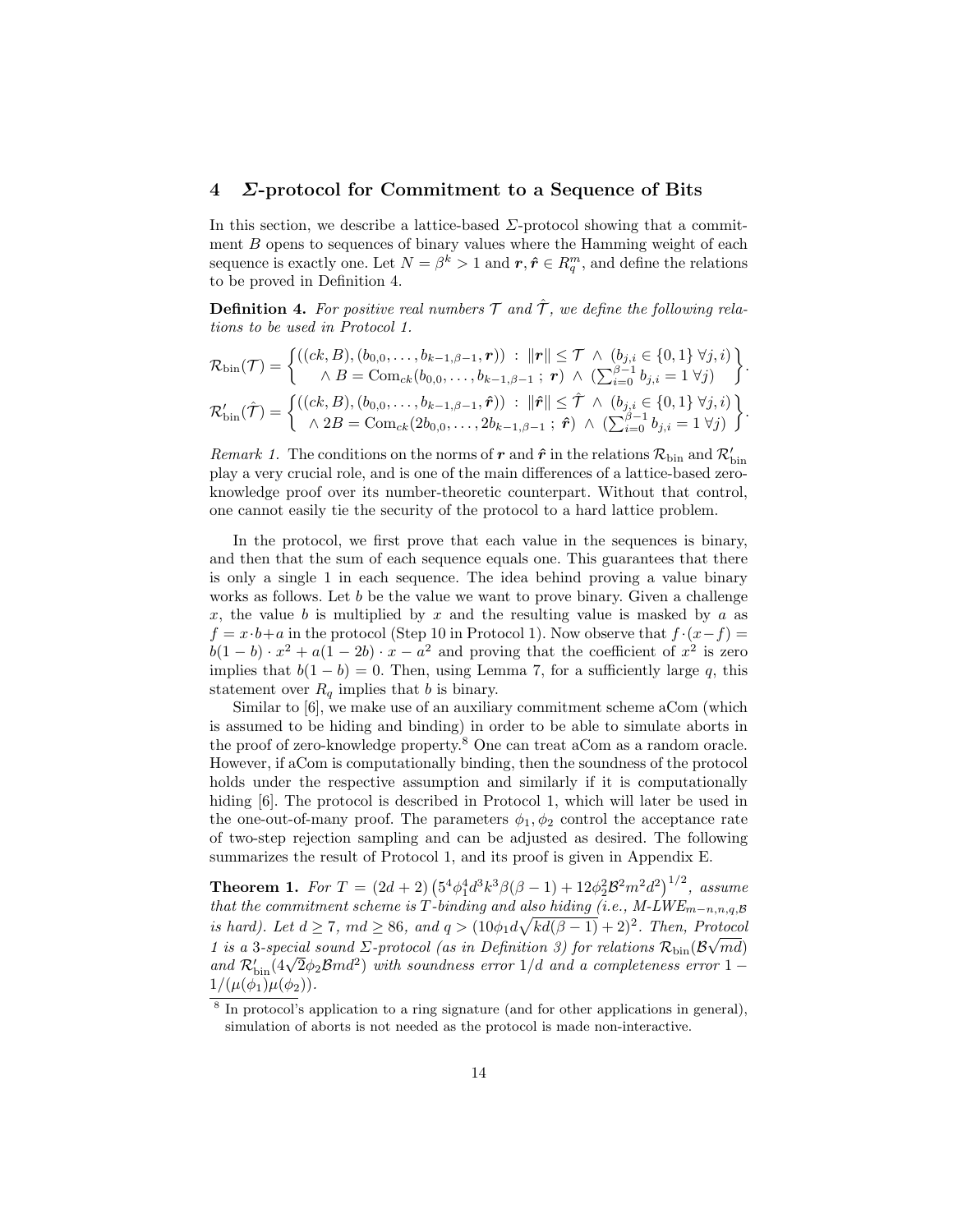## 4 Σ-protocol for Commitment to a Sequence of Bits

In this section, we describe a lattice-based  $\Sigma$ -protocol showing that a commitment  $B$  opens to sequences of binary values where the Hamming weight of each sequence is exactly one. Let  $N = \beta^k > 1$  and  $r, \hat{r} \in R_q^m$ , and define the relations to be proved in Definition 4.

**Definition 4.** For positive real numbers  $\mathcal{T}$  and  $\hat{\mathcal{T}}$ , we define the following relations to be used in Protocol 1.

$$
\mathcal{R}_{\text{bin}}(\mathcal{T}) = \begin{cases}\n((ck, B), (b_{0,0}, \ldots, b_{k-1, \beta-1}, r))\n\colon \|r\| \leq \mathcal{T} \land (b_{j,i} \in \{0, 1\} \forall j, i) \\
\land B = \text{Com}_{ck}(b_{0,0}, \ldots, b_{k-1, \beta-1}; r) \land (\sum_{i=0}^{\beta-1} b_{j,i} = 1 \forall j)\n\end{cases}.
$$
\n
$$
\mathcal{R}'_{\text{bin}}(\hat{\mathcal{T}}) = \begin{cases}\n((ck, B), (b_{0,0}, \ldots, b_{k-1, \beta-1}, \hat{r}))\n\colon \|\hat{r}\| \leq \hat{\mathcal{T}} \land (b_{j,i} \in \{0, 1\} \forall j, i) \\
\land 2B = \text{Com}_{ck}(2b_{0,0}, \ldots, 2b_{k-1, \beta-1}; \hat{r}) \land (\sum_{i=0}^{\beta-1} b_{j,i} = 1 \forall j)\n\end{cases}.
$$

Remark 1. The conditions on the norms of  $r$  and  $\hat{r}$  in the relations  $\mathcal{R}_{\text{bin}}$  and  $\mathcal{R}_{\text{bin}}'$ play a very crucial role, and is one of the main differences of a lattice-based zeroknowledge proof over its number-theoretic counterpart. Without that control, one cannot easily tie the security of the protocol to a hard lattice problem.

In the protocol, we first prove that each value in the sequences is binary, and then that the sum of each sequence equals one. This guarantees that there is only a single 1 in each sequence. The idea behind proving a value binary works as follows. Let b be the value we want to prove binary. Given a challenge x, the value b is multiplied by x and the resulting value is masked by a as  $f = x \cdot b + a$  in the protocol (Step 10 in Protocol 1). Now observe that  $f \cdot (x - f) =$  $b(1-b) \cdot x^2 + a(1-2b) \cdot x - a^2$  and proving that the coefficient of  $x^2$  is zero implies that  $b(1 - b) = 0$ . Then, using Lemma 7, for a sufficiently large q, this statement over  $R_q$  implies that b is binary.

Similar to [6], we make use of an auxiliary commitment scheme aCom (which is assumed to be hiding and binding) in order to be able to simulate aborts in the proof of zero-knowledge property.<sup>8</sup> One can treat aCom as a random oracle. However, if aCom is computationally binding, then the soundness of the protocol holds under the respective assumption and similarly if it is computationally hiding  $|6|$ . The protocol is described in Protocol 1, which will later be used in the one-out-of-many proof. The parameters  $\phi_1, \phi_2$  control the acceptance rate of two-step rejection sampling and can be adjusted as desired. The following summarizes the result of Protocol 1, and its proof is given in Appendix E.

**Theorem 1.** For  $T = (2d + 2) (5^4 \phi_1^4 d^3 k^3 \beta (\beta - 1) + 12 \phi_2^2 \mathcal{B}^2 m^2 d^2)^{1/2}$ , assume that the commitment scheme is T-binding and also hiding (i.e.,  $M\text{-}LWE_{m-n,n,q,\mathcal{B}}$ is hard). Let  $d \ge 7$ ,  $md \ge 86$ , and  $q > (10\phi_1 d\sqrt{kd(\beta-1)} + 2)^2$ . Then, Protocol 1 is a 3-special sound  $\Sigma$ -protocol (as in Definition 3) for relations  $\mathcal{R}_{\text{bin}}(\mathcal{B}\sqrt{md})$ *i* is a 3-special sound  $\Delta$ -protocol (as in Definition 3) for relations  $\kappa_{\text{bin}}(\Delta \sqrt{m}a)$ <br>and  $\kappa'_{\text{bin}}(4\sqrt{2}\phi_2 Bmd^2)$  with soundness error  $1/d$  and a completeness error  $1 1/(\mu(\phi_1)\mu(\phi_2)).$ 

<sup>&</sup>lt;sup>8</sup> In protocol's application to a ring signature (and for other applications in general), simulation of aborts is not needed as the protocol is made non-interactive.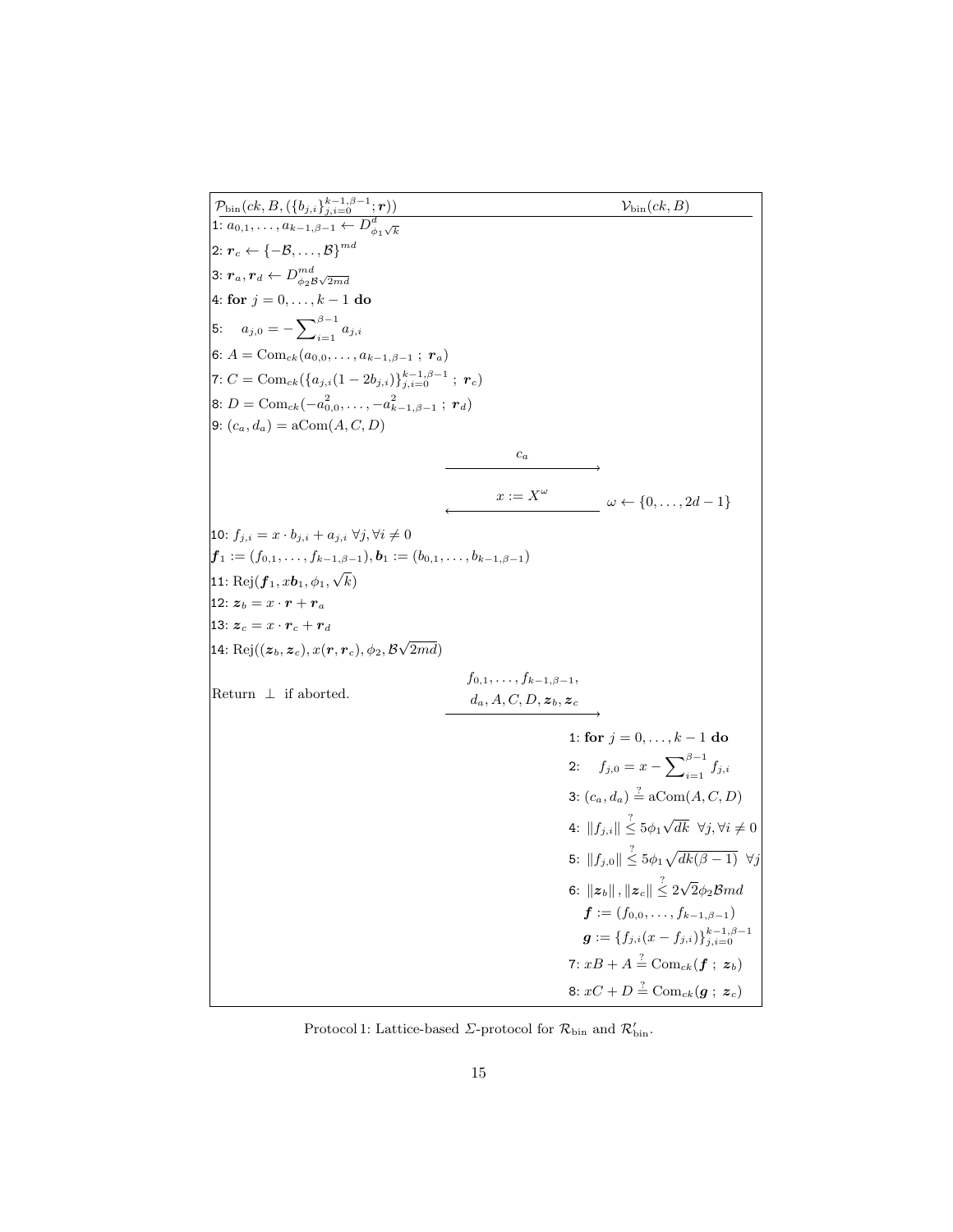$\mathcal{P}_{\text{bin}}(ck,B,(\{b_{j,i}\}_{j,i=0}^{k-1,\beta-1}; \boldsymbol{r})) \hspace{2cm} \mathcal{V}_{\text{bin}}(ck,B)$ 1:  $a_{0,1}, \ldots, a_{k-1,\beta-1} \leftarrow D_{\phi_1\sqrt{k}}^d$  $\left[{\color{black} 2\text{:}\; \bm{r}_c \gets \{-\mathcal{B},\dots,\mathcal{B}\}}^{md} \right]$ 3:  $\boldsymbol{r}_a, \boldsymbol{r}_d \leftarrow D^{md}_{\phi_2\mathcal{B}\sqrt{2md}}$ 4: for  $j = 0, ..., k - 1$  do 5:  $a_{j,0} = -\sum_{i=1}^{\beta-1} a_{j,i}$  $|6: A = \text{Com}_{ck}(a_{0,0}, \ldots, a_{k-1,\beta-1} ; r_a)$ 7:  $C = \text{Com}_{ck}(\{a_{j,i}(1-2b_{j,i})\}_{j,i=0}^{k-1,\beta-1} ; r_c)$ 8:  $D = \text{Com}_{ck}(-a_{0,0}^2, \ldots, -a_{k-1,\beta-1}^2; r_d)$  $\Theta: (c_a, d_a) = \operatorname{aCom}(A, C, D)$  $\sqrt{c_a}$  $x := X^{\omega}$   $\omega \leftarrow \{0, \ldots, 2d - 1\}$ 10:  $f_{j,i} = x \cdot b_{j,i} + a_{j,i} \; \forall j, \forall i \neq 0$  $\boldsymbol{f}_1 := (f_{0,1}, \ldots, f_{k-1,\beta-1}), \boldsymbol{b}_1 := (b_{0,1}, \ldots, b_{k-1,\beta-1})$ 11:  $\mathrm{Rej}(\boldsymbol{f}_1,x\boldsymbol{b}_1,\phi_1,$ √  $k)$ 12:  $z_b = x \cdot r + r_a$ 13:  $\boldsymbol{z}_c = x \cdot \boldsymbol{r}_c + \boldsymbol{r}_d$ 14։  $\mathrm{Rej}((\boldsymbol{z}_b, \boldsymbol{z}_c), x(\boldsymbol{r}, \boldsymbol{r}_c), \phi_2, \mathcal{B})$ √  $2md)$ Return  $\perp$  if aborted.  $f_{0,1}, \ldots, f_{k-1,\beta-1},$  $d_a, A, C, D, z_b, z_c$ 1: for  $j = 0, \ldots, k - 1$  do 2:  $f_{j,0} = x - \sum_{i=1}^{\beta-1} f_{j,i}$ 3:  $(c_a, d_a) \stackrel{?}{=} \mathrm{aCom}(A, C, D)$ 4:  $\|f_{j,i}\| \overset{?}{\leq} 5\phi_1$ √ dk ∀j,∀i ≠ 0 5:  $||f_{j,0}|| \overset{?}{\leq} 5\phi_1\sqrt{dk(\beta-1)} \ \ \forall j$ 6:  $||z_b||$  ,  $||z_c|| \overset{?}{\leq} 2\sqrt{2}\phi_2 \mathcal{B}md$  $f := (f_{0,0}, \ldots, f_{k-1,\beta-1})$  $\boldsymbol{g} := \{f_{j,i}(x-f_{j,i})\}_{j,i=0}^{k-1,\beta-1}$ 7:  $xB+A\stackrel{?}{=}\mathrm{Com}_{ck}(\boldsymbol{f}\ ;\ \boldsymbol{z}_b)$ 8:  $xC+D\stackrel{?}{=}\mathrm{Com}_{ck}(\bm{g}\; ;\; \bm{z}_c)$ 

Protocol 1: Lattice-based  $\Sigma$ -protocol for  $\mathcal{R}_{\text{bin}}$  and  $\mathcal{R}_{\text{bin}}'$ .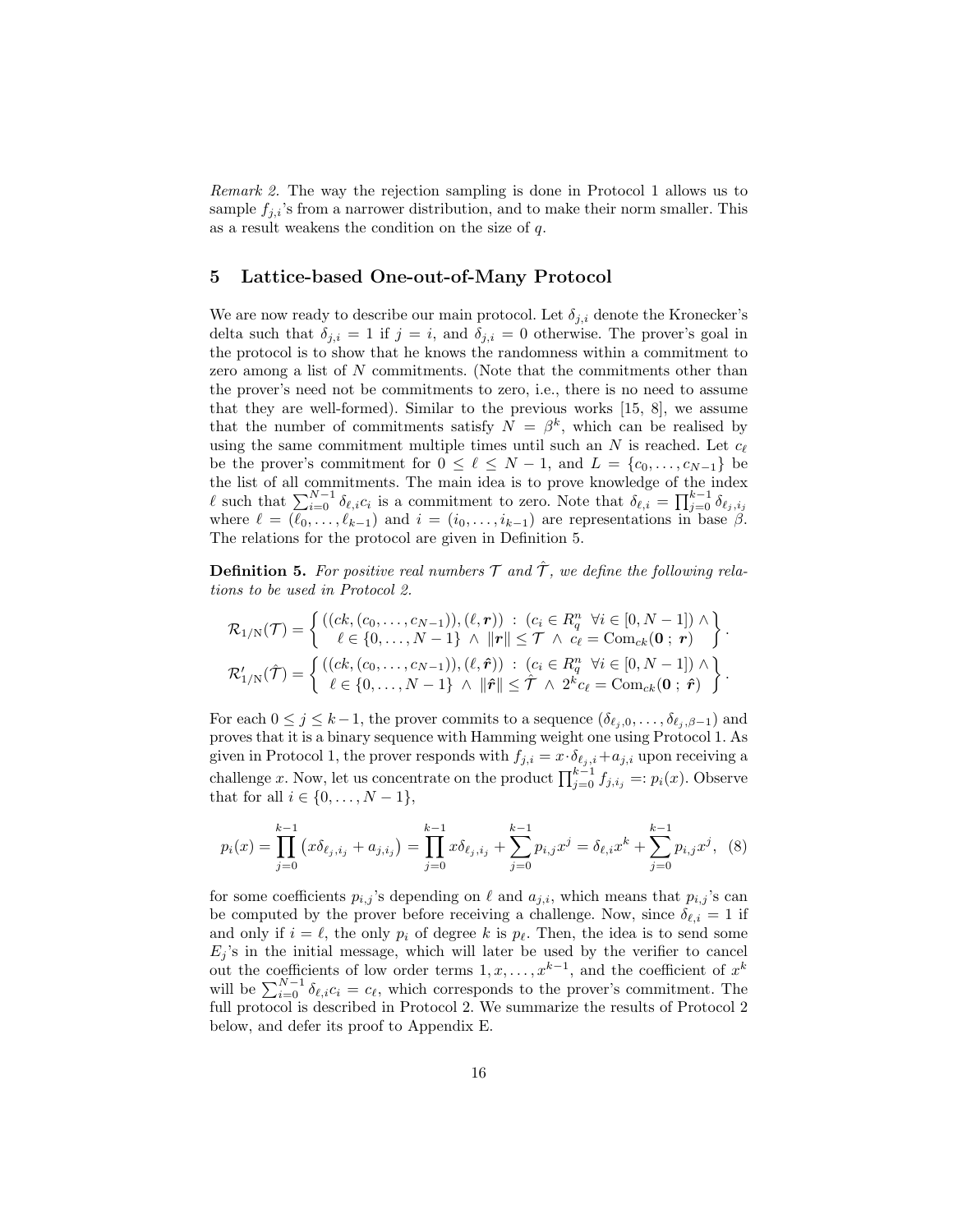Remark 2. The way the rejection sampling is done in Protocol 1 allows us to sample  $f_{j,i}$ 's from a narrower distribution, and to make their norm smaller. This as a result weakens the condition on the size of q.

## 5 Lattice-based One-out-of-Many Protocol

We are now ready to describe our main protocol. Let  $\delta_{i,i}$  denote the Kronecker's delta such that  $\delta_{i,i} = 1$  if  $j = i$ , and  $\delta_{i,i} = 0$  otherwise. The prover's goal in the protocol is to show that he knows the randomness within a commitment to zero among a list of N commitments. (Note that the commitments other than the prover's need not be commitments to zero, i.e., there is no need to assume that they are well-formed). Similar to the previous works [15, 8], we assume that the number of commitments satisfy  $N = \beta^k$ , which can be realised by using the same commitment multiple times until such an  $N$  is reached. Let  $c_{\ell}$ be the prover's commitment for  $0 \leq \ell \leq N-1$ , and  $L = \{c_0, \ldots, c_{N-1}\}\$ the list of all commitments. The main idea is to prove knowledge of the index  $\ell$  such that  $\sum_{i=0}^{N-1} \delta_{\ell,i} c_i$  is a commitment to zero. Note that  $\delta_{\ell,i} = \prod_{j=0}^{k-1} \delta_{\ell_j,i_j}$ where  $\ell = (\ell_0, \ldots, \ell_{k-1})$  and  $i = (i_0, \ldots, i_{k-1})$  are representations in base  $\beta$ . The relations for the protocol are given in Definition 5.

**Definition 5.** For positive real numbers  $\mathcal{T}$  and  $\hat{\mathcal{T}}$ , we define the following relations to be used in Protocol 2.

$$
\mathcal{R}_{1/N}(\mathcal{T}) = \left\{ \begin{array}{ll} \left( (ck, (c_0, \ldots, c_{N-1})), (\ell, \mathbf{r}) \right) \; : \; (c_i \in R_q^n \; \; \forall i \in [0, N-1]) \wedge \\ \ell \in \{0, \ldots, N-1\} \; \wedge \; \| \mathbf{r} \| \leq \mathcal{T} \; \wedge \; c_{\ell} = \text{Com}_{ck}(\mathbf{0} \; ; \; \mathbf{r}) \end{array} \right\}.
$$
\n
$$
\mathcal{R}_{1/N}'(\hat{\mathcal{T}}) = \left\{ \begin{array}{ll} \left( (ck, (c_0, \ldots, c_{N-1})), (\ell, \hat{\mathbf{r}}) \right) \; : \; (c_i \in R_q^n \; \; \forall i \in [0, N-1]) \wedge \\ \ell \in \{0, \ldots, N-1\} \; \wedge \; \| \hat{\mathbf{r}} \| \leq \hat{\mathcal{T}} \; \wedge \; 2^k c_{\ell} = \text{Com}_{ck}(\mathbf{0} \; ; \; \hat{\mathbf{r}}) \end{array} \right\}.
$$

For each  $0 \leq j \leq k-1$ , the prover commits to a sequence  $(\delta_{\ell_i,0}, \ldots, \delta_{\ell_i,\beta-1})$  and proves that it is a binary sequence with Hamming weight one using Protocol 1. As given in Protocol 1, the prover responds with  $f_{j,i} = x \cdot \delta_{\ell_j,i} + a_{j,i}$  upon receiving a challenge x. Now, let us concentrate on the product  $\prod_{j=0}^{k-1} f_{j,i_j} =: p_i(x)$ . Observe that for all  $i \in \{0, ..., N - 1\}$ ,

$$
p_i(x) = \prod_{j=0}^{k-1} (x\delta_{\ell_j, i_j} + a_{j, i_j}) = \prod_{j=0}^{k-1} x\delta_{\ell_j, i_j} + \sum_{j=0}^{k-1} p_{i, j} x^j = \delta_{\ell, i} x^k + \sum_{j=0}^{k-1} p_{i, j} x^j, \tag{8}
$$

for some coefficients  $p_{i,j}$ 's depending on  $\ell$  and  $a_{j,i}$ , which means that  $p_{i,j}$ 's can be computed by the prover before receiving a challenge. Now, since  $\delta_{\ell,i} = 1$  if and only if  $i = \ell$ , the only  $p_i$  of degree k is  $p_\ell$ . Then, the idea is to send some  $E_j$ 's in the initial message, which will later be used by the verifier to cancel out the coefficients of low order terms  $1, x, \ldots, x^{k-1}$ , and the coefficient of  $x^k$ will be  $\sum_{i=0}^{N-1} \delta_{\ell,i} c_i = c_{\ell}$ , which corresponds to the prover's commitment. The full protocol is described in Protocol 2. We summarize the results of Protocol 2 below, and defer its proof to Appendix E.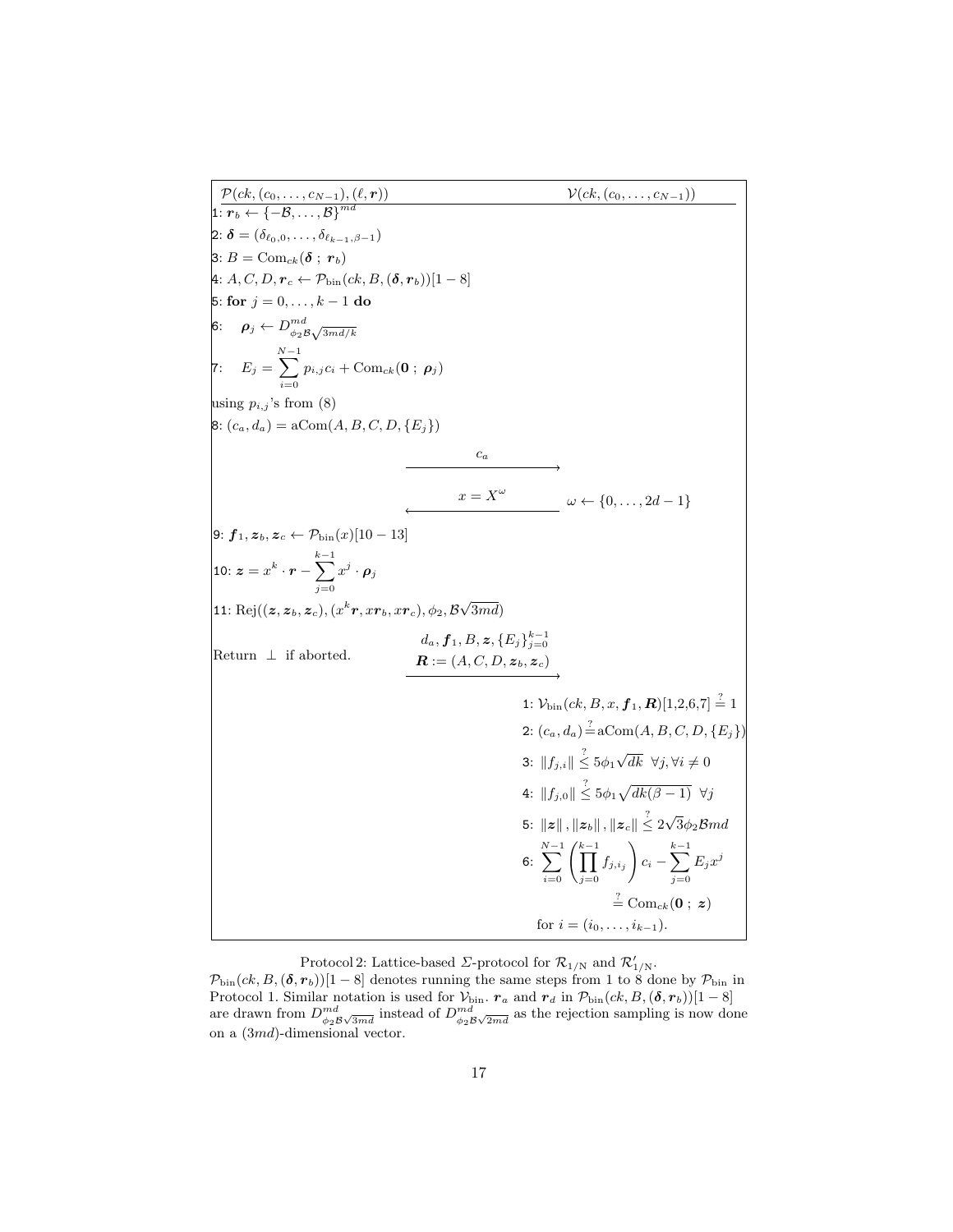$\mathcal{P}(ck,(c_0, \ldots, c_{N-1}),(\ell, \bm{r})) \qquad \qquad \qquad \mathcal{V}(ck,(c_0, \ldots, c_{N-1}))$  $\overline{ \mathbf{1} \colon \boldsymbol{r}_b \leftarrow \left\{ -\mathcal{B}, \dots, \mathcal{B}\right\}^{md} }$ 2:  $\delta = (\delta_{\ell_0,0}, \ldots, \delta_{\ell_{k-1},\beta-1})$ 3:  $B = \text{Com}_{ck}(\boldsymbol{\delta} \; ; \; \boldsymbol{r}_b)$  $4: A, C, D, r_c \leftarrow \mathcal{P}_{\text{bin}}(ck, B, (\delta, r_b))[1 - 8]$ 5: for  $j = 0, ..., k - 1$  do 6:  $\rho_j \leftarrow D^{md}_{\scriptscriptstyle{A=1}}$  $m d \ \phi_2 B \sqrt{3md/k}$ 7:  $E_j =$  $\sum^{N-1}$  $i=0$  $p_{i,j} c_i + \text{Com}_{ck}(\mathbf{0} ; \boldsymbol{\rho}_j)$ using  $p_{i,j}$ 's from (8) 8:  $(c_a, d_a) = aCom(A, B, C, D, {E_i})$  $c_a$  $x = X^{\omega}$   $\omega \leftarrow \{0, \ldots, 2d - 1\}$  $\left[\mathsf{9}\colon\bm{f}_{1},\bm{z}_{b},\bm{z}_{c}\leftarrow\mathcal{P}_{\text{bin}}(x)[10-13]\right]$ 10:  $\boldsymbol{z} = x^k \cdot \boldsymbol{r}$  –  $\sum^{k-1}$  $j=0$  $x^j\cdot\boldsymbol{\rho}_j$ 11: Rej $((\boldsymbol{z},\boldsymbol{z}_b,\boldsymbol{z}_c),(x^k\boldsymbol{r},x\boldsymbol{r}_b,x\boldsymbol{r}_c),\phi_2,\mathcal{B}$ √  $3md)$ Return ⊥ if aborted.  $d_a, \boldsymbol{f}_1, B, \boldsymbol{z}, \{E_j\}_{j=0}^{k-1}$  $\boldsymbol{R} := (A, C, D, \boldsymbol{z}_b, \boldsymbol{z}_c)$ 1:  $\mathcal{V}_{\text{bin}}(ck, B, x, f_1, R)[1, 2, 6, 7] \stackrel{?}{=} 1$ 2:  $(c_a, d_a) \stackrel{?}{=} \mathrm{aCom}(A, B, C, D, \{E_j\})$ 3:  $\|f_{j,i}\| \overset{?}{\leq} 5\phi_1$ √ dk ∀j,∀i ≠ 0 4:  $||f_{j,0}|| \overset{?}{\leq} 5\phi_1\sqrt{dk(\beta-1)} \ \ \forall j$ 5:  $\|z\|$  ,  $\|z_b\|$  ,  $\|z_c\| \overset{?}{\leq} 2\sqrt{3}\phi_2 \mathcal{B}md$ 6:  $\sum_{i=0}^{N-1} \left( \prod_{j=0}^{k-1} \right)$  $f_{j,i_j}$  $\setminus$  $c_i$  –  $\sum^{k-1}$  $j=0$  $E_jx^j$  $\stackrel{?}{=}$  Com<sub>ck</sub>(**0** ; z) for  $i = (i_0, \ldots, i_{k-1})$ .

Protocol 2: Lattice-based  $\Sigma$ -protocol for  $\mathcal{R}_{1/N}$  and  $\mathcal{R}_{1/N}'$ .

 $\mathcal{P}_{\text{bin}}(ck, B, (\delta, r_b))$ [1 – 8] denotes running the same steps from 1 to 8 done by  $\mathcal{P}_{\text{bin}}$  in Protocol 1. Similar notation is used for  $\mathcal{V}_{\text{bin}}$ .  $r_a$  and  $r_d$  in  $\mathcal{P}_{\text{bin}}(ck, B, (\delta, r_b))[1 - 8]$ are drawn from  $D_{\phi_2\mathcal{B}\sqrt{3md}}^{md}$  instead of  $D_{\phi_2\mathcal{B}\sqrt{2md}}^{md}$  as the rejection sampling is now done on a (3md)-dimensional vector.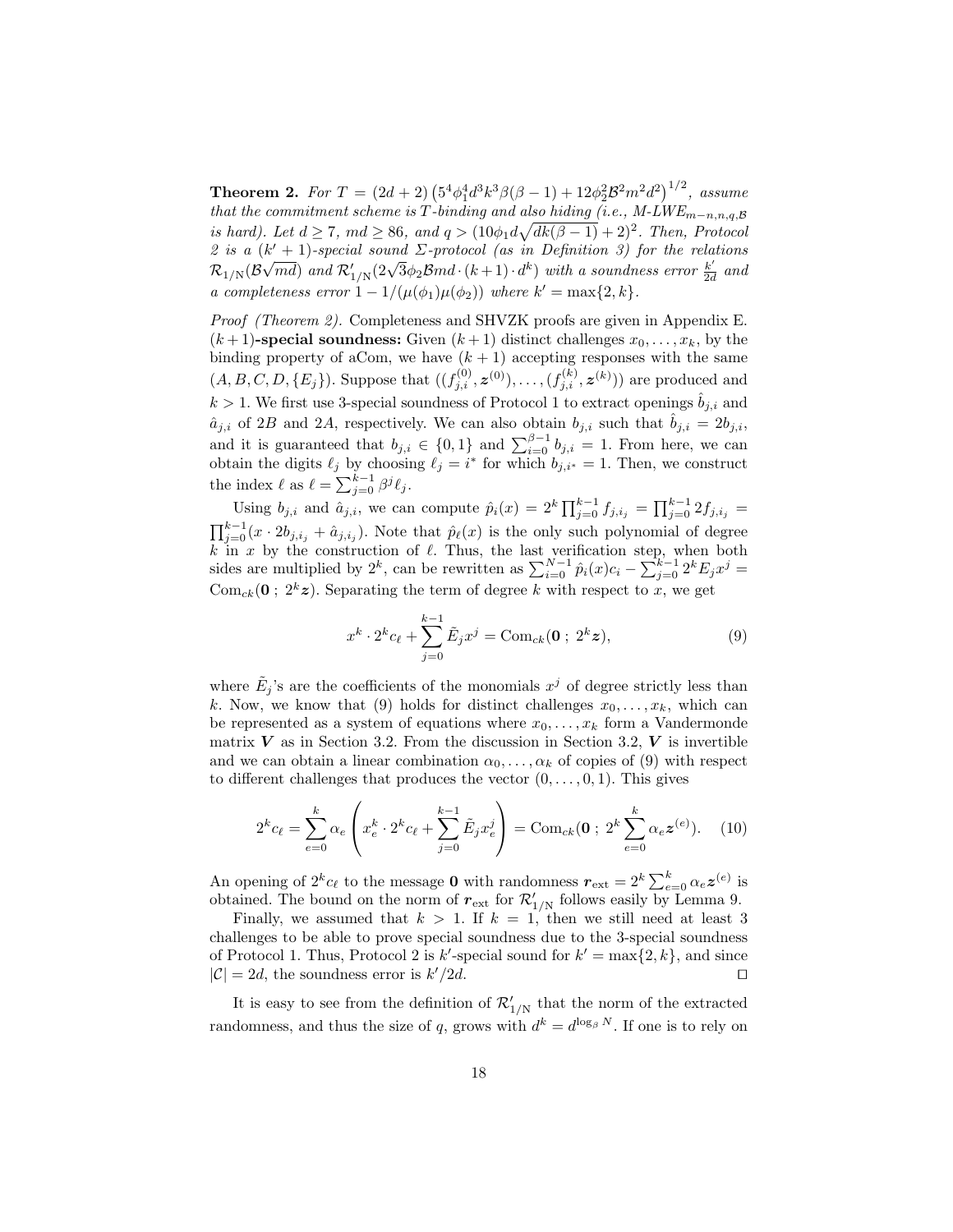**Theorem 2.** For  $T = (2d + 2) (5^4 \phi_1^4 d^3 k^3 \beta (\beta - 1) + 12 \phi_2^2 \mathcal{B}^2 m^2 d^2)^{1/2}$ , assume that the commitment scheme is T-binding and also hiding (i.e.,  $M\text{-}LWE_{m-n,n,q,\mathcal{B}}$ is hard). Let  $d \ge 7$ ,  $md \ge 86$ , and  $q > (10\phi_1 d\sqrt{dk(\beta-1)} + 2)^2$ . Then, Protocol 2 is a  $(k' + 1)$ -special sound  $\Sigma$ -protocol (as in Definition 3) for the relations  $\mathcal{R}_{1/N}(\mathcal{B}\sqrt{md})$  and  $\mathcal{R}'_{1/N}(2\sqrt{3}\phi_2 \mathcal{B}md\cdot(k+1)\cdot d^k)$  with a soundness error  $\frac{k'}{2d}$  $rac{k}{2d}$  and a completeness error  $1 - 1/(\mu(\phi_1)\mu(\phi_2))$  where  $k' = \max\{2, k\}.$ 

Proof (Theorem 2). Completeness and SHVZK proofs are given in Appendix E.  $(k+1)$ -special soundness: Given  $(k+1)$  distinct challenges  $x_0, \ldots, x_k$ , by the binding property of aCom, we have  $(k + 1)$  accepting responses with the same  $(A, B, C, D, \{E_j\})$ . Suppose that  $((f_{j,i}^{(0)}, z^{(0)}), \ldots, (f_{j,i}^{(k)}, z^{(k)}))$  are produced and  $k > 1$ . We first use 3-special soundness of Protocol 1 to extract openings  $\hat{b}_{j,i}$  and  $\hat{a}_{j,i}$  of 2B and 2A, respectively. We can also obtain  $b_{j,i}$  such that  $\hat{b}_{j,i} = 2b_{j,i}$ , and it is guaranteed that  $b_{j,i} \in \{0,1\}$  and  $\sum_{i=0}^{\beta-1} b_{j,i} = 1$ . From here, we can obtain the digits  $\ell_j$  by choosing  $\ell_j = i^*$  for which  $b_{j,i^*} = 1$ . Then, we construct the index  $\ell$  as  $\ell = \sum_{j=0}^{k-1} \beta^j \ell_j$ .

Using  $b_{j,i}$  and  $\hat{a}_{j,i}$ , we can compute  $\hat{p}_i(x) = 2^k \prod_{j=0}^{k-1} f_{j,i_j} = \prod_{j=0}^{k-1} 2f_{j,i_j} =$  $\prod_{j=0}^{k-1} (x \cdot 2b_{j,i_j} + \hat{a}_{j,i_j}).$  Note that  $\hat{p}_\ell(x)$  is the only such polynomial of degree k in x by the construction of  $\ell$ . Thus, the last verification step, when both sides are multiplied by  $2^k$ , can be rewritten as  $\sum_{i=0}^{N-1} \hat{p}_i(x)c_i - \sum_{j=0}^{k-1} 2^k E_j x^j =$ Com<sub>ck</sub>(**0**;  $2^k z$ ). Separating the term of degree k with respect to x, we get

$$
x^{k} \cdot 2^{k} c_{\ell} + \sum_{j=0}^{k-1} \tilde{E}_{j} x^{j} = \text{Com}_{ck}(\mathbf{0} \; ; \; 2^{k} \mathbf{z}), \tag{9}
$$

where  $\tilde{E}_j$ 's are the coefficients of the monomials  $x^j$  of degree strictly less than k. Now, we know that (9) holds for distinct challenges  $x_0, \ldots, x_k$ , which can be represented as a system of equations where  $x_0, \ldots, x_k$  form a Vandermonde matrix  $V$  as in Section 3.2. From the discussion in Section 3.2,  $V$  is invertible and we can obtain a linear combination  $\alpha_0, \ldots, \alpha_k$  of copies of (9) with respect to different challenges that produces the vector  $(0, \ldots, 0, 1)$ . This gives

$$
2^{k}c_{\ell} = \sum_{e=0}^{k} \alpha_{e} \left( x_{e}^{k} \cdot 2^{k} c_{\ell} + \sum_{j=0}^{k-1} \tilde{E}_{j} x_{e}^{j} \right) = \text{Com}_{ck}(\mathbf{0} \; ; \; 2^{k} \sum_{e=0}^{k} \alpha_{e} \mathbf{z}^{(e)}). \tag{10}
$$

An opening of  $2^k c_\ell$  to the message **0** with randomness  $r_{ext} = 2^k \sum_{e=0}^k \alpha_e \mathbf{z}^{(e)}$  is obtained. The bound on the norm of  $r_{\text{ext}}$  for  $\mathcal{R}_{1/N}$  follows easily by Lemma 9.

Finally, we assumed that  $k > 1$ . If  $k = 1$ , then we still need at least 3 challenges to be able to prove special soundness due to the 3-special soundness of Protocol 1. Thus, Protocol 2 is k'-special sound for  $k' = \max\{2, k\}$ , and since  $|\mathcal{C}| = 2d$ , the soundness error is  $k'/2d$ .  $\Box$ 

It is easy to see from the definition of  $\mathcal{R}_{1/N}'$  that the norm of the extracted randomness, and thus the size of q, grows with  $d^k = d^{\log_\beta N}$ . If one is to rely on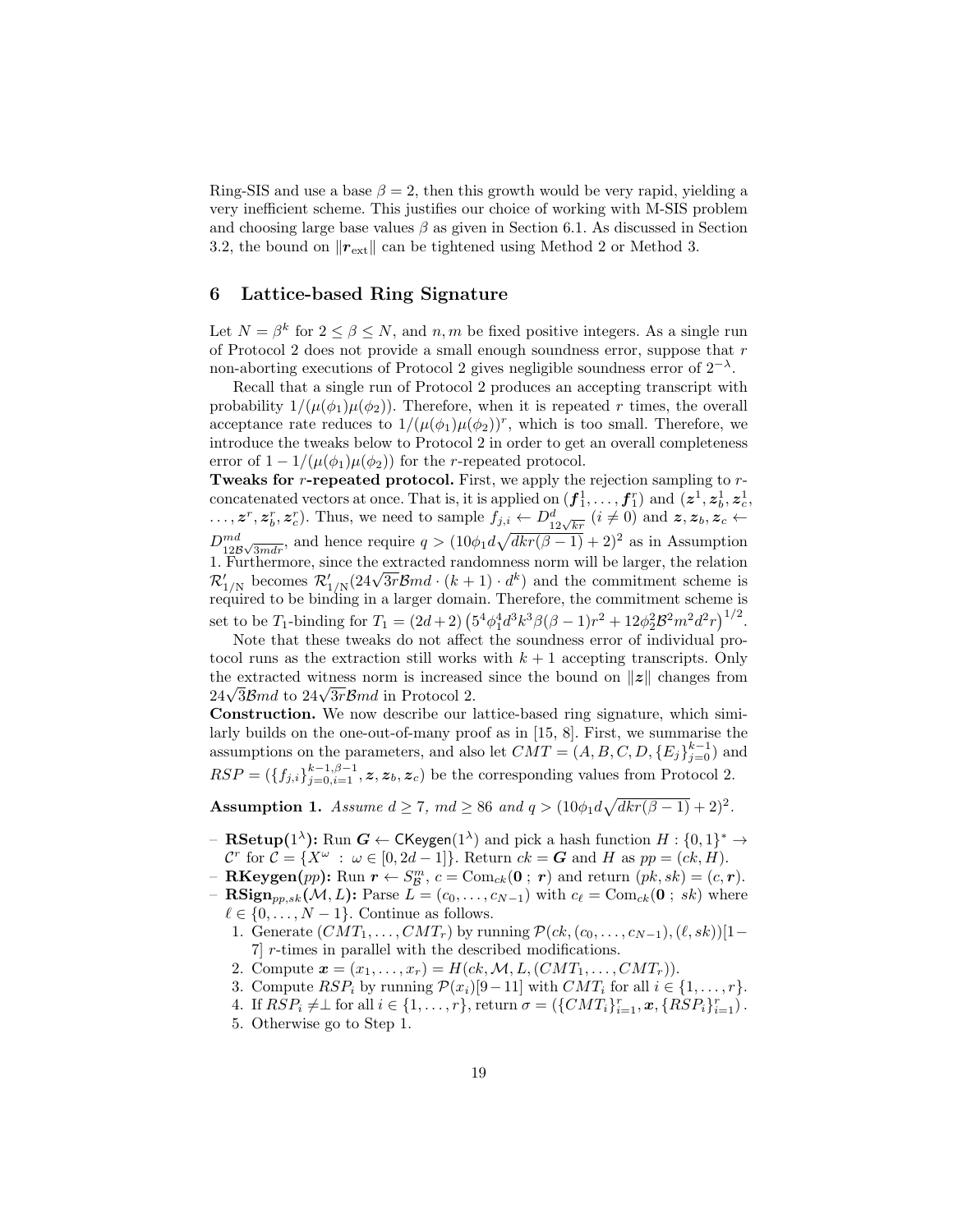Ring-SIS and use a base  $\beta = 2$ , then this growth would be very rapid, yielding a very inefficient scheme. This justifies our choice of working with M-SIS problem and choosing large base values  $\beta$  as given in Section 6.1. As discussed in Section 3.2, the bound on  $\Vert \mathbf{r}_{\text{ext}} \Vert$  can be tightened using Method 2 or Method 3.

# 6 Lattice-based Ring Signature

Let  $N = \beta^k$  for  $2 \le \beta \le N$ , and  $n, m$  be fixed positive integers. As a single run of Protocol 2 does not provide a small enough soundness error, suppose that  $r$ non-aborting executions of Protocol 2 gives negligible soundness error of  $2^{-\lambda}$ .

Recall that a single run of Protocol 2 produces an accepting transcript with probability  $1/(\mu(\phi_1)\mu(\phi_2))$ . Therefore, when it is repeated r times, the overall acceptance rate reduces to  $1/(\mu(\phi_1)\mu(\phi_2))^r$ , which is too small. Therefore, we introduce the tweaks below to Protocol 2 in order to get an overall completeness error of  $1 - 1/(\mu(\phi_1)\mu(\phi_2))$  for the *r*-repeated protocol.

Tweaks for r-repeated protocol. First, we apply the rejection sampling to rconcatenated vectors at once. That is, it is applied on  $(f_1^1, \ldots, f_1^r)$  and  $(z^1, z_b^1, z_c^1)$  $\ldots, z^r, z^r_b, z^r_c$ ). Thus, we need to sample  $f_{j,i} \leftarrow D^d_{12\sqrt{kr}}$   $(i \neq 0)$  and  $z, z_b, z_c \leftarrow$  $D_{12\mathcal{B}\sqrt{3mdr}}^{md}$ , and hence require  $q > (10\phi_1 d\sqrt{dkr(\beta-1)} + 2)^2$  as in Assumption 1. Furthermore, since the extracted randomness norm will be larger, the relation 1. Furthermore, since the extracted randomness norm will be larger, the relation  $\mathcal{R}'_{1/N}$  becomes  $\mathcal{R}'_{1/N}(24\sqrt{3r}\mathcal{B}md \cdot (k+1) \cdot d^k)$  and the commitment scheme is required to be binding in a larger domain. Therefore, the commitment scheme is set to be T<sub>1</sub>-binding for  $T_1 = (2d+2) (5^4 \phi_1^4 d^3 k^3 \beta (\beta - 1) r^2 + 12 \phi_2^2 \mathcal{B}^2 m^2 d^2 r)^{1/2}$ .

Note that these tweaks do not affect the soundness error of individual protocol runs as the extraction still works with  $k + 1$  accepting transcripts. Only the extracted witness norm is increased since the bound on  $||z||$  changes from the extracted witness norm is increased  $24\sqrt{3}$  *Bmd* to  $24\sqrt{3}$ *rBmd* in Protocol 2.

Construction. We now describe our lattice-based ring signature, which similarly builds on the one-out-of-many proof as in [15, 8]. First, we summarise the assumptions on the parameters, and also let  $CMT = (A, B, C, D, \{E_j\}_{j=0}^{k-1})$  and  $RSP = (\{f_{j,i}\}_{j=0,i=1}^{k-1,\beta-1}, \mathbf{z}, \mathbf{z}_b, \mathbf{z}_c)$  be the corresponding values from Protocol 2.

**Assumption 1.** Assume  $d \ge 7$ ,  $md \ge 86$  and  $q > (10\phi_1 d \sqrt{dkr(\beta-1)} + 2)^2$ .

- $-$  RSetup(1<sup> $\lambda$ </sup>): Run  $G \leftarrow$  CKeygen(1<sup> $\lambda$ </sup>) and pick a hash function  $H: \{0,1\}^* \rightarrow$  $\mathcal{C}^r$  for  $\mathcal{C} = \{X^{\omega} : \omega \in [0, 2d - 1]\}.$  Return  $ck = G$  and H as  $pp = (ck, H).$
- **RKeygen**(pp): Run  $r \leftarrow S^m_{\mathcal{B}}, c = \text{Com}_{ck}(\mathbf{0} ; r)$  and return  $(pk, sk) = (c, r)$ .
- **RSign**<sub>pp,sk</sub> $(M, L)$ : Parse  $L = (c_0, \ldots, c_{N-1})$  with  $c_{\ell} = \text{Com}_{ck}(0 ; sk)$  where  $\ell \in \{0, \ldots, N - 1\}$ . Continue as follows.
	- 1. Generate  $(CMT_1, \ldots, CMT_r)$  by running  $\mathcal{P}(ck, (c_0, \ldots, c_{N-1}), (\ell, sk))[1-\ell]$ 7] r-times in parallel with the described modifications.
	- 2. Compute  $x = (x_1, ..., x_r) = H(ck, M, L, (CMT_1, ..., CMT_r)).$
	- 3. Compute  $RSP_i$  by running  $\mathcal{P}(x_i)[9-11]$  with  $CMT_i$  for all  $i \in \{1, \ldots, r\}$ .
	- 4. If  $RSP_i \neq \perp$  for all  $i \in \{1, ..., r\}$ , return  $\sigma = (\{CMT_i\}_{i=1}^r, \mathbf{x}, \{RSP_i\}_{i=1}^r)$ .
	- 5. Otherwise go to Step 1.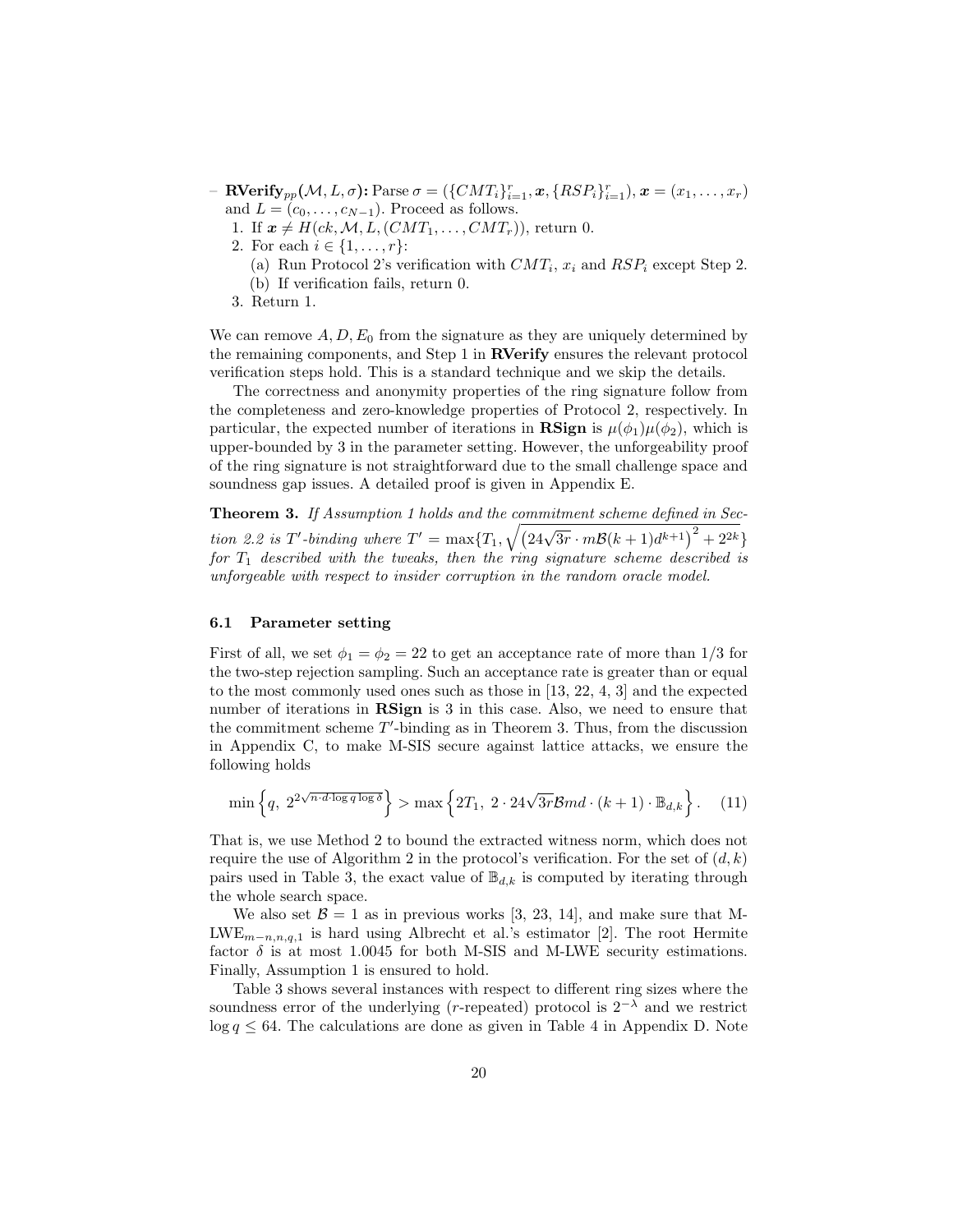- $-$  **RVerify**<sub>pp</sub>( $M, L, \sigma$ ): Parse  $\sigma = (\{CMT_i\}_{i=1}^r, x, \{RSP_i\}_{i=1}^r), x = (x_1, \ldots, x_r)$ and  $L = (c_0, \ldots, c_{N-1})$ . Proceed as follows.
	- 1. If  $x \neq H(ck, M, L, (CMT_1, \ldots, CMT_r)),$  return 0.
	- 2. For each  $i \in \{1, ..., r\}$ :
		- (a) Run Protocol 2's verification with  $CMT_i$ ,  $x_i$  and  $RSP_i$  except Step 2.
		- (b) If verification fails, return 0.
	- 3. Return 1.

We can remove  $A, D, E_0$  from the signature as they are uniquely determined by the remaining components, and Step 1 in RVerify ensures the relevant protocol verification steps hold. This is a standard technique and we skip the details.

The correctness and anonymity properties of the ring signature follow from the completeness and zero-knowledge properties of Protocol 2, respectively. In particular, the expected number of iterations in **RSign** is  $\mu(\phi_1)\mu(\phi_2)$ , which is upper-bounded by 3 in the parameter setting. However, the unforgeability proof of the ring signature is not straightforward due to the small challenge space and soundness gap issues. A detailed proof is given in Appendix E.

Theorem 3. If Assumption 1 holds and the commitment scheme defined in Section 2.2 is T'-binding where  $T' = \max\{T_1, \sqrt{(24\sqrt{3r} \cdot m\mathcal{B}(k+1)d^{k+1})^2 + 2^{2k}}\}$ for  $T_1$  described with the tweaks, then the ring signature scheme described is unforgeable with respect to insider corruption in the random oracle model.

#### 6.1 Parameter setting

First of all, we set  $\phi_1 = \phi_2 = 22$  to get an acceptance rate of more than 1/3 for the two-step rejection sampling. Such an acceptance rate is greater than or equal to the most commonly used ones such as those in [13, 22, 4, 3] and the expected number of iterations in **RSign** is 3 in this case. Also, we need to ensure that the commitment scheme  $T'$ -binding as in Theorem 3. Thus, from the discussion in Appendix C, to make M-SIS secure against lattice attacks, we ensure the following holds

$$
\min\left\{q, 2^{2\sqrt{n \cdot d \cdot \log q \log \delta}}\right\} > \max\left\{2T_1, 2 \cdot 24\sqrt{3r} \mathcal{B}md \cdot (k+1) \cdot \mathbb{B}_{d,k}\right\}.
$$
 (11)

That is, we use Method 2 to bound the extracted witness norm, which does not require the use of Algorithm 2 in the protocol's verification. For the set of  $(d, k)$ pairs used in Table 3, the exact value of  $\mathbb{B}_{d,k}$  is computed by iterating through the whole search space.

We also set  $\mathcal{B} = 1$  as in previous works [3, 23, 14], and make sure that M-LWE<sub>m−n,n,q,1</sub> is hard using Albrecht et al.'s estimator [2]. The root Hermite factor  $\delta$  is at most 1.0045 for both M-SIS and M-LWE security estimations. Finally, Assumption 1 is ensured to hold.

Table 3 shows several instances with respect to different ring sizes where the soundness error of the underlying (r-repeated) protocol is  $2^{-\lambda}$  and we restrict  $\log q \leq 64$ . The calculations are done as given in Table 4 in Appendix D. Note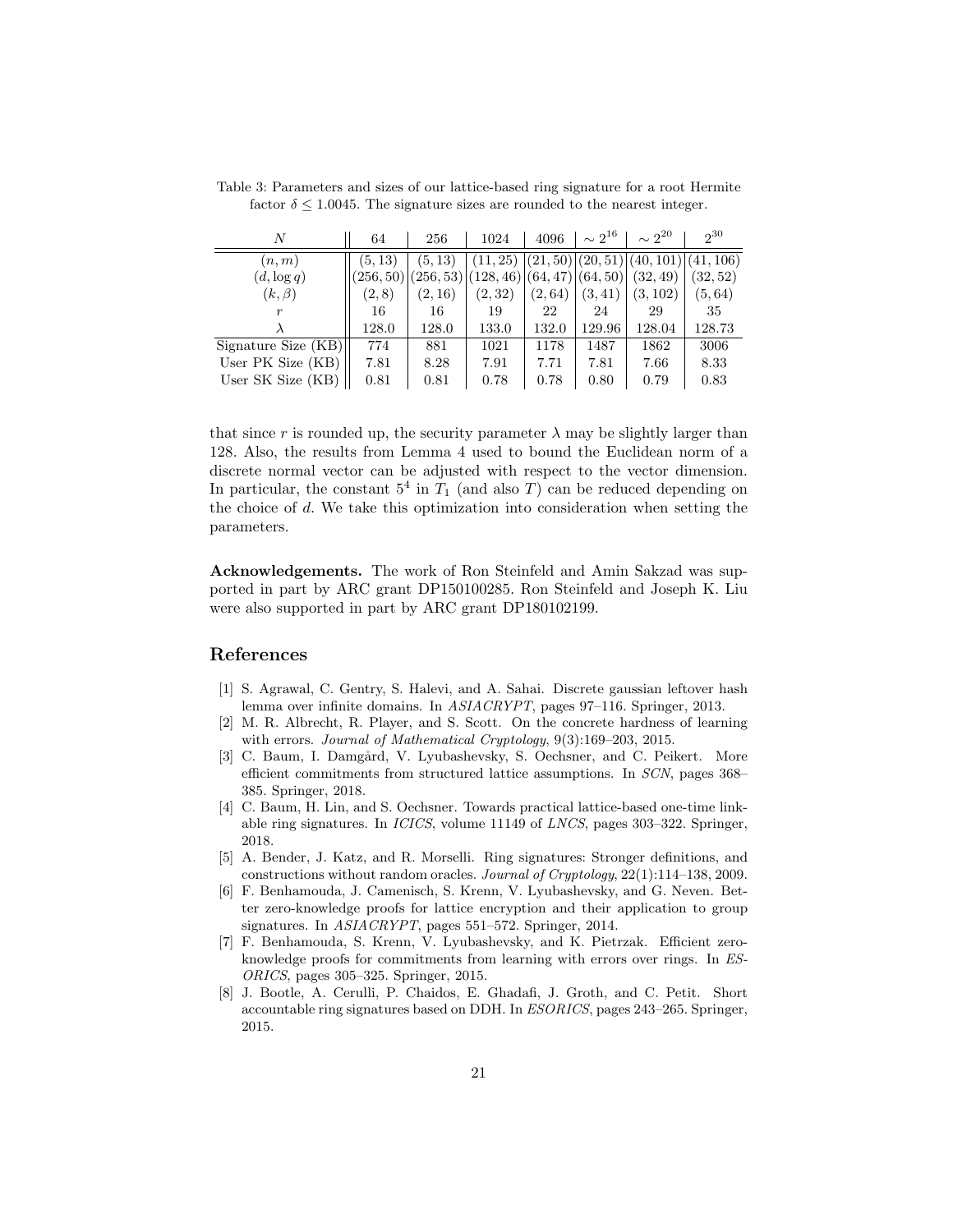| N                   | 64      | 256     | 1024                                                      | 4096    | $\sim 2^{16}$ | $\sim 2^{20}$                                                | $2^{30}$ |
|---------------------|---------|---------|-----------------------------------------------------------|---------|---------------|--------------------------------------------------------------|----------|
| (n, m)              | (5, 13) | (5, 13) |                                                           |         |               | $(11, 25)$ $ (21, 50)$ $ (20, 51)$ $ (40, 101)$ $ (41, 106)$ |          |
| $(d, \log q)$       |         |         | $(256, 50)$ $(256, 53)$ $(128, 46)$ $(64, 47)$ $(64, 50)$ |         |               | (32, 49)                                                     | (32, 52) |
| $(k,\beta)$         | (2,8)   | (2, 16) | (2,32)                                                    | (2, 64) | (3, 41)       | (3, 102)                                                     | (5, 64)  |
|                     | 16      | 16      | 19                                                        | 22      | 24            | 29                                                           | 35       |
|                     | 128.0   | 128.0   | 133.0                                                     | 132.0   | 129.96        | 128.04                                                       | 128.73   |
| Signature Size (KB) | 774     | 881     | 1021                                                      | 1178    | 1487          | 1862                                                         | 3006     |
| User PK Size (KB)   | 7.81    | 8.28    | 7.91                                                      | 7.71    | 7.81          | 7.66                                                         | 8.33     |
| User SK Size (KB)   | 0.81    | 0.81    | 0.78                                                      | 0.78    | 0.80          | 0.79                                                         | 0.83     |

Table 3: Parameters and sizes of our lattice-based ring signature for a root Hermite factor  $\delta \leq 1.0045$ . The signature sizes are rounded to the nearest integer.

that since r is rounded up, the security parameter  $\lambda$  may be slightly larger than 128. Also, the results from Lemma 4 used to bound the Euclidean norm of a discrete normal vector can be adjusted with respect to the vector dimension. In particular, the constant  $5^4$  in  $T_1$  (and also T) can be reduced depending on the choice of d. We take this optimization into consideration when setting the parameters.

Acknowledgements. The work of Ron Steinfeld and Amin Sakzad was supported in part by ARC grant DP150100285. Ron Steinfeld and Joseph K. Liu were also supported in part by ARC grant DP180102199.

# References

- [1] S. Agrawal, C. Gentry, S. Halevi, and A. Sahai. Discrete gaussian leftover hash lemma over infinite domains. In  $ASIACRYPT$ , pages 97–116. Springer, 2013.
- [2] M. R. Albrecht, R. Player, and S. Scott. On the concrete hardness of learning with errors. *Journal of Mathematical Cryptology*, 9(3):169–203, 2015.
- [3] C. Baum, I. Damgård, V. Lyubashevsky, S. Oechsner, and C. Peikert. More efficient commitments from structured lattice assumptions. In SCN, pages 368– 385. Springer, 2018.
- [4] C. Baum, H. Lin, and S. Oechsner. Towards practical lattice-based one-time linkable ring signatures. In ICICS, volume 11149 of LNCS, pages 303–322. Springer, 2018.
- [5] A. Bender, J. Katz, and R. Morselli. Ring signatures: Stronger definitions, and constructions without random oracles. Journal of Cryptology, 22(1):114–138, 2009.
- [6] F. Benhamouda, J. Camenisch, S. Krenn, V. Lyubashevsky, and G. Neven. Better zero-knowledge proofs for lattice encryption and their application to group signatures. In *ASIACRYPT*, pages 551–572. Springer, 2014.
- [7] F. Benhamouda, S. Krenn, V. Lyubashevsky, and K. Pietrzak. Efficient zeroknowledge proofs for commitments from learning with errors over rings. In ES-ORICS, pages 305–325. Springer, 2015.
- [8] J. Bootle, A. Cerulli, P. Chaidos, E. Ghadafi, J. Groth, and C. Petit. Short accountable ring signatures based on DDH. In ESORICS, pages 243–265. Springer, 2015.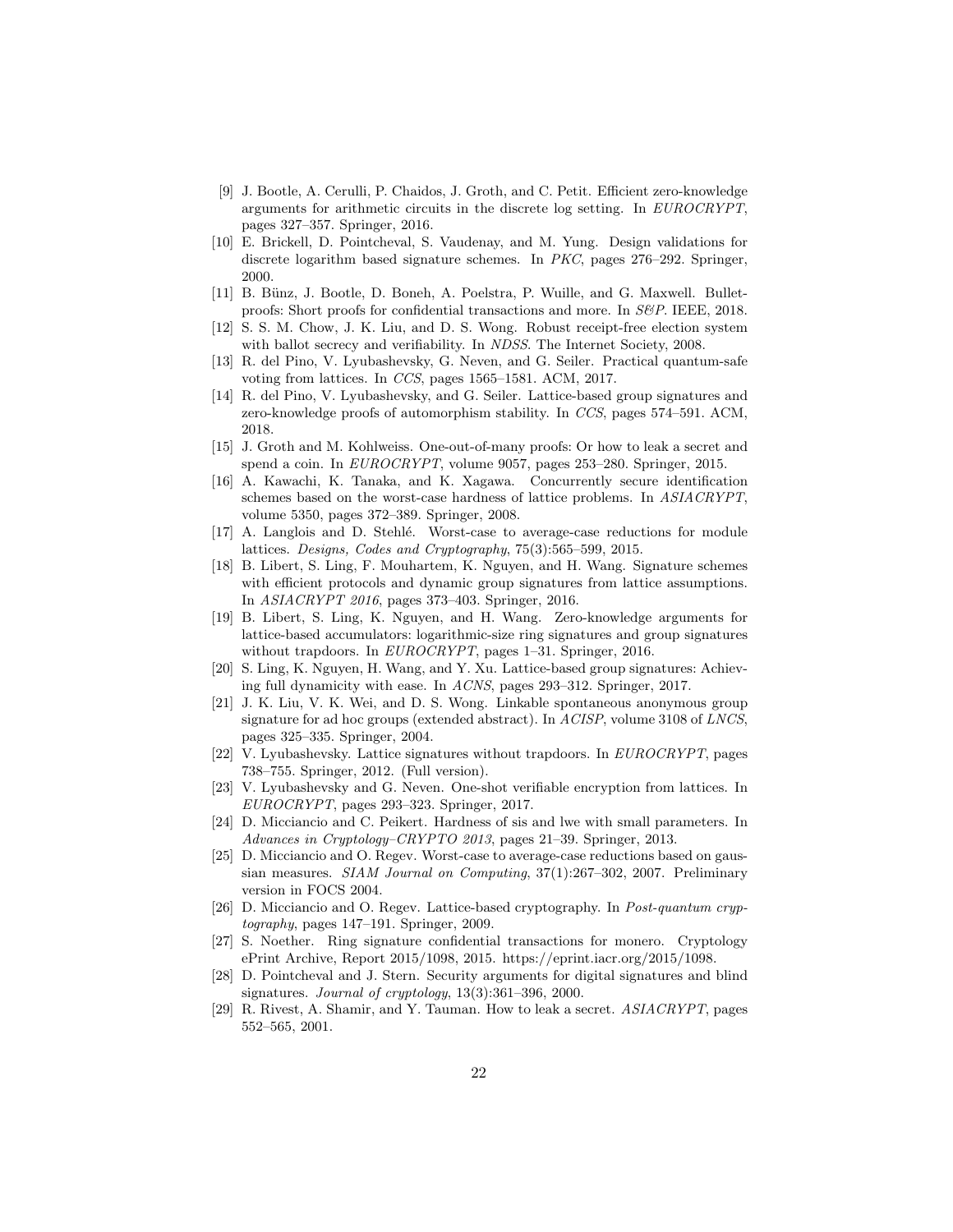- [9] J. Bootle, A. Cerulli, P. Chaidos, J. Groth, and C. Petit. Efficient zero-knowledge arguments for arithmetic circuits in the discrete log setting. In EUROCRYPT, pages 327–357. Springer, 2016.
- [10] E. Brickell, D. Pointcheval, S. Vaudenay, and M. Yung. Design validations for discrete logarithm based signature schemes. In PKC, pages 276–292. Springer, 2000.
- [11] B. Bünz, J. Bootle, D. Boneh, A. Poelstra, P. Wuille, and G. Maxwell. Bulletproofs: Short proofs for confidential transactions and more. In S&P. IEEE, 2018.
- [12] S. S. M. Chow, J. K. Liu, and D. S. Wong. Robust receipt-free election system with ballot secrecy and verifiability. In *NDSS*. The Internet Society, 2008.
- [13] R. del Pino, V. Lyubashevsky, G. Neven, and G. Seiler. Practical quantum-safe voting from lattices. In CCS, pages 1565–1581. ACM, 2017.
- [14] R. del Pino, V. Lyubashevsky, and G. Seiler. Lattice-based group signatures and zero-knowledge proofs of automorphism stability. In CCS, pages 574–591. ACM, 2018.
- [15] J. Groth and M. Kohlweiss. One-out-of-many proofs: Or how to leak a secret and spend a coin. In EUROCRYPT, volume 9057, pages 253–280. Springer, 2015.
- [16] A. Kawachi, K. Tanaka, and K. Xagawa. Concurrently secure identification schemes based on the worst-case hardness of lattice problems. In ASIACRYPT, volume 5350, pages 372–389. Springer, 2008.
- [17] A. Langlois and D. Stehlé. Worst-case to average-case reductions for module lattices. Designs, Codes and Cryptography, 75(3):565–599, 2015.
- [18] B. Libert, S. Ling, F. Mouhartem, K. Nguyen, and H. Wang. Signature schemes with efficient protocols and dynamic group signatures from lattice assumptions. In ASIACRYPT 2016, pages 373–403. Springer, 2016.
- [19] B. Libert, S. Ling, K. Nguyen, and H. Wang. Zero-knowledge arguments for lattice-based accumulators: logarithmic-size ring signatures and group signatures without trapdoors. In EUROCRYPT, pages 1-31. Springer, 2016.
- [20] S. Ling, K. Nguyen, H. Wang, and Y. Xu. Lattice-based group signatures: Achieving full dynamicity with ease. In ACNS, pages 293–312. Springer, 2017.
- [21] J. K. Liu, V. K. Wei, and D. S. Wong. Linkable spontaneous anonymous group signature for ad hoc groups (extended abstract). In ACISP, volume 3108 of LNCS, pages 325–335. Springer, 2004.
- [22] V. Lyubashevsky. Lattice signatures without trapdoors. In EUROCRYPT, pages 738–755. Springer, 2012. (Full version).
- [23] V. Lyubashevsky and G. Neven. One-shot verifiable encryption from lattices. In EUROCRYPT, pages 293–323. Springer, 2017.
- [24] D. Micciancio and C. Peikert. Hardness of sis and lwe with small parameters. In Advances in Cryptology–CRYPTO 2013, pages 21–39. Springer, 2013.
- [25] D. Micciancio and O. Regev. Worst-case to average-case reductions based on gaussian measures. SIAM Journal on Computing, 37(1):267–302, 2007. Preliminary version in FOCS 2004.
- [26] D. Micciancio and O. Regev. Lattice-based cryptography. In Post-quantum cryptography, pages 147–191. Springer, 2009.
- [27] S. Noether. Ring signature confidential transactions for monero. Cryptology ePrint Archive, Report 2015/1098, 2015. https://eprint.iacr.org/2015/1098.
- [28] D. Pointcheval and J. Stern. Security arguments for digital signatures and blind signatures. *Journal of cryptology*,  $13(3):361-396$ , 2000.
- [29] R. Rivest, A. Shamir, and Y. Tauman. How to leak a secret. ASIACRYPT, pages 552–565, 2001.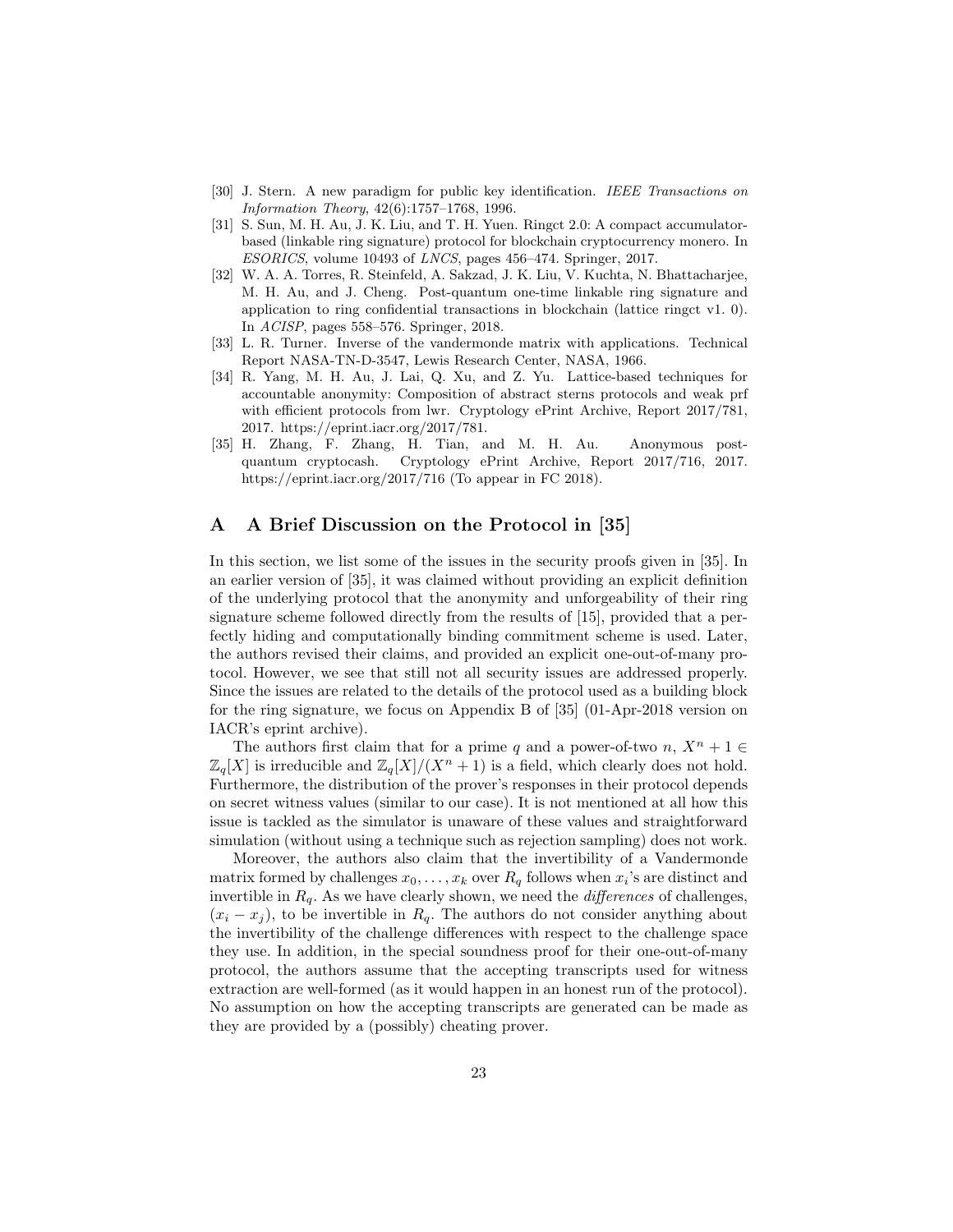- [30] J. Stern. A new paradigm for public key identification. IEEE Transactions on Information Theory, 42(6):1757–1768, 1996.
- [31] S. Sun, M. H. Au, J. K. Liu, and T. H. Yuen. Ringct 2.0: A compact accumulatorbased (linkable ring signature) protocol for blockchain cryptocurrency monero. In ESORICS, volume 10493 of LNCS, pages 456–474. Springer, 2017.
- [32] W. A. A. Torres, R. Steinfeld, A. Sakzad, J. K. Liu, V. Kuchta, N. Bhattacharjee, M. H. Au, and J. Cheng. Post-quantum one-time linkable ring signature and application to ring confidential transactions in blockchain (lattice ringct v1. 0). In ACISP, pages 558–576. Springer, 2018.
- [33] L. R. Turner. Inverse of the vandermonde matrix with applications. Technical Report NASA-TN-D-3547, Lewis Research Center, NASA, 1966.
- [34] R. Yang, M. H. Au, J. Lai, Q. Xu, and Z. Yu. Lattice-based techniques for accountable anonymity: Composition of abstract sterns protocols and weak prf with efficient protocols from lwr. Cryptology ePrint Archive, Report 2017/781, 2017. https://eprint.iacr.org/2017/781.
- [35] H. Zhang, F. Zhang, H. Tian, and M. H. Au. Anonymous postquantum cryptocash. Cryptology ePrint Archive, Report 2017/716, 2017. https://eprint.iacr.org/2017/716 (To appear in FC 2018).

## A A Brief Discussion on the Protocol in [35]

In this section, we list some of the issues in the security proofs given in [35]. In an earlier version of [35], it was claimed without providing an explicit definition of the underlying protocol that the anonymity and unforgeability of their ring signature scheme followed directly from the results of [15], provided that a perfectly hiding and computationally binding commitment scheme is used. Later, the authors revised their claims, and provided an explicit one-out-of-many protocol. However, we see that still not all security issues are addressed properly. Since the issues are related to the details of the protocol used as a building block for the ring signature, we focus on Appendix B of [35] (01-Apr-2018 version on IACR's eprint archive).

The authors first claim that for a prime q and a power-of-two  $n, X^n + 1 \in$  $\mathbb{Z}_q[X]$  is irreducible and  $\mathbb{Z}_q[X]/(X^n + 1)$  is a field, which clearly does not hold. Furthermore, the distribution of the prover's responses in their protocol depends on secret witness values (similar to our case). It is not mentioned at all how this issue is tackled as the simulator is unaware of these values and straightforward simulation (without using a technique such as rejection sampling) does not work.

Moreover, the authors also claim that the invertibility of a Vandermonde matrix formed by challenges  $x_0, \ldots, x_k$  over  $R_q$  follows when  $x_i$ 's are distinct and invertible in  $R_q$ . As we have clearly shown, we need the *differences* of challenges,  $(x_i - x_j)$ , to be invertible in  $R_q$ . The authors do not consider anything about the invertibility of the challenge differences with respect to the challenge space they use. In addition, in the special soundness proof for their one-out-of-many protocol, the authors assume that the accepting transcripts used for witness extraction are well-formed (as it would happen in an honest run of the protocol). No assumption on how the accepting transcripts are generated can be made as they are provided by a (possibly) cheating prover.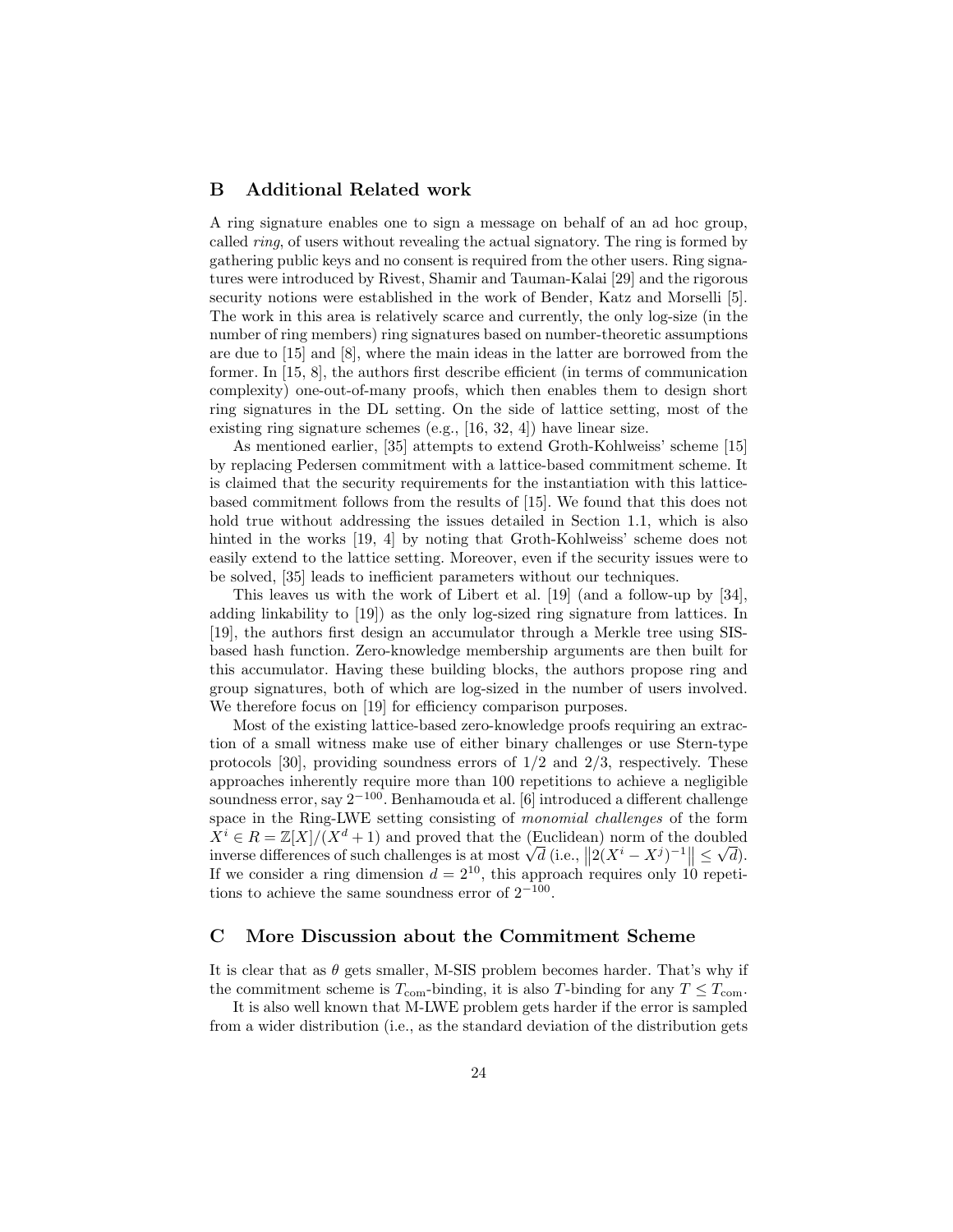## B Additional Related work

A ring signature enables one to sign a message on behalf of an ad hoc group, called ring, of users without revealing the actual signatory. The ring is formed by gathering public keys and no consent is required from the other users. Ring signatures were introduced by Rivest, Shamir and Tauman-Kalai [29] and the rigorous security notions were established in the work of Bender, Katz and Morselli [5]. The work in this area is relatively scarce and currently, the only log-size (in the number of ring members) ring signatures based on number-theoretic assumptions are due to [15] and [8], where the main ideas in the latter are borrowed from the former. In [15, 8], the authors first describe efficient (in terms of communication complexity) one-out-of-many proofs, which then enables them to design short ring signatures in the DL setting. On the side of lattice setting, most of the existing ring signature schemes (e.g., [16, 32, 4]) have linear size.

As mentioned earlier, [35] attempts to extend Groth-Kohlweiss' scheme [15] by replacing Pedersen commitment with a lattice-based commitment scheme. It is claimed that the security requirements for the instantiation with this latticebased commitment follows from the results of [15]. We found that this does not hold true without addressing the issues detailed in Section 1.1, which is also hinted in the works [19, 4] by noting that Groth-Kohlweiss' scheme does not easily extend to the lattice setting. Moreover, even if the security issues were to be solved, [35] leads to inefficient parameters without our techniques.

This leaves us with the work of Libert et al. [19] (and a follow-up by [34], adding linkability to [19]) as the only log-sized ring signature from lattices. In [19], the authors first design an accumulator through a Merkle tree using SISbased hash function. Zero-knowledge membership arguments are then built for this accumulator. Having these building blocks, the authors propose ring and group signatures, both of which are log-sized in the number of users involved. We therefore focus on [19] for efficiency comparison purposes.

Most of the existing lattice-based zero-knowledge proofs requiring an extraction of a small witness make use of either binary challenges or use Stern-type protocols [30], providing soundness errors of  $1/2$  and  $2/3$ , respectively. These approaches inherently require more than 100 repetitions to achieve a negligible soundness error, say 2<sup>−</sup>100. Benhamouda et al. [6] introduced a different challenge space in the Ring-LWE setting consisting of monomial challenges of the form  $\overline{X}^i \in R = \mathbb{Z}[X]/(\overline{X}^d + 1)$  and proved that the (Euclidean) norm of the doubled  $X^{\circ} \in R = \mathbb{Z}[X]/(X^{\alpha} + 1)$  and proved that the (Euclidean) norm of the doubled<br>inverse differences of such challenges is at most  $\sqrt{d}$  (i.e.,  $||2(X^{i} - X^{j})^{-1}|| \leq \sqrt{d}$ ). If we consider a ring dimension  $d = 2^{10}$ , this approach requires only 10 repetitions to achieve the same soundness error of  $2^{-100}$ .

## C More Discussion about the Commitment Scheme

It is clear that as  $\theta$  gets smaller, M-SIS problem becomes harder. That's why if the commitment scheme is  $T_{\text{com}}$ -binding, it is also T-binding for any  $T \leq T_{\text{com}}$ .

It is also well known that M-LWE problem gets harder if the error is sampled from a wider distribution (i.e., as the standard deviation of the distribution gets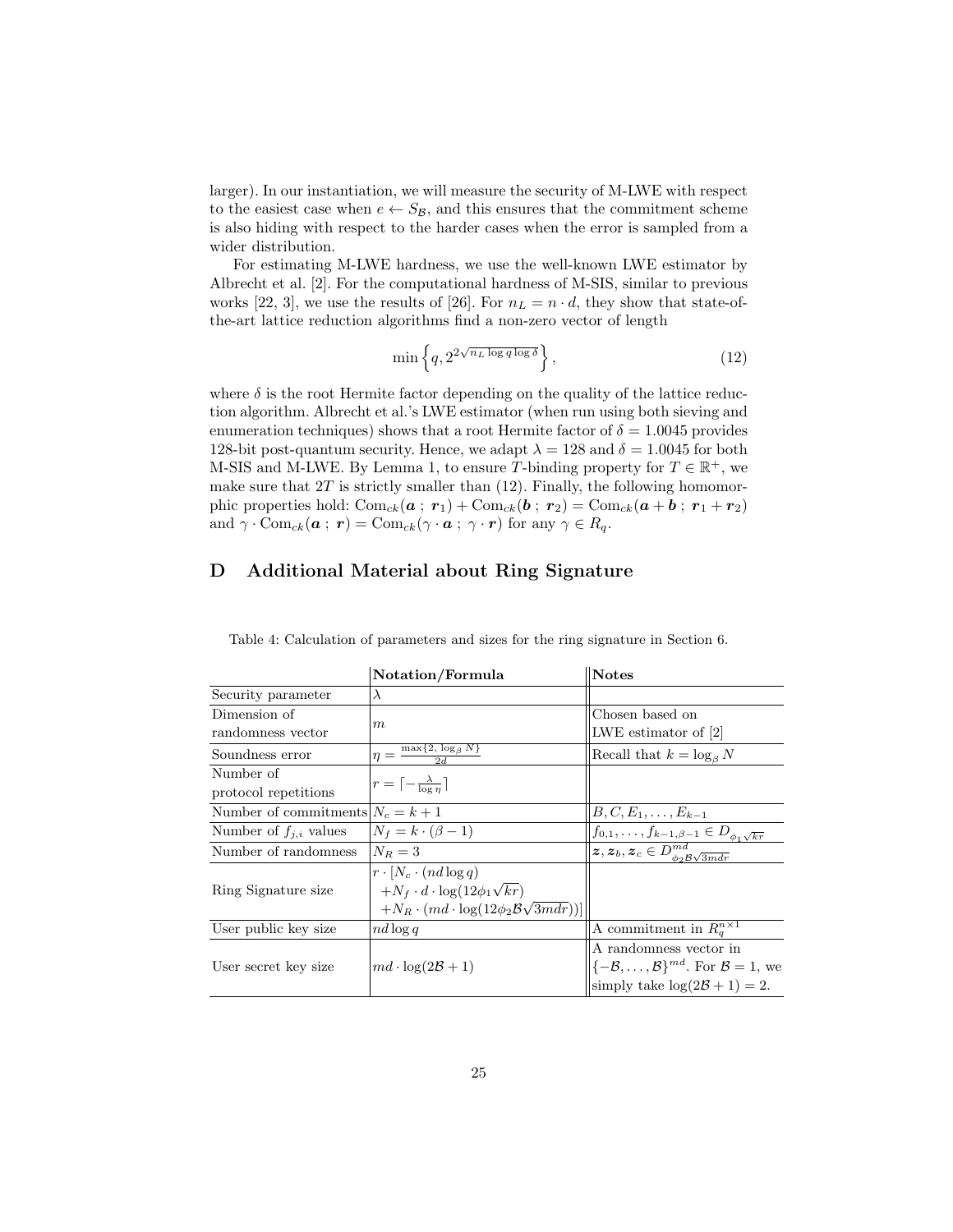larger). In our instantiation, we will measure the security of M-LWE with respect to the easiest case when  $e \leftarrow S_B$ , and this ensures that the commitment scheme is also hiding with respect to the harder cases when the error is sampled from a wider distribution.

For estimating M-LWE hardness, we use the well-known LWE estimator by Albrecht et al. [2]. For the computational hardness of M-SIS, similar to previous works [22, 3], we use the results of [26]. For  $n_L = n \cdot d$ , they show that state-ofthe-art lattice reduction algorithms find a non-zero vector of length

$$
\min\left\{q, 2^{2\sqrt{n_L \log q \log \delta}}\right\},\tag{12}
$$

where  $\delta$  is the root Hermite factor depending on the quality of the lattice reduction algorithm. Albrecht et al.'s LWE estimator (when run using both sieving and enumeration techniques) shows that a root Hermite factor of  $\delta = 1.0045$  provides 128-bit post-quantum security. Hence, we adapt  $\lambda = 128$  and  $\delta = 1.0045$  for both M-SIS and M-LWE. By Lemma 1, to ensure T-binding property for  $T \in \mathbb{R}^+$ , we make sure that  $2T$  is strictly smaller than  $(12)$ . Finally, the following homomorphic properties hold:  $\text{Com}_{ck}(a; r_1) + \text{Com}_{ck}(b; r_2) = \text{Com}_{ck}(a + b; r_1 + r_2)$ and  $\gamma \cdot \text{Com}_{ck}(\boldsymbol{a} ; \boldsymbol{r}) = \text{Com}_{ck}(\gamma \cdot \boldsymbol{a} ; \gamma \cdot \boldsymbol{r})$  for any  $\gamma \in R_q$ .

# D Additional Material about Ring Signature

|                                     | Notation/Formula                                              | <b>Notes</b>                                                                           |  |  |
|-------------------------------------|---------------------------------------------------------------|----------------------------------------------------------------------------------------|--|--|
| Security parameter                  | $\lambda$                                                     |                                                                                        |  |  |
| Dimension of                        |                                                               | Chosen based on                                                                        |  |  |
| randomness vector                   | m                                                             | LWE estimator of $ 2 $                                                                 |  |  |
| Soundness error                     | $\eta = \frac{\max\{2, \log_\beta N\}}{2d}$                   | Recall that $k = \log_{\beta} N$                                                       |  |  |
| Number of                           |                                                               |                                                                                        |  |  |
| protocol repetitions                | $r = \lceil -\frac{\lambda}{\log n} \rceil$                   |                                                                                        |  |  |
| Number of commitments $N_c = k + 1$ |                                                               | $B, C, E_1, \ldots, E_{k-1}$                                                           |  |  |
| Number of $f_{j,i}$ values          | $N_f = k \cdot (\beta - 1)$                                   | $\overline{f_{0,1},\ldots,f_{k-1}}_{,\beta-1}\in D_{\phi_1\sqrt{kr}}$                  |  |  |
| Number of randomness                | $N_B=3$                                                       | $\overline{\ket{\bm{z}, \bm{z}_b, \bm{z}_c \in}D^{md}_{\phi_2\mathcal{B}\sqrt{3mdr}}}$ |  |  |
|                                     | $r \cdot [N_c \cdot (nd \log q)]$                             |                                                                                        |  |  |
| Ring Signature size                 | $+N_f \cdot d \cdot \log(12\phi_1\sqrt{kr})$                  |                                                                                        |  |  |
|                                     | $+N_R \cdot (md \cdot \log(12\phi_2 \mathcal{B}\sqrt{3mdr}))$ |                                                                                        |  |  |
| User public key size                | $nd \log q$                                                   | A commitment in $R_o^{n \times 1}$                                                     |  |  |
|                                     |                                                               | A randomness vector in                                                                 |  |  |
| User secret key size                | $md \cdot \log(2\mathcal{B}+1)$                               | $\{-\mathcal{B}, \ldots, \mathcal{B}\}^{md}$ . For $\mathcal{B} = 1$ , we              |  |  |
|                                     |                                                               | simply take $\log(2\mathcal{B}+1)=2$ .                                                 |  |  |

Table 4: Calculation of parameters and sizes for the ring signature in Section 6.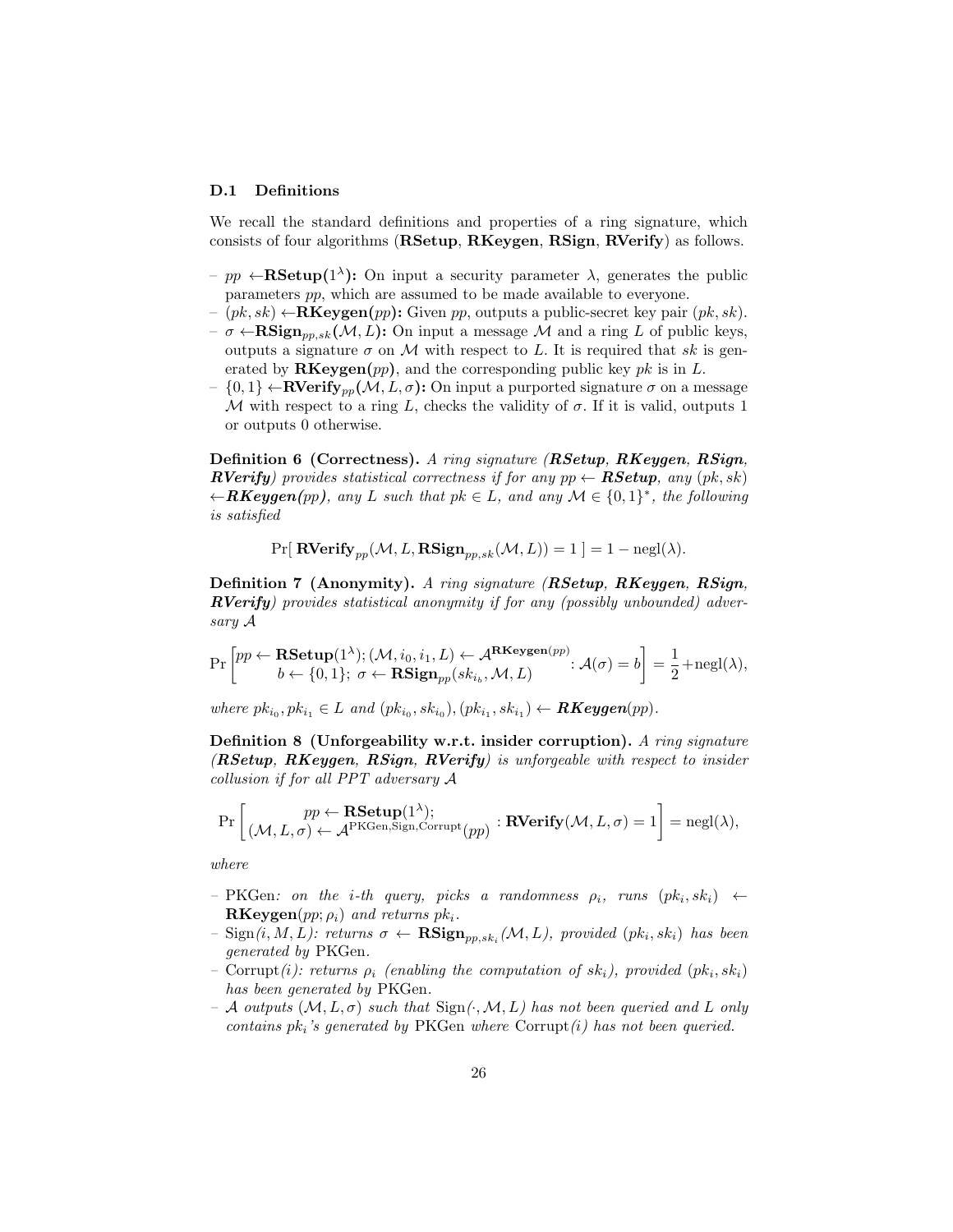#### D.1 Definitions

We recall the standard definitions and properties of a ring signature, which consists of four algorithms (RSetup, RKeygen, RSign, RVerify) as follows.

- $pp \leftarrow \text{RSetup}(1^{\lambda})$ : On input a security parameter  $\lambda$ , generates the public parameters pp, which are assumed to be made available to everyone.
- $-(pk, sk) \leftarrow \mathbf{RKeygen}(pp)$ : Given pp, outputs a public-secret key pair  $(pk, sk)$ .
- $-\sigma \leftarrow \text{RSign}_{pp,sk}(\mathcal{M}, L)$ : On input a message M and a ring L of public keys, outputs a signature  $\sigma$  on M with respect to L. It is required that sk is generated by  $\mathbf{RKeygen}(pp)$ , and the corresponding public key pk is in L.
- $\{0,1\} \leftarrow \text{RVerify}_{nn}(\mathcal{M}, L, \sigma)$ : On input a purported signature  $\sigma$  on a message M with respect to a ring L, checks the validity of  $\sigma$ . If it is valid, outputs 1 or outputs 0 otherwise.

Definition 6 (Correctness). A ring signature (RSetup, RKeygen, RSign, **RVerify**) provides statistical correctness if for any  $pp \leftarrow \textbf{RSetup},$  any  $(pk, sk)$  $\leftarrow$ **RKeygen**(pp), any L such that pk  $\in$  L, and any  $\mathcal{M} \in \{0,1\}^*$ , the following is satisfied

$$
Pr[ \text{ RVerify}_{pp}(\mathcal{M}, L, \text{RSign}_{pp,sk}(\mathcal{M}, L)) = 1 ] = 1 - negl(\lambda).
$$

Definition 7 (Anonymity). A ring signature (RSetup, RKeygen, RSign, **RVerify**) provides statistical anonymity if for any (possibly unbounded) adversary A

$$
\Pr\left[ \begin{matrix} pp\ \leftarrow \ \textbf{RSetup}(1^{\lambda});(\mathcal{M},i_0,i_1,L) \leftarrow \mathcal{A}^{\textbf{RKeygen}(pp)}\text{: } \mathcal{A}(\sigma) = b \end{matrix} \right] = \frac{1}{2} + \text{negl}(\lambda),\\ \textbf{PSign}_{pp}(sk_{i_b},\mathcal{M},L) \qquad \qquad \textbf{RSign}_{pp}(sk_{i_b},\mathcal{M},L) \qquad \qquad \textbf{RFSgen}(\lambda),
$$

where  $pk_{i_0}, pk_{i_1} \in L$  and  $(pk_{i_0}, sk_{i_0}), (pk_{i_1}, sk_{i_1}) \leftarrow \textbf{RKeygen}(pp)$ .

Definition 8 (Unforgeability w.r.t. insider corruption). A ring signature (RSetup, RKeygen, RSign, RVerify) is unforgeable with respect to insider collusion if for all PPT adversary A

$$
\Pr\left[\begin{matrix}pp\leftarrow\textbf{RSetup}(1^{\lambda});\\(\mathcal{M},L,\sigma)\leftarrow\mathcal{A}^{\text{PKGen,Sign,Corrupt}}(pp):\textbf{RVerify}(\mathcal{M},L,\sigma)=1\end{matrix}\right]=\text{negl}(\lambda),
$$

where

- $-$  PKGen: on the *i*-th query, picks a randomness  $\rho_i$ , runs  $(pk_i, sk_i) \leftarrow$  $\mathbf{RKeygen}(pp; \rho_i)$  and returns  $pk_i$ .
- $-$  Sign $(i, M, L)$ : returns  $\sigma \leftarrow \mathbf{RSign}_{pp, sk_i}(\mathcal{M}, L)$ , provided  $(pk_i, sk_i)$  has been generated by PKGen.
- Corrupt(i): returns  $\rho_i$  (enabling the computation of  $sk_i$ ), provided ( $pk_i, sk_i$ ) has been generated by PKGen.
- $-$  A outputs  $(M, L, \sigma)$  such that  $Sign(\cdot, M, L)$  has not been queried and L only contains  $pk_i$ 's generated by PKGen where Corrupt $(i)$  has not been queried.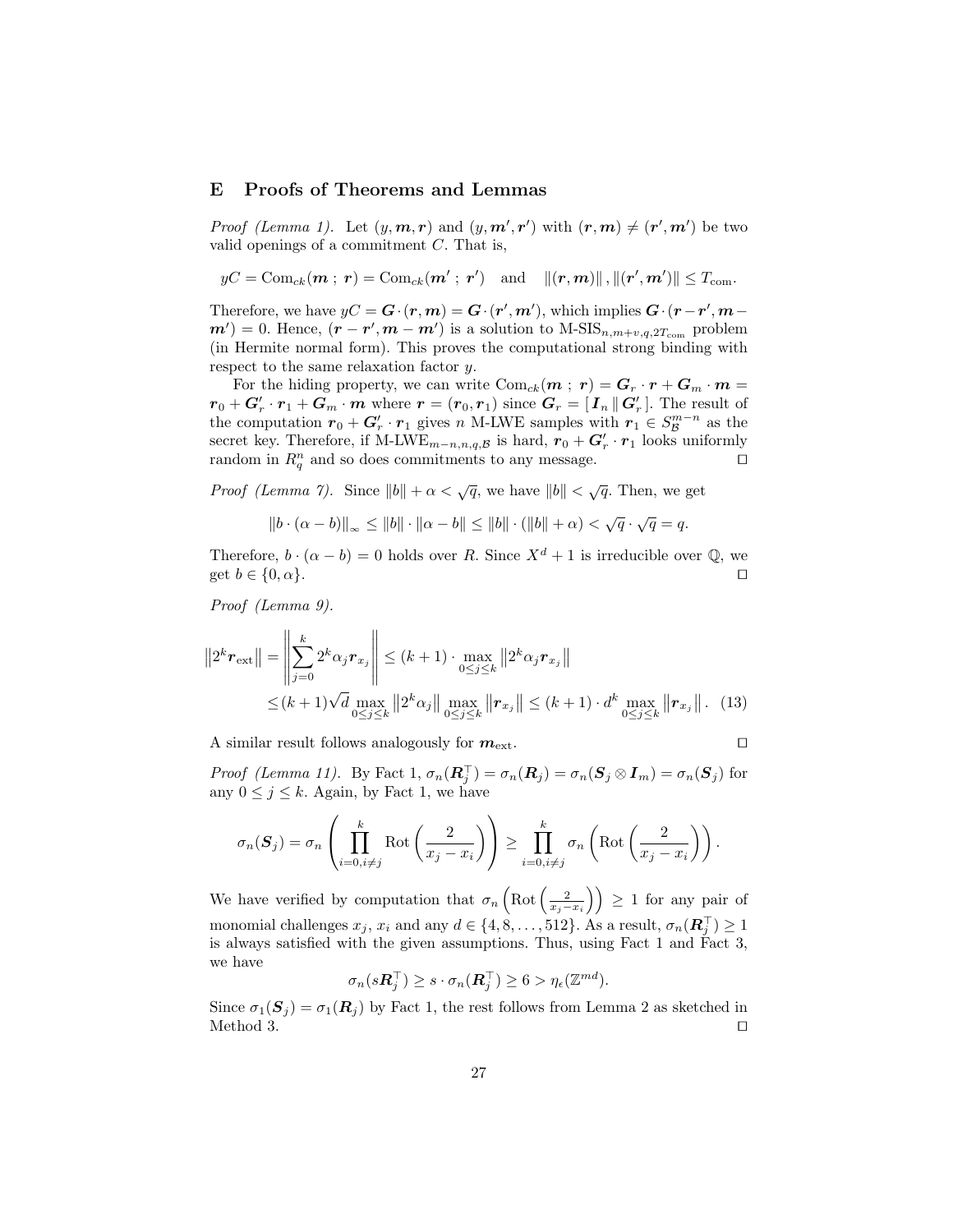# E Proofs of Theorems and Lemmas

*Proof (Lemma 1).* Let  $(y, m, r)$  and  $(y, m', r')$  with  $(r, m) \neq (r', m')$  be two valid openings of a commitment  $C$ . That is,

$$
yC = \text{Com}_{ck}(\boldsymbol{m} \; ; \; \boldsymbol{r}) = \text{Com}_{ck}(\boldsymbol{m}' \; ; \; \boldsymbol{r}') \quad \text{and} \quad \|(\boldsymbol{r}, \boldsymbol{m})\| \, , \|( \boldsymbol{r}', \boldsymbol{m}') \| \leq T_{\text{com}}.
$$

Therefore, we have  $yC = G \cdot (r, m) = G \cdot (r', m')$ , which implies  $G \cdot (r - r', m - r')$  $m'$ ) = 0. Hence,  $(r - r', m - m')$  is a solution to M-SIS<sub>n,m+v,q,2T<sub>com</sub> problem</sub> (in Hermite normal form). This proves the computational strong binding with respect to the same relaxation factor y.

For the hiding property, we can write  $Com_{ck}(m ; r) = G_r \cdot r + G_m \cdot m =$  $r_0 + \mathbf{G}'_r \cdot \mathbf{r}_1 + \mathbf{G}_m \cdot \mathbf{m}$  where  $\mathbf{r} = (\mathbf{r}_0, \mathbf{r}_1)$  since  $\mathbf{G}_r = [\mathbf{I}_n || \mathbf{G}'_r]$ . The result of the computation  $r_0 + G'_r \cdot r_1$  gives n M-LWE samples with  $r_1 \in S_{\mathcal{B}}^{m-n}$  as the secret key. Therefore, if M-LWE<sub>m−n,n,q,B</sub> is hard,  $r_0 + G'_r \cdot r_1$  looks uniformly random in  $R_q^n$  and so does commitments to any message.

*Proof (Lemma 7).* Since  $||b|| + \alpha < \sqrt{q}$ , we have  $||b|| < \sqrt{q}$ . Then, we get

$$
||b \cdot (\alpha - b)||_{\infty} \le ||b|| \cdot ||\alpha - b|| \le ||b|| \cdot (||b|| + \alpha) < \sqrt{q} \cdot \sqrt{q} = q.
$$

Therefore,  $b \cdot (\alpha - b) = 0$  holds over R. Since  $X^d + 1$  is irreducible over Q, we get  $b \in \{0, \alpha\}.$ 

Proof (Lemma 9).

$$
||2^{k} \mathbf{r}_{\text{ext}}|| = \left\| \sum_{j=0}^{k} 2^{k} \alpha_{j} \mathbf{r}_{x_{j}} \right\| \leq (k+1) \cdot \max_{0 \leq j \leq k} ||2^{k} \alpha_{j} \mathbf{r}_{x_{j}}||
$$
  
 
$$
\leq (k+1) \sqrt{d} \max_{0 \leq j \leq k} ||2^{k} \alpha_{j}|| \max_{0 \leq j \leq k} ||\mathbf{r}_{x_{j}}|| \leq (k+1) \cdot d^{k} \max_{0 \leq j \leq k} ||\mathbf{r}_{x_{j}}||. (13)
$$

A similar result follows analogously for  $m_{\text{ext}}$ .

$$
\Box
$$

Proof (Lemma 11). By Fact 1,  $\sigma_n(\mathbf{R}_j^{\top}) = \sigma_n(\mathbf{R}_j) = \sigma_n(\mathbf{S}_j \otimes \mathbf{I}_m) = \sigma_n(\mathbf{S}_j)$  for any  $0 \leq j \leq k$ . Again, by Fact 1, we have

$$
\sigma_n(\boldsymbol{S}_j) = \sigma_n\left(\prod_{i=0, i\neq j}^k \mathrm{Rot}\left(\frac{2}{x_j - x_i}\right)\right) \ge \prod_{i=0, i\neq j}^k \sigma_n\left(\mathrm{Rot}\left(\frac{2}{x_j - x_i}\right)\right).
$$

We have verified by computation that  $\sigma_n\left(\text{Rot}\left(\frac{2}{x_j-x_i}\right)\right) \geq 1$  for any pair of monomial challenges  $x_j$ ,  $x_i$  and any  $d \in \{4, 8, ..., 512\}$ . As a result,  $\sigma_n(\mathbf{R}_j^{\top}) \geq 1$ is always satisfied with the given assumptions. Thus, using Fact 1 and Fact 3, we have

$$
\sigma_n(s\mathbf{R}_j^{\top}) \geq s \cdot \sigma_n(\mathbf{R}_j^{\top}) \geq 6 > \eta_{\epsilon}(\mathbb{Z}^{md}).
$$

Since  $\sigma_1(\mathbf{S}_j) = \sigma_1(\mathbf{R}_j)$  by Fact 1, the rest follows from Lemma 2 as sketched in Method 3.  $\Box$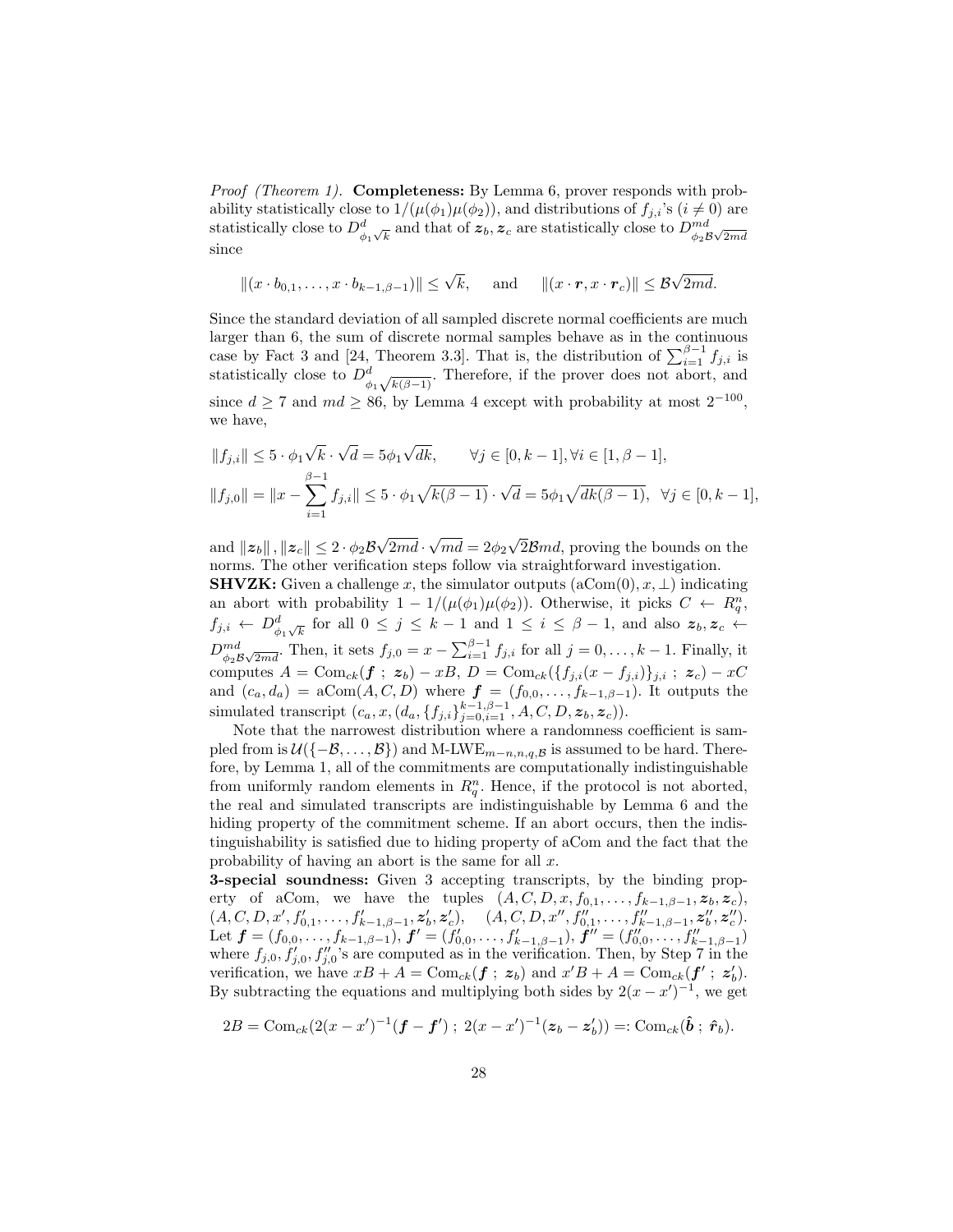*Proof (Theorem 1).* **Completeness:** By Lemma 6, prover responds with probability statistically close to  $1/(\mu(\phi_1)\mu(\phi_2))$ , and distributions of  $f_{j,i}$ 's  $(i \neq 0)$  are statistically close to  $D^d_{\phi_1\sqrt{k}}$  and that of  $\bm{z}_b$ ,  $\bm{z}_c$  are statistically close to  $D^{md}_{\phi_2\mathcal{B}\sqrt{2md}}$ since

$$
||(x \cdot b_{0,1}, \dots, x \cdot b_{k-1,\beta-1})|| \leq \sqrt{k}, \quad \text{and} \quad ||(x \cdot r, x \cdot r_c)|| \leq \mathcal{B}\sqrt{2md}.
$$

Since the standard deviation of all sampled discrete normal coefficients are much larger than 6, the sum of discrete normal samples behave as in the continuous case by Fact 3 and [24, Theorem 3.3]. That is, the distribution of  $\sum_{i=1}^{\beta-1} f_{j,i}$  is statistically close to  $D^d_{\phi_1\sqrt{k(\beta-1)}}$ . Therefore, if the prover does not abort, and since  $d \geq 7$  and  $md \geq 86$ , by Lemma 4 except with probability at most  $2^{-100}$ , we have,

$$
||f_{j,i}|| \le 5 \cdot \phi_1 \sqrt{k} \cdot \sqrt{d} = 5\phi_1 \sqrt{dk}, \qquad \forall j \in [0, k-1], \forall i \in [1, \beta-1],
$$
  

$$
||f_{j,0}|| = ||x - \sum_{i=1}^{\beta-1} f_{j,i}|| \le 5 \cdot \phi_1 \sqrt{k(\beta-1)} \cdot \sqrt{d} = 5\phi_1 \sqrt{dk(\beta-1)}, \ \forall j \in [0, k-1],
$$

and  $||z_b||$  ,  $||z_c|| \leq 2 \cdot \phi_2 \mathcal{B}$ √  $2md \cdot$ √  $md = 2\phi_2$ √  $2Bmd$ , proving the bounds on the norms. The other verification steps follow via straightforward investigation.

**SHVZK:** Given a challenge x, the simulator outputs  $(aCom(0), x, \perp)$  indicating an abort with probability  $1 - 1/(\mu(\phi_1)\mu(\phi_2))$ . Otherwise, it picks  $C \leftarrow R_q^n$ ,  $f_{j,i} \leftarrow D_{\phi_1\sqrt{k}}^d$  for all  $0 \leq j \leq k-1$  and  $1 \leq i \leq \beta-1$ , and also  $z_b, z_c \leftarrow$  $D_{\phi_2\mathcal{B}\sqrt{2md}}^{md}$ . Then, it sets  $f_{j,0} = x - \sum_{i=1}^{\beta-1} f_{j,i}$  for all  $j = 0, \ldots, k-1$ . Finally, it computes  $A = \text{Com}_{ck}(\boldsymbol{f} ; \boldsymbol{z}_b) - xB, D = \text{Com}_{ck}(\{f_{j,i}(x - f_{j,i})\}_{j,i} ; \boldsymbol{z}_c) - xC$ and  $(c_a, d_a) = \text{aCom}(A, C, D)$  where  $\boldsymbol{f} = (f_{0,0}, \ldots, f_{k-1,\beta-1})$ . It outputs the simulated transcript  $(c_a, x, (d_a, \{f_{j,i}\}_{j=0,i=1}^{k-1,\beta-1}, A, C, D, z_b, z_c)).$ 

Note that the narrowest distribution where a randomness coefficient is sampled from is  $\mathcal{U}(\{-B,\ldots,B\})$  and M-LWE<sub>m−n,n,q,B</sub> is assumed to be hard. Therefore, by Lemma 1, all of the commitments are computationally indistinguishable from uniformly random elements in  $R_q^n$ . Hence, if the protocol is not aborted, the real and simulated transcripts are indistinguishable by Lemma 6 and the hiding property of the commitment scheme. If an abort occurs, then the indistinguishability is satisfied due to hiding property of aCom and the fact that the probability of having an abort is the same for all  $x$ .

3-special soundness: Given 3 accepting transcripts, by the binding property of aCom, we have the tuples  $(A, C, D, x, f_{0,1}, \ldots, f_{k-1,\beta-1}, z_b, z_c)$ ,  $(A, C, D, x', f'_{0,1}, \ldots, f'_{k-1,\beta-1}, \mathbf{z}'_b, \mathbf{z}'_c), \quad (A, C, D, x'', f''_{0,1}, \ldots, f''_{k-1,\beta-1}, \mathbf{z}''_b, \mathbf{z}''_c).$ Let  $\boldsymbol{f} = (f_{0,0}, \ldots, f_{k-1,\beta-1}), \boldsymbol{f}' = (f'_{0,0}, \ldots, f'_{k-1,\beta-1}), \boldsymbol{f}'' = (f''_{0,0}, \ldots, f''_{k-1,\beta-1})$ where  $f_{j,0}, f'_{j,0}, f''_{j,0}$ 's are computed as in the verification. Then, by Step 7 in the verification, we have  $xB + A = \text{Com}_{ck}(f; z_b)$  and  $x'B + A = \text{Com}_{ck}(f'; z'_b)$ . By subtracting the equations and multiplying both sides by  $2(x - x')^{-1}$ , we get

$$
2B = \text{Com}_{ck}(2(x-x')^{-1}(\bm{f}-\bm{f}')); \ 2(x-x')^{-1}(\bm{z}_b-\bm{z}'_b)) =: \text{Com}_{ck}(\hat{\bm{b}}; \ \hat{\bm{r}}_b).
$$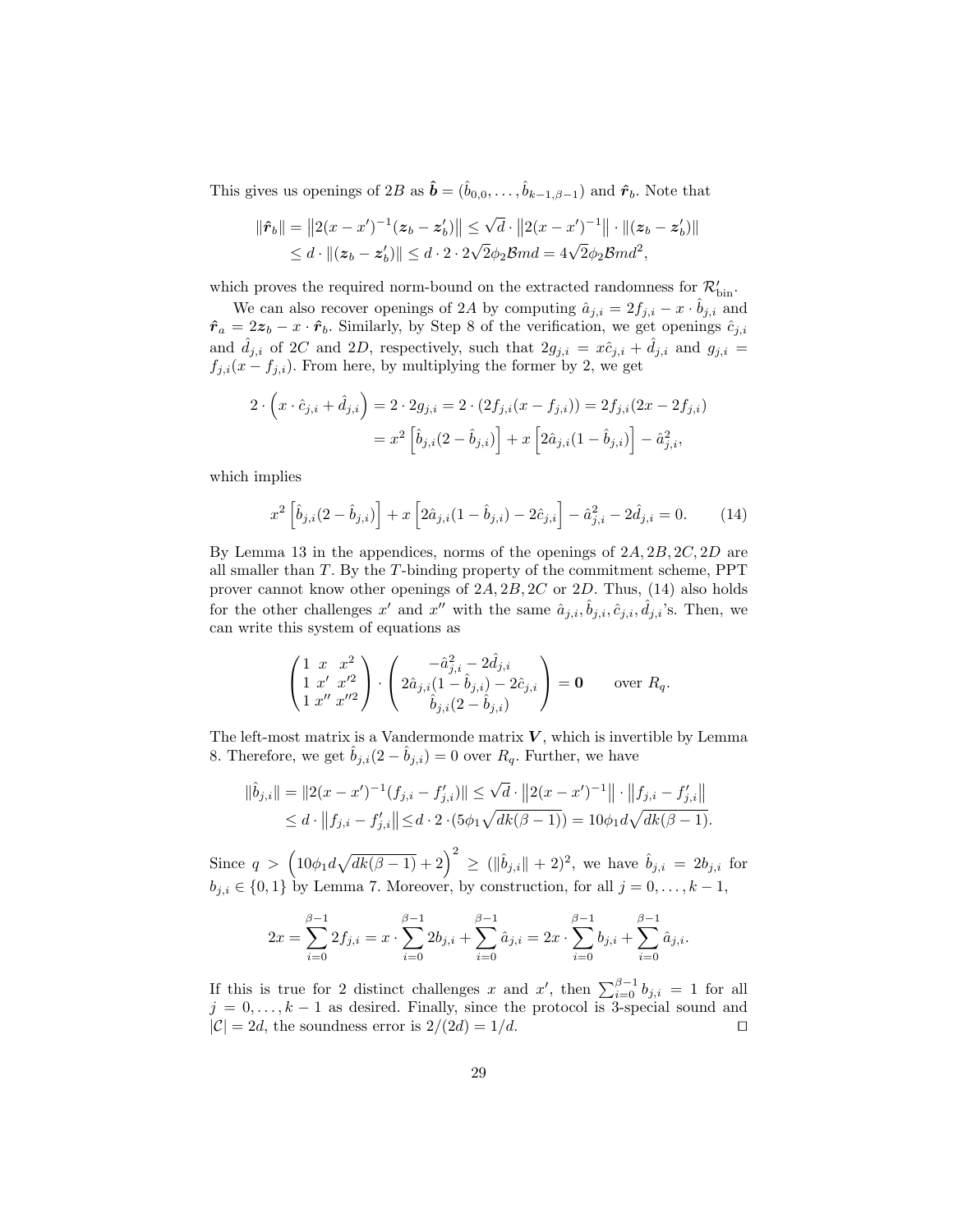This gives us openings of 2B as  $\hat{\boldsymbol{b}} = (\hat{b}_{0,0}, \dots, \hat{b}_{k-1,\beta-1})$  and  $\hat{\boldsymbol{r}}_b$ . Note that

$$
\|\hat{\boldsymbol{r}}_b\| = \|2(x - x')^{-1}(\boldsymbol{z}_b - \boldsymbol{z}'_b)\| \le \sqrt{d} \cdot \|2(x - x')^{-1}\| \cdot \|(\boldsymbol{z}_b - \boldsymbol{z}'_b)\|
$$
  
\$\le d \cdot \|(\boldsymbol{z}\_b - \boldsymbol{z}'\_b)\| \le d \cdot 2 \cdot 2\sqrt{2}\phi\_2 \mathcal{B}md = 4\sqrt{2}\phi\_2 \mathcal{B}md^2\$,

which proves the required norm-bound on the extracted randomness for  $\mathcal{R}_{{\rm bin}}^{\prime}.$ 

We can also recover openings of 2A by computing  $\hat{a}_{j,i} = 2f_{j,i} - x \cdot \hat{b}_{j,i}$  and  $\hat{\mathbf{r}}_a = 2\mathbf{z}_b - x \cdot \hat{\mathbf{r}}_b$ . Similarly, by Step 8 of the verification, we get openings  $\hat{c}_{j,i}$ and  $\hat{d}_{j,i}$  of 2C and 2D, respectively, such that  $2g_{j,i} = x\hat{c}_{j,i} + \hat{d}_{j,i}$  and  $g_{j,i} =$  $f_{j,i}(x - f_{j,i})$ . From here, by multiplying the former by 2, we get

$$
2 \cdot \left(x \cdot \hat{c}_{j,i} + \hat{d}_{j,i}\right) = 2 \cdot 2g_{j,i} = 2 \cdot (2f_{j,i}(x - f_{j,i})) = 2f_{j,i}(2x - 2f_{j,i})
$$

$$
= x^2 \left[\hat{b}_{j,i}(2 - \hat{b}_{j,i})\right] + x \left[2\hat{a}_{j,i}(1 - \hat{b}_{j,i})\right] - \hat{a}_{j,i}^2,
$$

which implies

$$
x^{2} \left[ \hat{b}_{j,i} (2 - \hat{b}_{j,i}) \right] + x \left[ 2 \hat{a}_{j,i} (1 - \hat{b}_{j,i}) - 2 \hat{c}_{j,i} \right] - \hat{a}_{j,i}^{2} - 2 \hat{d}_{j,i} = 0.
$$
 (14)

By Lemma 13 in the appendices, norms of the openings of  $2A, 2B, 2C, 2D$  are all smaller than T. By the T-binding property of the commitment scheme, PPT prover cannot know other openings of  $2A, 2B, 2C$  or  $2D$ . Thus, (14) also holds for the other challenges x' and x'' with the same  $\hat{a}_{j,i}, \hat{b}_{j,i}, \hat{c}_{j,i}, \hat{d}_{j,i}$ 's. Then, we can write this system of equations as

$$
\begin{pmatrix} 1 & x & x^2 \\ 1 & x' & x'^2 \\ 1 & x'' & x''^2 \end{pmatrix} \cdot \begin{pmatrix} -\hat{a}_{j,i}^2 - 2\hat{d}_{j,i} \\ 2\hat{a}_{j,i}(1-\hat{b}_{j,i}) - 2\hat{c}_{j,i} \\ \hat{b}_{j,i}(2-\hat{b}_{j,i}) \end{pmatrix} = \mathbf{0} \quad \text{over } R_q.
$$

The left-most matrix is a Vandermonde matrix  $V$ , which is invertible by Lemma 8. Therefore, we get  $\tilde{b}_{j,i}(2 - \tilde{b}_{j,i}) = 0$  over  $R_q$ . Further, we have

$$
\|\hat{b}_{j,i}\| = \|2(x - x')^{-1}(f_{j,i} - f'_{j,i})\| \le \sqrt{d} \cdot \|2(x - x')^{-1}\| \cdot \|f_{j,i} - f'_{j,i}\|
$$
  

$$
\le d \cdot \|f_{j,i} - f'_{j,i}\| \le d \cdot 2 \cdot (5\phi_1 \sqrt{dk(\beta - 1)}) = 10\phi_1 d\sqrt{dk(\beta - 1)}.
$$

Since  $q > (10\phi_1 d \sqrt{dk(\beta - 1)} + 2)^2 \ge (||\hat{b}_{j,i}|| + 2)^2$ , we have  $\hat{b}_{j,i} = 2b_{j,i}$  for  $b_{j,i} \in \{0,1\}$  by Lemma 7. Moreover, by construction, for all  $j = 0, \ldots, k - 1$ ,

$$
2x = \sum_{i=0}^{\beta-1} 2f_{j,i} = x \cdot \sum_{i=0}^{\beta-1} 2b_{j,i} + \sum_{i=0}^{\beta-1} \hat{a}_{j,i} = 2x \cdot \sum_{i=0}^{\beta-1} b_{j,i} + \sum_{i=0}^{\beta-1} \hat{a}_{j,i}.
$$

If this is true for 2 distinct challenges x and x', then  $\sum_{i=0}^{\beta-1} b_{j,i} = 1$  for all  $j = 0, \ldots, k - 1$  as desired. Finally, since the protocol is 3-special sound and  $|\mathcal{C}| = 2d$ , the soundness error is  $2/(2d) = 1/d$ .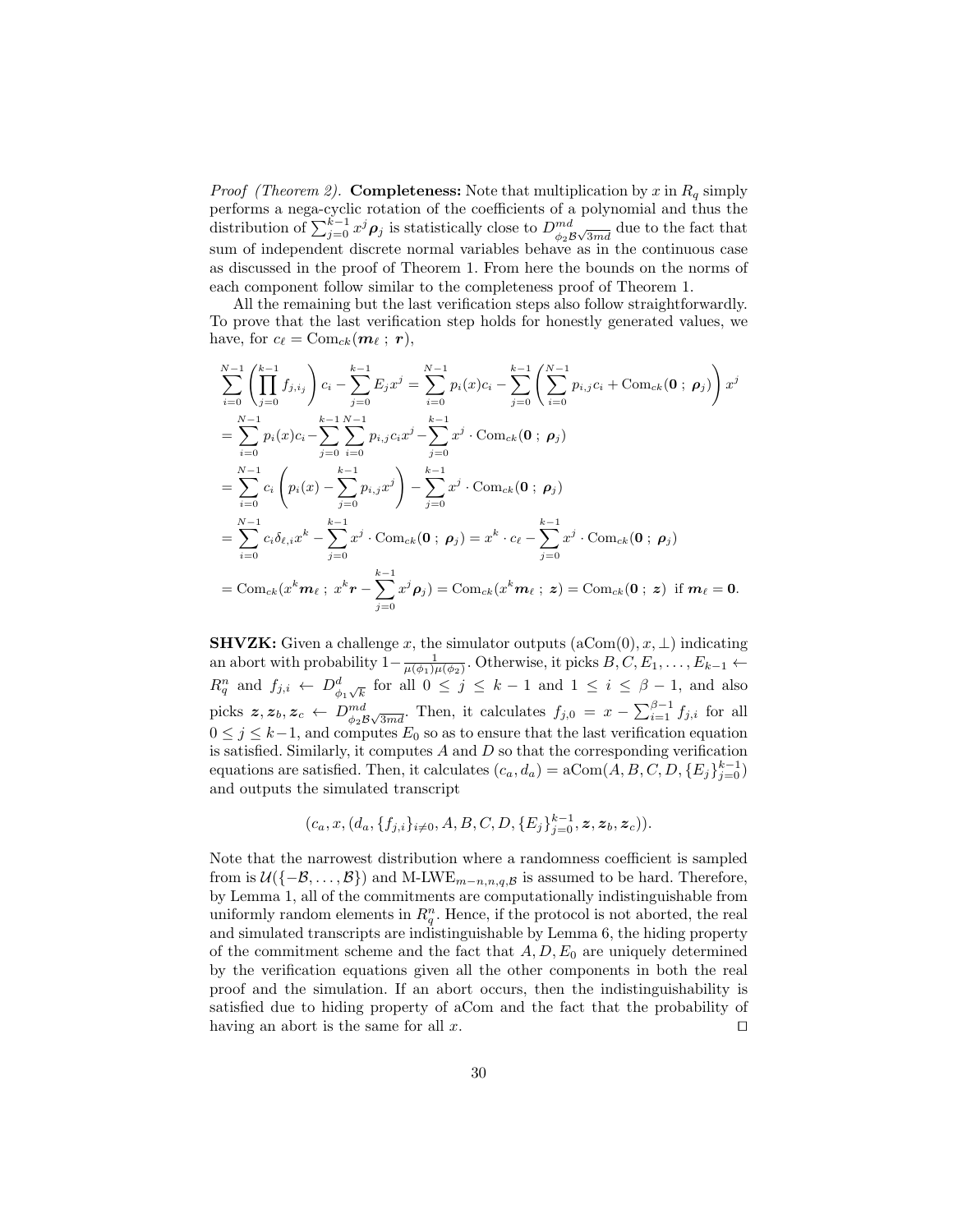*Proof (Theorem 2).* Completeness: Note that multiplication by x in  $R_q$  simply performs a nega-cyclic rotation of the coefficients of a polynomial and thus the distribution of  $\sum_{j=0}^{k-1} x^j \rho_j$  is statistically close to  $D_{\phi_2}^{md}$  due to the fact that sum of independent discrete normal variables behave as in the continuous case as discussed in the proof of Theorem 1. From here the bounds on the norms of each component follow similar to the completeness proof of Theorem 1.

All the remaining but the last verification steps also follow straightforwardly. To prove that the last verification step holds for honestly generated values, we have, for  $c_{\ell} = \text{Com}_{ck}(m_{\ell} ; r),$ 

$$
\sum_{i=0}^{N-1} \left( \prod_{j=0}^{k-1} f_{j,i_j} \right) c_i - \sum_{j=0}^{k-1} E_j x^j = \sum_{i=0}^{N-1} p_i(x) c_i - \sum_{j=0}^{k-1} \left( \sum_{i=0}^{N-1} p_{i,j} c_i + \text{Com}_{ck}(\mathbf{0} ; \boldsymbol{\rho}_j) \right) x^j
$$
\n
$$
= \sum_{i=0}^{N-1} p_i(x) c_i - \sum_{j=0}^{k-1} \sum_{i=0}^{N-1} p_{i,j} c_i x^j - \sum_{j=0}^{k-1} x^j \cdot \text{Com}_{ck}(\mathbf{0} ; \boldsymbol{\rho}_j)
$$
\n
$$
= \sum_{i=0}^{N-1} c_i \left( p_i(x) - \sum_{j=0}^{k-1} p_{i,j} x^j \right) - \sum_{j=0}^{k-1} x^j \cdot \text{Com}_{ck}(\mathbf{0} ; \boldsymbol{\rho}_j)
$$
\n
$$
= \sum_{i=0}^{N-1} c_i \delta_{\ell,i} x^k - \sum_{j=0}^{k-1} x^j \cdot \text{Com}_{ck}(\mathbf{0} ; \boldsymbol{\rho}_j) = x^k \cdot c_\ell - \sum_{j=0}^{k-1} x^j \cdot \text{Com}_{ck}(\mathbf{0} ; \boldsymbol{\rho}_j)
$$
\n
$$
= \text{Com}_{ck}(x^k \boldsymbol{m}_\ell ; x^k \boldsymbol{r} - \sum_{j=0}^{k-1} x^j \boldsymbol{\rho}_j) = \text{Com}_{ck}(x^k \boldsymbol{m}_\ell ; \boldsymbol{z}) = \text{Com}_{ck}(\mathbf{0} ; \boldsymbol{z}) \text{ if } \boldsymbol{m}_\ell = \mathbf{0}.
$$

**SHVZK:** Given a challenge x, the simulator outputs  $(aCom(0), x, \perp)$  indicating an abort with probability  $1-\frac{1}{\mu(\phi_1)\mu(\phi_2)}$ . Otherwise, it picks  $B, C, E_1, \ldots, E_{k-1} \leftarrow$  $R_q^n$  and  $f_{j,i} \leftarrow D_{\phi_1\sqrt{k}}^d$  for all  $0 \leq j \leq k-1$  and  $1 \leq i \leq \beta-1$ , and also picks  $z, z_b, z_c \leftarrow D^{md}_{\phi_2 B \sqrt{3md}}$ . Then, it calculates  $f_{j,0} = x - \sum_{i=1}^{\beta-1} f_{j,i}$  for all  $0 \leq j \leq k-1$ , and computes  $E_0$  so as to ensure that the last verification equation is satisfied. Similarly, it computes  $A$  and  $D$  so that the corresponding verification equations are satisfied. Then, it calculates  $(c_a, d_a) = \text{aCom}(A, B, C, D, \{E_j\}_{j=0}^{k-1})$ and outputs the simulated transcript

$$
(c_a, x, (d_a, \{f_{j,i}\}_{i\neq 0}, A, B, C, D, \{E_j\}_{j=0}^{k-1}, \mathbf{z}, \mathbf{z}_b, \mathbf{z}_c)).
$$

Note that the narrowest distribution where a randomness coefficient is sampled from is  $\mathcal{U}(\{-\mathcal{B}, \ldots, \mathcal{B}\})$  and M-LWE<sub>m−n,n,q,B</sub> is assumed to be hard. Therefore, by Lemma 1, all of the commitments are computationally indistinguishable from uniformly random elements in  $R_q^n$ . Hence, if the protocol is not aborted, the real and simulated transcripts are indistinguishable by Lemma 6, the hiding property of the commitment scheme and the fact that  $A, D, E_0$  are uniquely determined by the verification equations given all the other components in both the real proof and the simulation. If an abort occurs, then the indistinguishability is satisfied due to hiding property of aCom and the fact that the probability of having an abort is the same for all x.  $\square$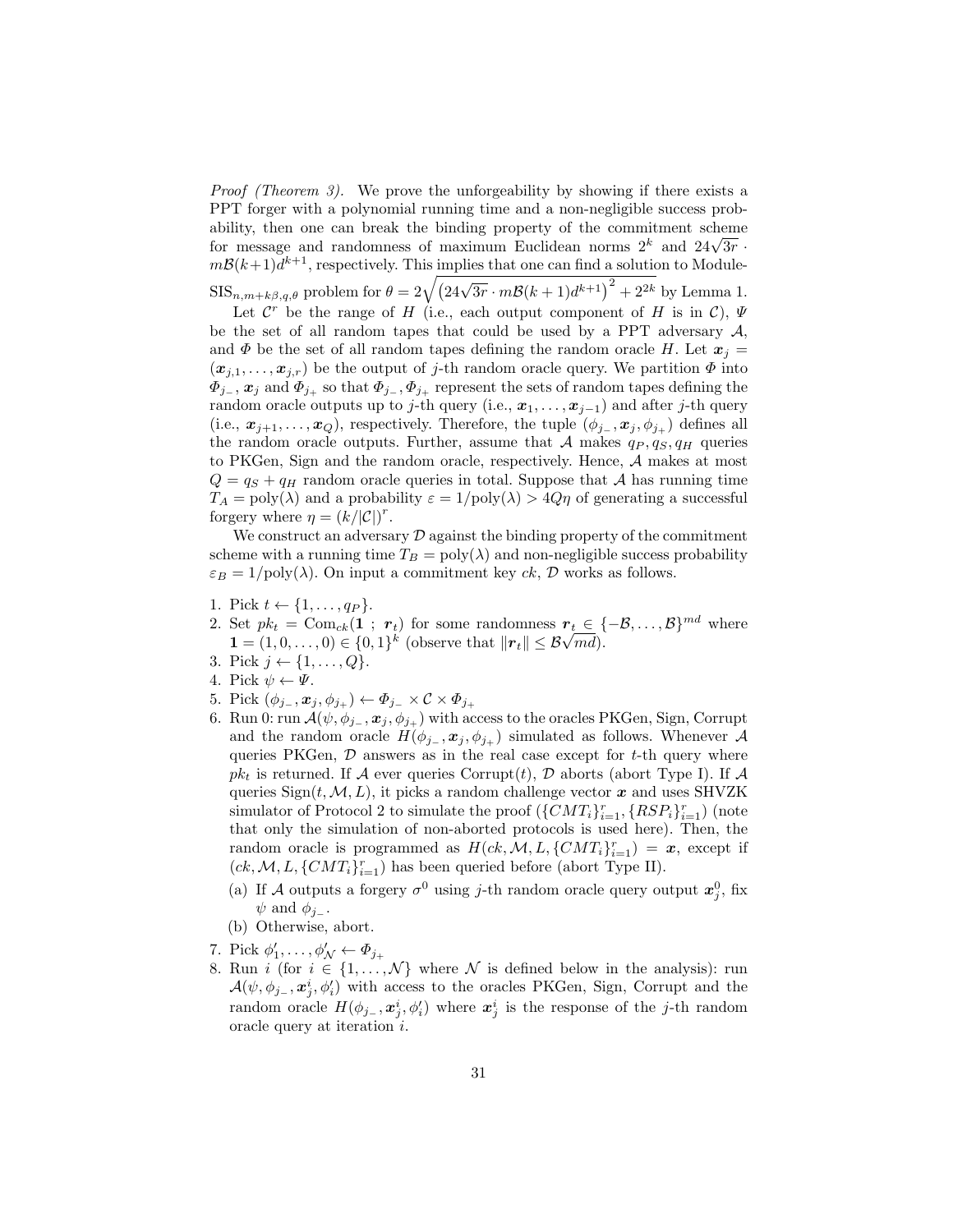Proof (Theorem 3). We prove the unforgeability by showing if there exists a PPT forger with a polynomial running time and a non-negligible success probability, then one can break the binding property of the commitment scheme ability, then one can break the binding property of the commitment scheme for message and randomness of maximum Euclidean norms  $2^k$  and  $24\sqrt{3r}$ .  $m\mathcal{B}(k+1)d^{k+1}$ , respectively. This implies that one can find a solution to Module- $\text{SIS}_{n,m+k\beta,q,\theta}$  problem for  $\theta = 2\sqrt{\left(24\sqrt{3r}\cdot m\mathcal{B}(k+1)d^{k+1}\right)^2+2^{2k}}$  by Lemma 1.

Let  $\mathcal{C}^r$  be the range of H (i.e., each output component of H is in C),  $\Psi$ 

be the set of all random tapes that could be used by a PPT adversary  $A$ , and  $\Phi$  be the set of all random tapes defining the random oracle H. Let  $x_j =$  $(x_{j,1},\ldots,x_{j,r})$  be the output of j-th random oracle query. We partition  $\Phi$  into  $\Phi_{j-}$ ,  $\mathbf{x}_j$  and  $\Phi_{j+}$  so that  $\Phi_{j-}$ ,  $\Phi_{j+}$  represent the sets of random tapes defining the random oracle outputs up to j-th query (i.e.,  $x_1, \ldots, x_{j-1}$ ) and after j-th query (i.e.,  $x_{j+1}, \ldots, x_Q$ ), respectively. Therefore, the tuple  $(\phi_{j-}, x_j, \phi_{j+})$  defines all the random oracle outputs. Further, assume that A makes  $q_P, q_S, q_H$  queries to PKGen, Sign and the random oracle, respectively. Hence, A makes at most  $Q = q<sub>S</sub> + q<sub>H</sub>$  random oracle queries in total. Suppose that A has running time  $T_A = \text{poly}(\lambda)$  and a probability  $\varepsilon = 1/\text{poly}(\lambda) > 4Q\eta$  of generating a successful forgery where  $\eta = (k/|\mathcal{C}|)^r$ .

We construct an adversary  $\mathcal D$  against the binding property of the commitment scheme with a running time  $T_B = \text{poly}(\lambda)$  and non-negligible success probability  $\varepsilon_B = 1/\text{poly}(\lambda)$ . On input a commitment key ck, D works as follows.

- 1. Pick  $t \leftarrow \{1, \ldots, q_P\}.$
- 2. Set  $pk_t = \text{Com}_{ck}(1 ; r_t)$  for some randomness  $r_t \in \{-B, \ldots, B\}^{md}$  where Set  $p_{k_t} = \text{Com}_{ck}(\mathbf{1}; r_t)$  for some randomness  $r_t \in \{1, 0, ..., 0\} \in \{0, 1\}^k$  (observe that  $||r_t|| \leq \mathcal{B}\sqrt{md}$ ).
- 3. Pick  $j \leftarrow \{1, ..., Q\}.$
- 4. Pick  $\psi \leftarrow \Psi$ .
- 5. Pick  $(\phi_{j_-}, \boldsymbol{x}_j, \phi_{j_+}) \leftarrow \Phi_{j_-} \times C \times \Phi_{j_+}$
- 6. Run 0: run  $\mathcal{A}(\psi, \phi_{j_-}, x_j, \phi_{j_+})$  with access to the oracles PKGen, Sign, Corrupt and the random oracle  $H(\phi_{i_-}, \mathbf{x}_i, \phi_{i_+})$  simulated as follows. Whenever A queries PKGen,  $D$  answers as in the real case except for t-th query where  $pk<sub>t</sub>$  is returned. If A ever queries Corrupt(t), D aborts (abort Type I). If A queries  $Sign(t, M, L)$ , it picks a random challenge vector x and uses SHVZK simulator of Protocol 2 to simulate the proof  $(\{CMT_i\}_{i=1}^r, \{RSP_i\}_{i=1}^r)$  (note that only the simulation of non-aborted protocols is used here). Then, the random oracle is programmed as  $H(ck, M, L, \{CMT_i\}_{i=1}^r) = \boldsymbol{x}$ , except if  $(ck, M, L, \{CMT_i\}_{i=1}^r)$  has been queried before (abort Type II).
	- (a) If A outputs a forgery  $\sigma^0$  using j-th random oracle query output  $\mathbf{x}_j^0$ , fix  $\psi$  and  $\phi_{i-}$ .
	- (b) Otherwise, abort.
- 7. Pick  $\phi'_1, \ldots, \phi'_N \leftarrow \Phi_{j_+}$
- 8. Run *i* (for  $i \in \{1, ..., \mathcal{N}\}\$  where  $\mathcal N$  is defined below in the analysis): run  $\mathcal{A}(\psi, \phi_{j-}, \mathbf{x}_j^i, \phi'_i)$  with access to the oracles PKGen, Sign, Corrupt and the random oracle  $H(\phi_{j_-}, \boldsymbol{x}_j^i, \phi_i')$  where  $\boldsymbol{x}_j^i$  is the response of the j-th random oracle query at iteration i.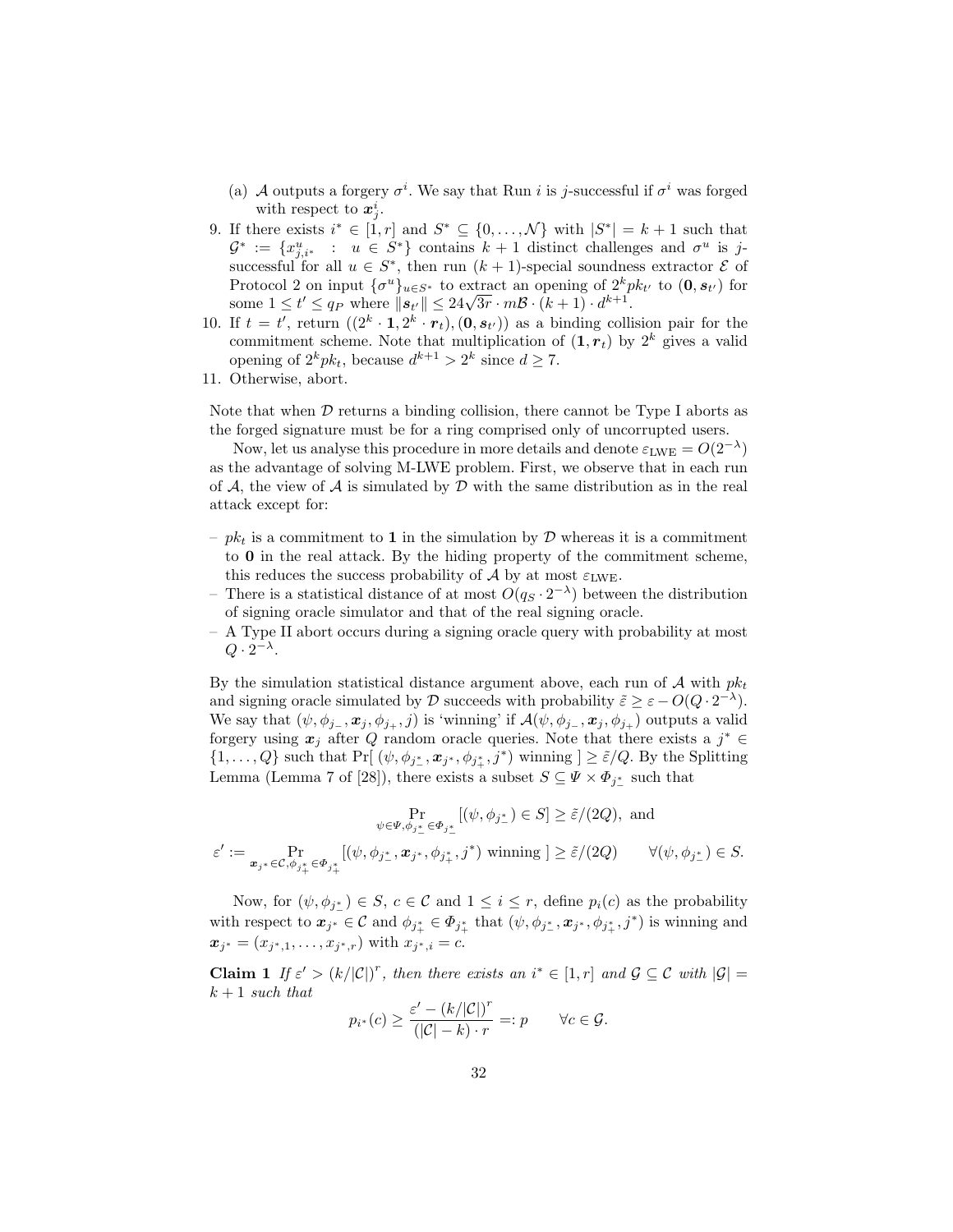- (a) A outputs a forgery  $\sigma^i$ . We say that Run *i* is *j*-successful if  $\sigma^i$  was forged with respect to  $x_j^i$ .
- 9. If there exists  $i^* \in [1, r]$  and  $S^* \subseteq \{0, \ldots, \mathcal{N}\}\$  with  $|S^*| = k+1$  such that  $\mathcal{G}^* := \{x_{j,i^*}^u : u \in S^*\}\$ contains  $k+1$  distinct challenges and  $\sigma^u$  is jsuccessful for all  $u \in S^*$ , then run  $(k+1)$ -special soundness extractor  $\mathcal E$  of Protocol 2 on input  ${\{\sigma^u\}}_{u \in S^*}$  to extract an opening of  $2^k p k_{t'}$  to  $(0, s_{t'})$  for Protocol 2 on input  $\{\sigma^* \}_{u \in S^*}$  to extract an opening of  $\mathcal{Z}^* p$ <br>some  $1 \le t' \le q_P$  where  $||s_{t'}|| \le 24\sqrt{3r} \cdot m\mathcal{B} \cdot (k+1) \cdot d^{k+1}$ .
- 10. If  $t = t'$ , return  $((2^k \cdot 1, 2^k \cdot r_t), (0, s_{t'}))$  as a binding collision pair for the commitment scheme. Note that multiplication of  $(1, r_t)$  by  $2^k$  gives a valid opening of  $2^k p k_t$ , because  $d^{k+1} > 2^k$  since  $d \ge 7$ .
- 11. Otherwise, abort.

Note that when  $D$  returns a binding collision, there cannot be Type I aborts as the forged signature must be for a ring comprised only of uncorrupted users.

Now, let us analyse this procedure in more details and denote  $\varepsilon_{\rm LWE} = O(2^{-\lambda})$ as the advantage of solving M-LWE problem. First, we observe that in each run of  $A$ , the view of  $A$  is simulated by  $D$  with the same distribution as in the real attack except for:

- $pk_t$  is a commitment to 1 in the simulation by  $D$  whereas it is a commitment to 0 in the real attack. By the hiding property of the commitment scheme, this reduces the success probability of A by at most  $\varepsilon_{LWF}$ .
- There is a statistical distance of at most  $O(q_S \cdot 2^{-\lambda})$  between the distribution of signing oracle simulator and that of the real signing oracle.
- A Type II abort occurs during a signing oracle query with probability at most  $Q \cdot 2^{-\lambda}$ .

By the simulation statistical distance argument above, each run of  $A$  with  $pk<sub>t</sub>$ and signing oracle simulated by  $\mathcal D$  succeeds with probability  $\tilde{\varepsilon} \geq \varepsilon - O(Q \cdot 2^{-\lambda}).$ We say that  $(\psi, \phi_{j_-}, \mathbf{x}_j, \phi_{j_+}, j)$  is 'winning' if  $\mathcal{A}(\psi, \phi_{j_-}, \mathbf{x}_j, \phi_{j_+})$  outputs a valid forgery using  $x_j$  after Q random oracle queries. Note that there exists a  $j^* \in$  $\{1,\ldots,Q\}$  such that Pr[ $(\psi,\phi_{j^*},\mathbf{x}_{j^*},\phi_{j^*},j^*)$  winning  $]\geq \tilde{\varepsilon}/Q$ . By the Splitting Lemma (Lemma 7 of [28]), there exists a subset  $S \subseteq \Psi \times \Phi_{j_{\perp}^*}$  such that

$$
\Pr_{\psi \in \Psi, \phi_{j^*_-} \in \Phi_{j^*_-}} [(\psi, \phi_{j^*_-}) \in S] \geq \tilde{\varepsilon}/(2Q), \text{ and}
$$

$$
\varepsilon' := \Pr_{\mathbf{x}_{j^*} \in \mathcal{C}, \phi_{j^*_+} \in \Phi_{j^*_+}} [(\psi, \phi_{j^*_-}, \mathbf{x}_{j^*}, \phi_{j^*_+}, j^*) \text{ winning } ] \geq \tilde{\varepsilon}/(2Q) \qquad \forall (\psi, \phi_{j^*_-}) \in S.
$$

Now, for  $(\psi, \phi_{j_{\perp}}) \in S$ ,  $c \in \mathcal{C}$  and  $1 \leq i \leq r$ , define  $p_i(c)$  as the probability with respect to  $x_{j^*} \in C$  and  $\phi_{j^*_{+}} \in \Phi_{j^*_{+}}$  that  $(\psi, \phi_{j^*_{-}}, x_{j^*}, \phi_{j^*_{+}}, j^*)$  is winning and  $x_{j^*} = (x_{j^*,1}, \ldots, x_{j^*,r})$  with  $x_{j^*,i} = c$ .

**Claim 1** If  $\varepsilon' > (k/|\mathcal{C}|)^r$ , then there exists an  $i^* \in [1, r]$  and  $\mathcal{G} \subseteq \mathcal{C}$  with  $|\mathcal{G}| =$  $k + 1$  such that

$$
p_{i^*}(c) \geq \frac{\varepsilon' - (k/|\mathcal{C}|)^r}{(|\mathcal{C}| - k) \cdot r} =: p \qquad \forall c \in \mathcal{G}.
$$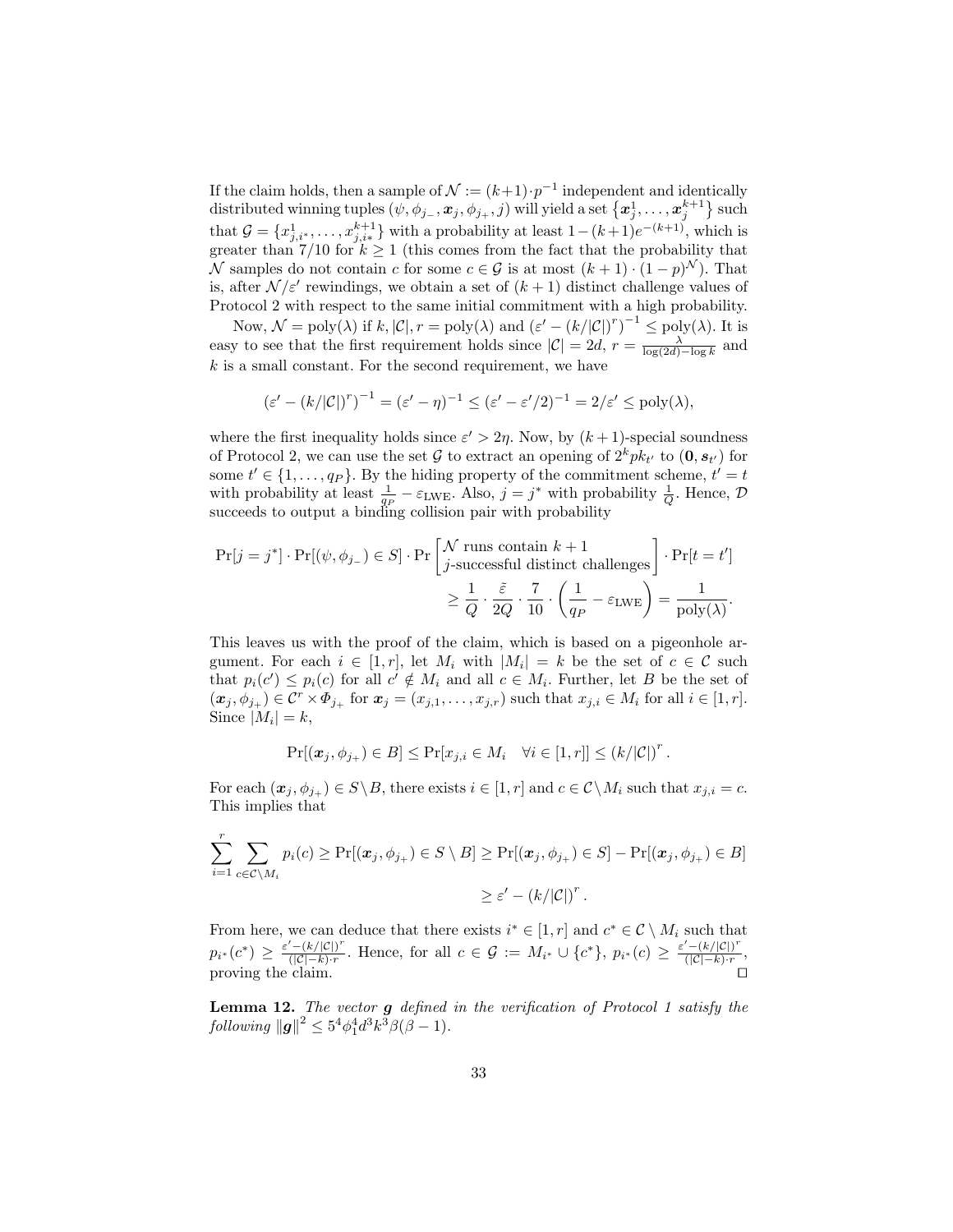If the claim holds, then a sample of  $\mathcal{N} := (k+1) \cdot p^{-1}$  independent and identically  $\text{distributed winning tuples } (\psi, \phi_{j_-}, \bm{x}_j, \phi_{j_+}, j) \text{ will yield a set } \big\{\bm{x}_j^1, \dots, \bm{x}_j^{k+1} \big\} \text{ such}$ that  $\mathcal{G} = \{x_{j,i^*}^1, \ldots, x_{j,i^*}^{k+1}\}\$  with a probability at least  $1-(k+1)e^{-(k+1)}$ , which is greater than 7/10 for  $k \geq 1$  (this comes from the fact that the probability that N samples do not contain c for some  $c \in \mathcal{G}$  is at most  $(k+1) \cdot (1-p)^N$ ). That is, after  $\mathcal{N}/\varepsilon'$  rewindings, we obtain a set of  $(k+1)$  distinct challenge values of Protocol 2 with respect to the same initial commitment with a high probability.

Now,  $\mathcal{N} = \text{poly}(\lambda)$  if  $k, |\mathcal{C}|, r = \text{poly}(\lambda)$  and  $(\varepsilon' - (k/|\mathcal{C}|)^r)^{-1} \leq \text{poly}(\lambda)$ . It is easy to see that the first requirement holds since  $|\mathcal{C}| = 2d$ ,  $r = \frac{\lambda}{\log(2d) - \log k}$  and  $k$  is a small constant. For the second requirement, we have

$$
(\varepsilon'-(k/|\mathcal{C}|)^r)^{-1}=(\varepsilon'-\eta)^{-1}\leq (\varepsilon'-\varepsilon'/2)^{-1}=2/\varepsilon'\leq \mathrm{poly}(\lambda),
$$

where the first inequality holds since  $\varepsilon' > 2\eta$ . Now, by  $(k+1)$ -special soundness of Protocol 2, we can use the set  $G$  to extract an opening of  $2^k p k_{t'}$  to  $(0, s_{t'})$  for some  $t' \in \{1, \ldots, q_P\}$ . By the hiding property of the commitment scheme,  $t' = t$ with probability at least  $\frac{1}{q_P} - \varepsilon_{\text{LWE}}$ . Also,  $j = j^*$  with probability  $\frac{1}{Q}$ . Hence,  $\mathcal{D}$ succeeds to output a binding collision pair with probability

$$
\Pr[j = j^*] \cdot \Pr[(\psi, \phi_{j-}) \in S] \cdot \Pr\left[\int j\text{-successful distinct challenges}\right] \cdot \Pr[t = t']
$$
  

$$
\geq \frac{1}{Q} \cdot \frac{\tilde{\varepsilon}}{2Q} \cdot \frac{7}{10} \cdot \left(\frac{1}{q_P} - \varepsilon_{\text{LWE}}\right) = \frac{1}{\text{poly}(\lambda)}.
$$

This leaves us with the proof of the claim, which is based on a pigeonhole argument. For each  $i \in [1, r]$ , let  $M_i$  with  $|M_i| = k$  be the set of  $c \in \mathcal{C}$  such that  $p_i(c') \leq p_i(c)$  for all  $c' \notin M_i$  and all  $c \in M_i$ . Further, let B be the set of  $(x_j, \phi_{j_+}) \in \mathcal{C}^r \times \Phi_{j_+}$  for  $x_j = (x_{j,1}, \ldots, x_{j,r})$  such that  $x_{j,i} \in M_i$  for all  $i \in [1, r]$ . Since  $|M_i|=k$ ,

$$
\Pr[(\boldsymbol{x}_j, \phi_{j_+}) \in B] \le \Pr[x_{j,i} \in M_i \quad \forall i \in [1, r]] \le (k/|\mathcal{C}|)^r.
$$

For each  $(\mathbf{x}_j, \phi_{j+}) \in S \setminus B$ , there exists  $i \in [1, r]$  and  $c \in \mathcal{C} \setminus M_i$  such that  $x_{j,i} = c$ . This implies that

$$
\sum_{i=1}^r \sum_{c \in \mathcal{C} \setminus M_i} p_i(c) \geq \Pr[(\boldsymbol{x}_j, \phi_{j_+}) \in S \setminus B] \geq \Pr[(\boldsymbol{x}_j, \phi_{j_+}) \in S] - \Pr[(\boldsymbol{x}_j, \phi_{j_+}) \in B]
$$
  

$$
\geq \varepsilon' - (k/|\mathcal{C}|)^r.
$$

From here, we can deduce that there exists  $i^* \in [1, r]$  and  $c^* \in \mathcal{C} \setminus M_i$  such that  $p_{i^*}(c^*) \geq \frac{\varepsilon' - (k/|\mathcal{C}|)^r}{(|\mathcal{C}| - k) \cdot r}$  $\frac{f'-(k/|C|)^r}{(|C|-k)\cdot r}$ . Hence, for all  $c \in \mathcal{G} := M_{i^*} \cup \{c^*\}, p_{i^*}(c) \geq \frac{\varepsilon'-(k/|C|)^r}{(|C|-k)\cdot r}$  $\frac{-\left(\kappa/\left|\mathcal{C}\right|\right)}{\left(\left|\mathcal{C}\right| - k\right)\cdot r},$ proving the claim.  $\Box$ 

**Lemma 12.** The vector  $g$  defined in the verification of Protocol 1 satisfy the  $\left| \int_{\mathcal{B}}^{\mathcal{B}} |g|^{2} \leq 5^{4} \phi_{1}^{4} d^{3} k^{3} \beta (\beta - 1).$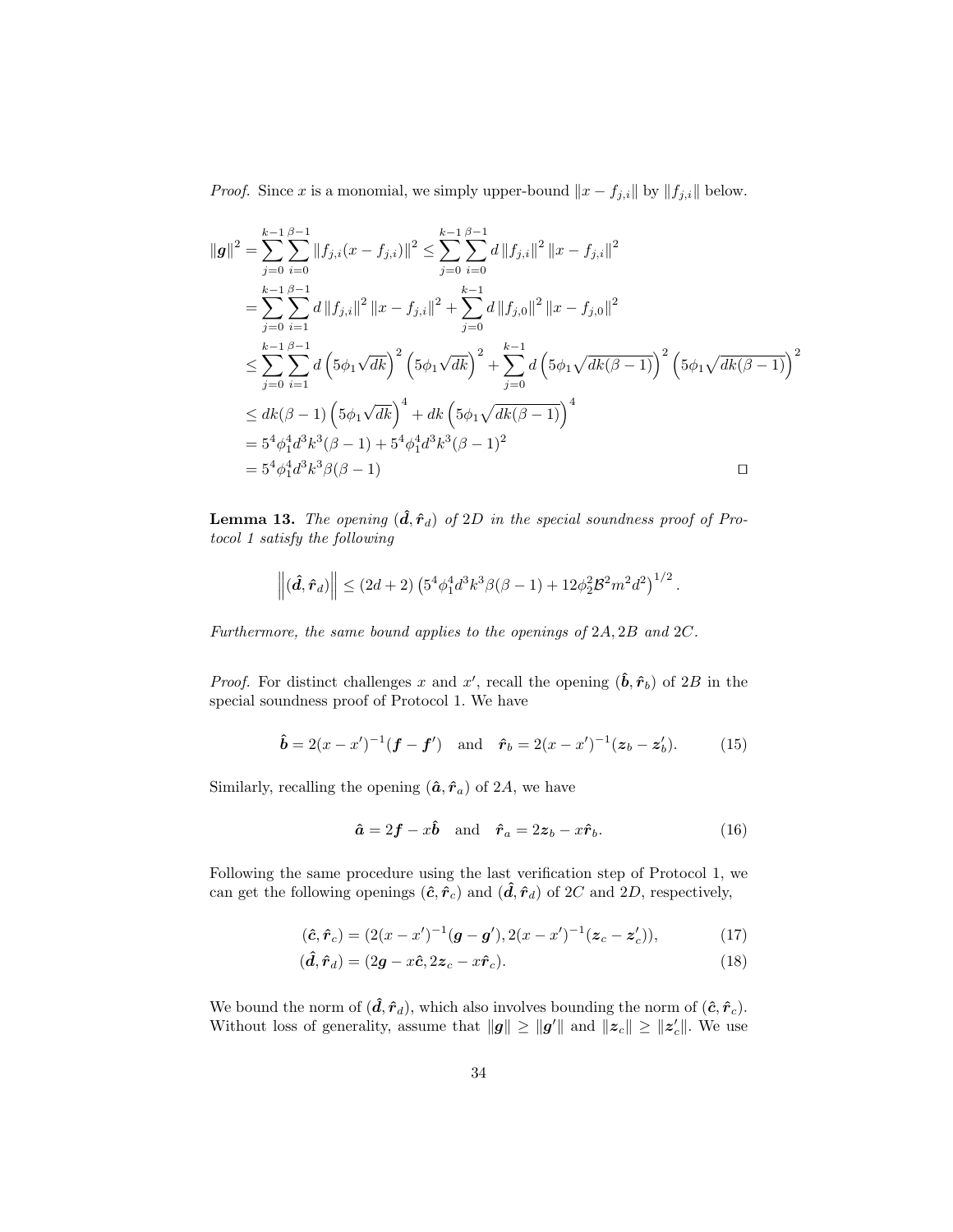*Proof.* Since x is a monomial, we simply upper-bound  $||x - f_{j,i}||$  by  $||f_{j,i}||$  below.

$$
\|\mathbf{g}\|^{2} = \sum_{j=0}^{k-1} \sum_{i=0}^{\beta-1} \|f_{j,i}(x - f_{j,i})\|^{2} \leq \sum_{j=0}^{k-1} \sum_{i=0}^{\beta-1} d \|f_{j,i}\|^{2} \|x - f_{j,i}\|^{2}
$$
  
\n
$$
= \sum_{j=0}^{k-1} \sum_{i=1}^{\beta-1} d \|f_{j,i}\|^{2} \|x - f_{j,i}\|^{2} + \sum_{j=0}^{k-1} d \|f_{j,0}\|^{2} \|x - f_{j,0}\|^{2}
$$
  
\n
$$
\leq \sum_{j=0}^{k-1} \sum_{i=1}^{\beta-1} d \left( 5\phi_{1} \sqrt{dk} \right)^{2} \left( 5\phi_{1} \sqrt{dk} \right)^{2} + \sum_{j=0}^{k-1} d \left( 5\phi_{1} \sqrt{dk(\beta-1)} \right)^{2} \left( 5\phi_{1} \sqrt{dk(\beta-1)} \right)^{2}
$$
  
\n
$$
\leq dk(\beta-1) \left( 5\phi_{1} \sqrt{dk} \right)^{4} + dk \left( 5\phi_{1} \sqrt{dk(\beta-1)} \right)^{4}
$$
  
\n
$$
= 5^{4} \phi_{1}^{4} d^{3} k^{3} (\beta - 1) + 5^{4} \phi_{1}^{4} d^{3} k^{3} (\beta - 1)^{2}
$$
  
\n
$$
= 5^{4} \phi_{1}^{4} d^{3} k^{3} \beta(\beta - 1)
$$

**Lemma 13.** The opening  $(\hat{\mathbf{d}}, \hat{\mathbf{r}}_d)$  of 2D in the special soundness proof of Protocol 1 satisfy the following

$$
\left\|(\hat{\bm{d}}, \hat{\bm{r}}_d)\right\| \leq (2d+2) \left(5^4 \phi_1^4 d^3 k^3 \beta (\beta-1) + 12 \phi_2^2 \mathcal{B}^2 m^2 d^2\right)^{1/2}.
$$

Furthermore, the same bound applies to the openings of 2A, 2B and 2C.

*Proof.* For distinct challenges x and x', recall the opening  $(\hat{\boldsymbol{b}}, \hat{\boldsymbol{r}}_b)$  of 2B in the special soundness proof of Protocol 1. We have

$$
\hat{\boldsymbol{b}} = 2(x - x')^{-1}(\boldsymbol{f} - \boldsymbol{f}') \text{ and } \hat{\boldsymbol{r}}_b = 2(x - x')^{-1}(z_b - z'_b).
$$
 (15)

Similarly, recalling the opening  $(\hat{a}, \hat{r}_a)$  of 2A, we have

$$
\hat{\mathbf{a}} = 2\mathbf{f} - x\hat{\mathbf{b}} \quad \text{and} \quad \hat{\mathbf{r}}_a = 2\mathbf{z}_b - x\hat{\mathbf{r}}_b. \tag{16}
$$

Following the same procedure using the last verification step of Protocol 1, we can get the following openings  $(\hat{c}, \hat{r}_c)$  and  $(\hat{d}, \hat{r}_d)$  of 2C and 2D, respectively,

$$
(\hat{c}, \hat{r}_c) = (2(x - x')^{-1}(\mathbf{g} - \mathbf{g}'), 2(x - x')^{-1}(\mathbf{z}_c - \mathbf{z}_c')),
$$
\n(17)

$$
(\hat{\mathbf{d}}, \hat{\mathbf{r}}_d) = (2\mathbf{g} - x\hat{\mathbf{c}}, 2\mathbf{z}_c - x\hat{\mathbf{r}}_c). \tag{18}
$$

We bound the norm of  $(\hat{\mathbf{d}}, \hat{\mathbf{r}}_d)$ , which also involves bounding the norm of  $(\hat{\mathbf{c}}, \hat{\mathbf{r}}_c)$ . Without loss of generality, assume that  $||g|| \ge ||g'||$  and  $||z_c|| \ge ||z'_c||$ . We use